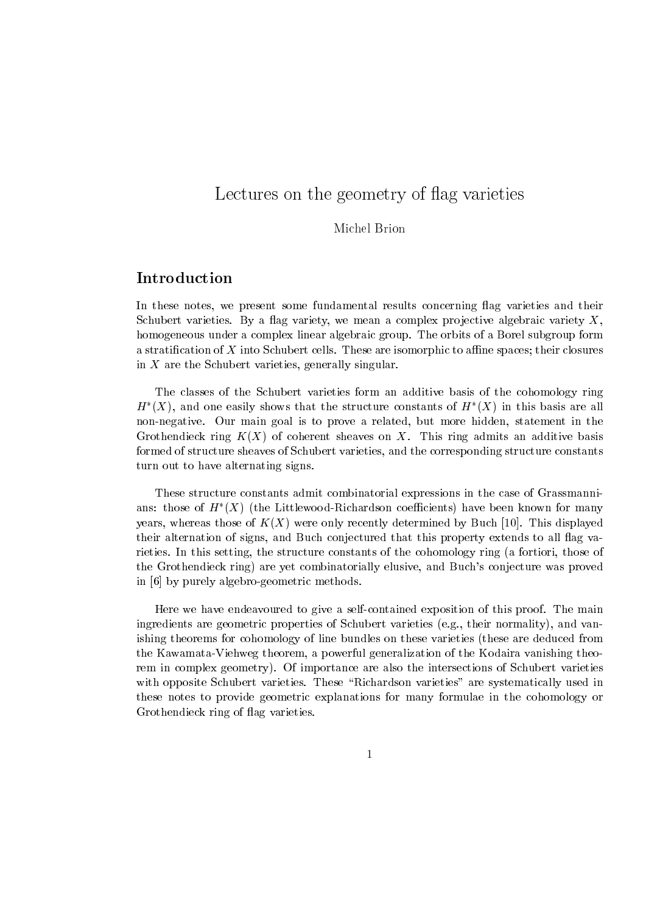# Lectures on the geometry of flag varieties

Michel Brion

### Introduction

In these notes, we present some fundamental results concerning flag varieties and their Schubert varieties. By a flag variety, we mean a complex projective algebraic variety  $X$ , homogeneous under a complex linear algebraic group. The orbits of a Borel subgroup form a stratification of  $X$  into Schubert cells. These are isomorphic to affine spaces; their closures in  $X$  are the Schubert varieties, generally singular.

The classes of the Schubert varieties form an additive basis of the cohomology ring  $H^*(X)$ , and one easily shows that the structure constants of  $H^*(X)$  in this basis are all non-negative. Our main goal is to prove a related, but more hidden, statement in the Grothendieck ring  $K(X)$  of coherent sheaves on X. This ring admits an additive basis formed of structure sheaves of Schubert varieties, and the corresponding structure constants turn out to have alternating signs.

These structure constants admit combinatorial expressions in the case of Grassmannians: those of  $H^*(X)$  (the Littlewood-Richardson coefficients) have been known for many years, whereas those of  $K(X)$  were only recently determined by Buch [10]. This displayed their alternation of signs, and Buch conjectured that this property extends to all flag varieties. In this setting, the structure constants of the cohomology ring (a fortiori, those of the Grothendieck ring) are yet combinatorially elusive, and Buch's conjecture was proved in [6] by purely algebro-geometric methods.

Here we have endeavoured to give a self-contained exposition of this proof. The main ingredients are geometric properties of Schubert varieties (e.g., their normality), and vanishing theorems for cohomology of line bundles on these varieties (these are deduced from the Kawamata-Viehweg theorem, a powerful generalization of the Kodaira vanishing theorem in complex geometry). Of importance are also the intersections of Schubert varieties with opposite Schubert varieties. These "Richardson varieties" are systematically used in these notes to provide geometric explanations for many formulae in the cohomology or Grothendieck ring of flag varieties.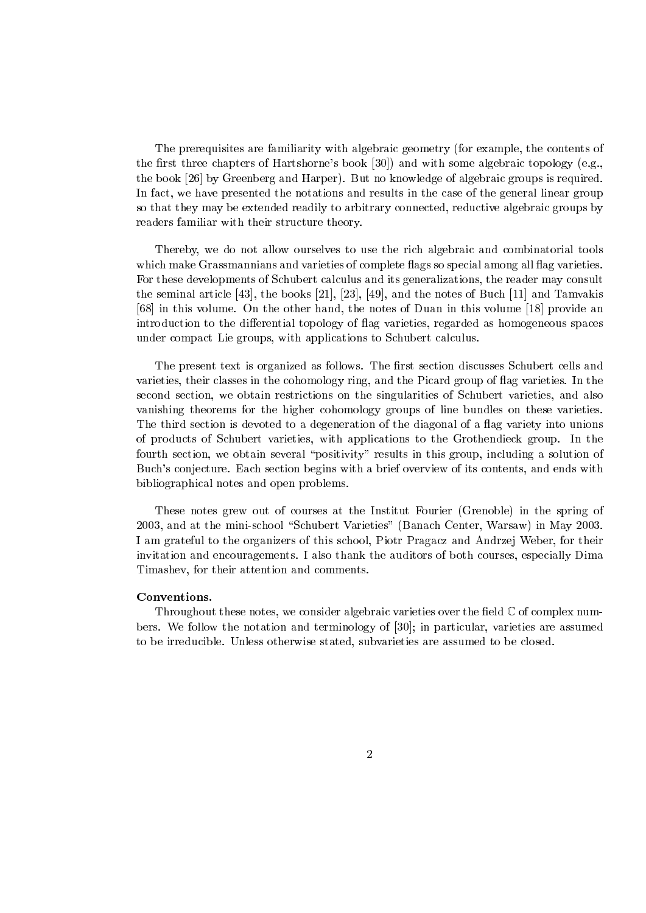The prerequisites are familiarity with algebraic geometry (for example, the contents of the first three chapters of Hartshorne's book  $[30]$ ) and with some algebraic topology (e.g., the book [26] by Greenberg and Harper). But no knowledge of algebraic groups is required. In fact, we have presented the notations and results in the case of the general linear group so that they may be extended readily to arbitrary connected, reductive algebraic groups by readers familiar with their structure theory.

Thereby, we do not allow ourselves to use the rich algebraic and combinatorial tools which make Grassmannians and varieties of complete flags so special among all flag varieties. For these developments of Schubert calculus and its generalizations, the reader may consult the seminal article [43], the books [21], [23], [49], and the notes of Buch [11] and Tamvakis [68] in this volume. On the other hand, the notes of Duan in this volume [18] provide an introduction to the differential topology of flag varieties, regarded as homogeneous spaces under compact Lie groups, with applications to Schubert calculus.

The present text is organized as follows. The first section discusses Schubert cells and varieties, their classes in the cohomology ring, and the Picard group of flag varieties. In the second section, we obtain restrictions on the singularities of Schubert varieties, and also vanishing theorems for the higher cohomology groups of line bundles on these varieties. The third section is devoted to a degeneration of the diagonal of a flag variety into unions of products of Schubert varieties, with applications to the Grothendieck group. In the fourth section, we obtain several "positivity" results in this group, including a solution of Buch's conjecture. Each section begins with a brief overview of its contents, and ends with bibliographical notes and open problems.

These notes grew out of courses at the Institut Fourier (Grenoble) in the spring of 2003, and at the mini-school "Schubert Varieties" (Banach Center, Warsaw) in May 2003. I am grateful to the organizers of this school, Piotr Pragacz and Andrzej Weber, for their invitation and encouragements. I also thank the auditors of both courses, especially Dima Timashev, for their attention and comments.

#### Conventions.

Throughout these notes, we consider algebraic varieties over the field  $\mathbb C$  of complex numbers. We follow the notation and terminology of [30]; in particular, varieties are assumed to be irreducible. Unless otherwise stated, subvarieties are assumed to be closed.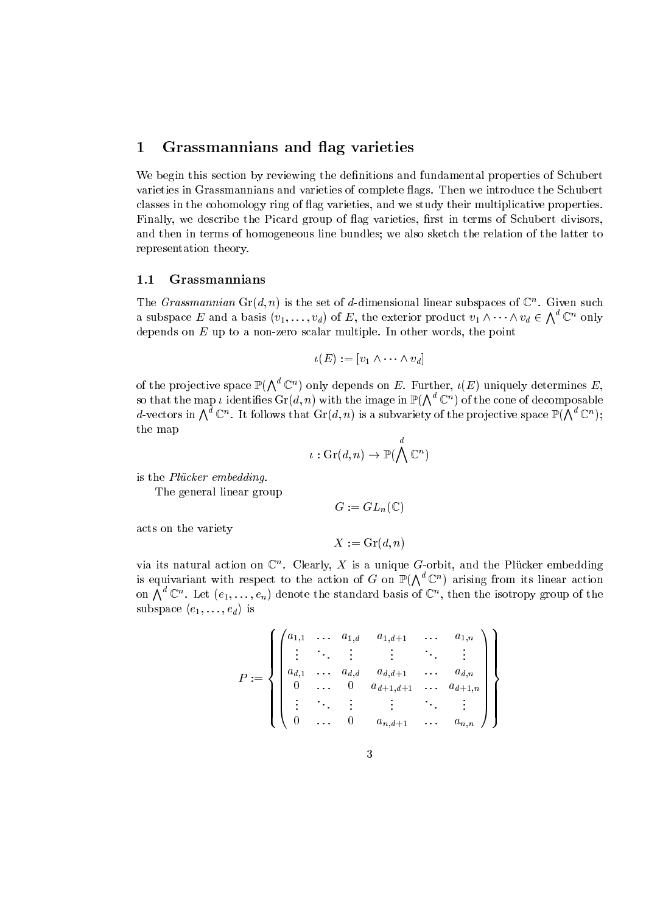# 1 Grassmannians and flag varieties

We begin this section by reviewing the definitions and fundamental properties of Schubert varieties in Grassmannians and varieties of complete 
ags. Then we introduce the Schubert classes in the cohomology ring of 
ag varieties, and we study their multiplicative properties. Finally, we describe the Picard group of flag varieties, first in terms of Schubert divisors, and then in terms of homogeneous line bundles; we also sketch the relation of the latter to representation theory.

### 1.1 Grassmannians

The *Grassmannian* Gr(*d*, *n*) is the set of *d*-dimensional linear subspaces of  $\mathbb{C}^n$ . Given such a subspace E and a basis  $(v_1, \ldots, v_d)$  of E, the exterior product  $v_1 \wedge \cdots \wedge v_d \in \bigwedge^d \mathbb{C}^n$  only depends on  $E$  up to a non-zero scalar multiple. In other words, the point

$$
\iota(E):=[v_1\wedge\cdots\wedge v_d]
$$

of the projective space  $\mathbb{P}(\bigwedge^d \mathbb{C}^n)$  only depends on E. Further,  $\iota(E)$  uniquely determines E, so that the map  $\iota$  identifies  $\text{Gr}(d, n)$  with the image in  $\mathbb{P}(\bigwedge^d \mathbb{C}^n)$  of the cone of decomposable d-vectors in  $\bigwedge^{\overline{d}}\mathbb{C}^n$ . It follows that  $\mathrm{Gr}(d,n)$  is a subvariety of the projective space  $\mathbb{P}(\bigwedge^d\mathbb{C}^n)$ ; the map

$$
\iota: \operatorname{Gr}(d,n) \to \mathbb{P}(\bigwedge^d \mathbb{C}^n)
$$

is the Plücker embedding.

The general linear group

$$
G:=GL_n(\mathbb{C})
$$

acts on the variety

$$
X := \mathrm{Gr}(d, n)
$$

via its natural action on  $\mathbb{C}^n$ . Clearly, X is a unique G-orbit, and the Plücker embedding is equivariant with respect to the action of G on  $\mathbb{P}(\bigwedge^d \mathbb{C}^n)$  arising from its linear action on  $\bigwedge^d \mathbb{C}^n$ . Let  $(e_1, \ldots, e_n)$  denote the standard basis of  $\mathbb{C}^n$ , then the isotropy group of the subspace  $\langle e_1, \ldots, e_d \rangle$  is

$$
P := \left\{ \begin{pmatrix} a_{1,1} & \dots & a_{1,d} & a_{1,d+1} & \dots & a_{1,n} \\ \vdots & \ddots & \vdots & \vdots & & \vdots \\ a_{d,1} & \dots & a_{d,d} & a_{d,d+1} & \dots & a_{d,n} \\ 0 & \dots & 0 & a_{d+1,d+1} & \dots & a_{d+1,n} \\ \vdots & \ddots & \vdots & \vdots & & \vdots \\ 0 & \dots & 0 & a_{n,d+1} & \dots & a_{n,n} \end{pmatrix} \right\}
$$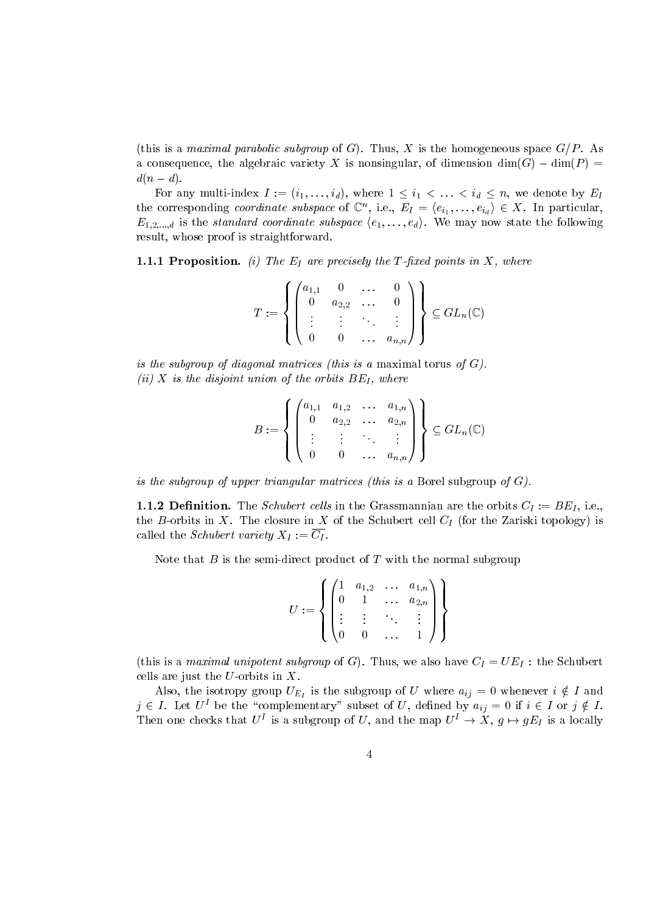(this is a maximal parabolic subgroup of G). Thus, X is the homogeneous space  $G/P$ . As a consequence, the algebraic variety X is nonsingular, of dimension  $\dim(G) - \dim(P) =$  $d(n-d).$ 

For any multi-index  $I := (i_1, \ldots, i_d)$ , where  $1 \leq i_1 < \ldots < i_d \leq n$ , we denote by  $E_I$ the corresponding *coordinate subspace* of  $\mathbb{C}^n$ , i.e.,  $E_I = \langle e_{i_1}, \ldots, e_{i_d} \rangle \in X$ . In particular,  $E_{1,2,\dots,d}$  is the standard coordinate subspace  $\langle e_1,\dots,e_d\rangle$ . We may now state the following result, whose proof is straightforward.

**1.1.1 Proposition.** (i) The  $E_I$  are precisely the T-fixed points in X, where

$$
T:=\left\{\begin{pmatrix}a_{1,1}&0&\dots&0\\0&a_{2,2}&\dots&0\\ \vdots&\vdots&\ddots&\vdots\\0&0&\dots&a_{n,n}\end{pmatrix}\right\}\subseteq GL_n(\mathbb{C})
$$

is the subgroup of diagonal matrices (this is a maximal torus of  $G$ ). (ii) X is the disjoint union of the orbits  $BE_I$ , where

$$
B := \left\{ \begin{pmatrix} a_{1,1} & a_{1,2} & \cdots & a_{1,n} \\ 0 & a_{2,2} & \cdots & a_{2,n} \\ \vdots & \vdots & \ddots & \vdots \\ 0 & 0 & \cdots & a_{n,n} \end{pmatrix} \right\} \subseteq GL_n(\mathbb{C})
$$

is the subgroup of upper triangular matrices (this is a Borel subgroup of  $G$ ).

**1.1.2 Definition.** The *Schubert cells* in the Grassmannian are the orbits  $C_I := BE_I$ , i.e., the B-orbits in X. The closure in X of the Schubert cell  $C_I$  (for the Zariski topology) is called the *Schubert variety*  $X_I := \overline{C_I}$ .

Note that  $B$  is the semi-direct product of  $T$  with the normal subgroup

$$
U := \left\{ \begin{pmatrix} 1 & a_{1,2} & \dots & a_{1,n} \\ 0 & 1 & \dots & a_{2,n} \\ \vdots & \vdots & \ddots & \vdots \\ 0 & 0 & \dots & 1 \end{pmatrix} \right\}
$$

(this is a maximal unipotent subgroup of G). Thus, we also have  $C_I = UE_I$ : the Schubert cells are just the  $U$ -orbits in  $X$ .

Also, the isotropy group  $U_{E_I}$  is the subgroup of U where  $a_{ij} = 0$  whenever  $i \notin I$  and  $j \in I$ . Let  $U^I$  be the "complementary" subset of U, defined by  $a_{ij} = 0$  if  $i \in I$  or  $j \notin I$ . Then one checks that  $U^I$  is a subgroup of U, and the map  $U^I \to X$ ,  $g \mapsto gE_I$  is a locally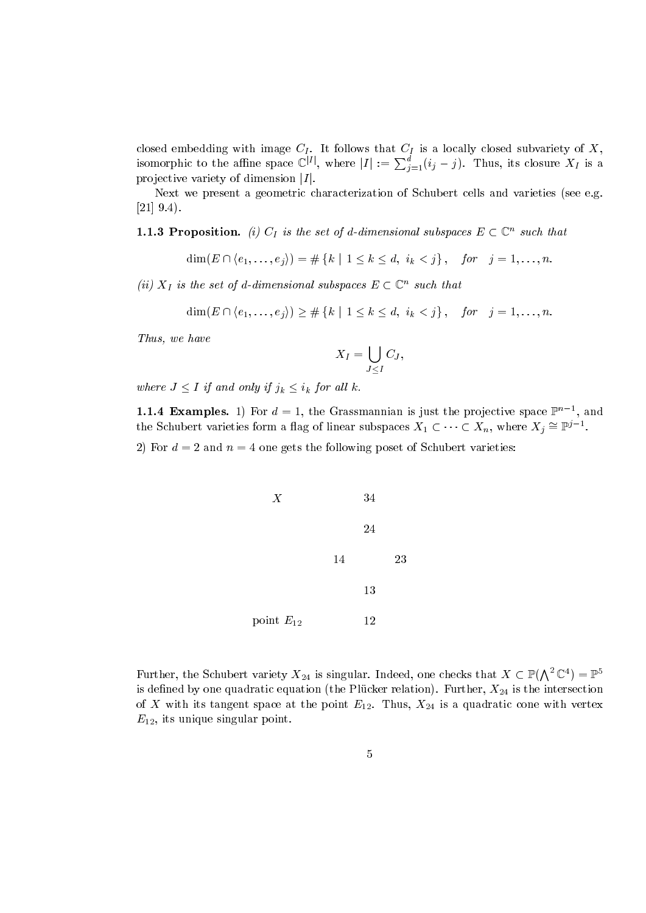closed embedding with image  $C_I$ . It follows that  $C_I$  is a locally closed subvariety of X, isomorphic to the affine space  $\mathbb{C}^{|I|}$ , where  $|I| := \sum_{j=1}^{d} (i_j - j)$ . Thus, its closure  $X_I$  is a projective variety of dimension  $|I|$ .

Next we present a geometric characterization of Schubert cells and varieties (see e.g. [21] 9.4).

**1.1.3 Proposition.** (i)  $C_I$  is the set of d-dimensional subspaces  $E \subset \mathbb{C}^n$  such that

 $\dim(E \cap \langle e_1, \ldots, e_j \rangle) = \# \{k \mid 1 \leq k \leq d, i_k < j \}, \text{ for } j = 1, \ldots, n.$ 

(ii)  $X_I$  is the set of d-dimensional subspaces  $E \subset \mathbb{C}^n$  such that

$$
\dim(E \cap \langle e_1, \ldots, e_j \rangle) \geq \# \{ k \mid 1 \leq k \leq d, \ i_k < j \}, \quad \text{for} \quad j = 1, \ldots, n.
$$

Thus, we have

$$
X_I = \bigcup_{J \leq I} C_J,
$$

where  $J \leq I$  if and only if  $j_k \leq i_k$  for all k.

**1.1.4 Examples.** 1) For  $d = 1$ , the Grassmannian is just the projective space  $\mathbb{P}^{n-1}$ , and the Schubert varieties form a flag of linear subspaces  $X_1 \subset \cdots \subset X_n$ , where  $X_j \cong \mathbb{P}^{j-1}$ . 2) For  $d = 2$  and  $n = 4$  one gets the following poset of Schubert varieties:



Further, the Schubert variety  $X_{24}$  is singular. Indeed, one checks that  $X \subset \mathbb{P}(\bigwedge^2 \mathbb{C}^4) = \mathbb{P}^5$ is defined by one quadratic equation (the Plucker relation). Further,  $X_{24}$  is the intersection of X with its tangent space at the point  $E_{12}$ . Thus,  $X_{24}$  is a quadratic cone with vertex  $E_{12}$ , its unique singular point.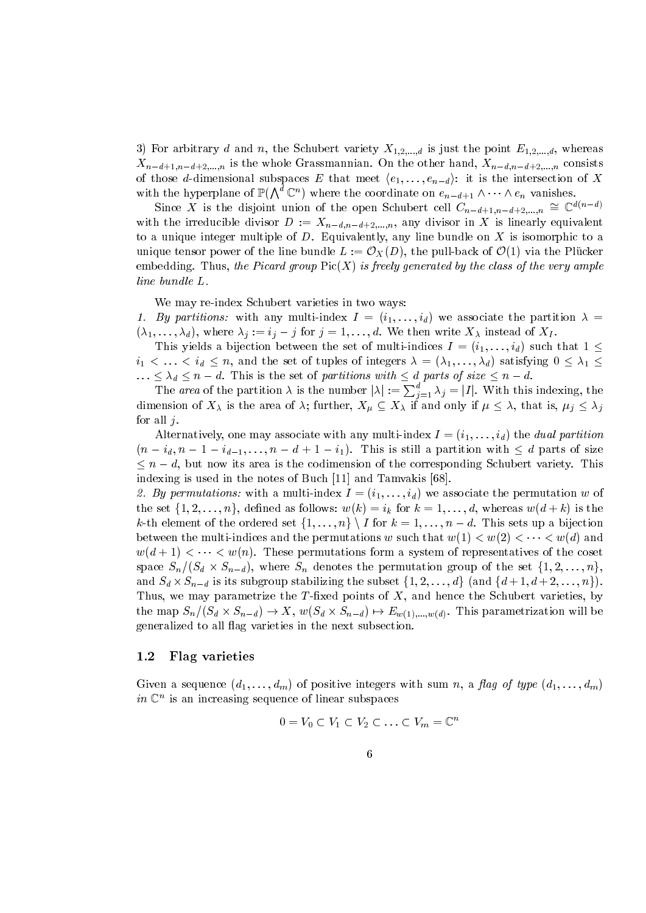3) For arbitrary d and n, the Schubert variety  $X_{1,2,\ldots,d}$  is just the point  $E_{1,2,\ldots,d}$ , whereas  $X_{n-d+1,n-d+2,\ldots,n}$  is the whole Grassmannian. On the other hand,  $X_{n-d,n-d+2,\ldots,n}$  consists of those d-dimensional subspaces E that meet  $\langle e_1, \ldots, e_{n-d} \rangle$ : it is the intersection of X with the hyperplane of  $\mathbb{P}(\bigwedge^d \mathbb{C}^n)$  where the coordinate on  $e_{n-d+1} \wedge \cdots \wedge e_n$  vanishes.

Since X is the disjoint union of the open Schubert cell  $C_{n-d+1,n-d+2,\dots,n} \cong \mathbb{C}^{d(n-d)}$ with the irreducible divisor  $D := X_{n-d,n-d+2,\dots,n}$ , any divisor in X is linearly equivalent to a unique integer multiple of  $D$ . Equivalently, any line bundle on  $X$  is isomorphic to a unique tensor power of the line bundle  $L := \mathcal{O}_X(D)$ , the pull-back of  $\mathcal{O}(1)$  via the Plücker embedding. Thus, the Picard group  $Pic(X)$  is freely generated by the class of the very ample line bundle L.

We may re-index Schubert varieties in two ways:

1. By partitions: with any multi-index  $I = (i_1, \ldots, i_d)$  we associate the partition  $\lambda =$  $(\lambda_1, \ldots, \lambda_d)$ , where  $\lambda_j := i_j - j$  for  $j = 1, \ldots, d$ . We then write  $X_\lambda$  instead of  $X_I$ .

This yields a bijection between the set of multi-indices  $I = (i_1, \ldots, i_d)$  such that  $1 \leq$  $i_1 < \ldots < i_d \leq n$ , and the set of tuples of integers  $\lambda = (\lambda_1, \ldots, \lambda_d)$  satisfying  $0 \leq \lambda_1 \leq$  $\ldots \leq \lambda_d \leq n-d$ . This is the set of partitions with  $\leq d$  parts of size  $\leq n-d$ .

The area of the partition  $\lambda$  is the number  $|\lambda| := \sum_{j=1}^d \lambda_j = |I|$ . With this indexing, the dimension of  $X_{\lambda}$  is the area of  $\lambda$ ; further,  $X_{\mu} \subseteq X_{\lambda}$  if and only if  $\mu \leq \lambda$ , that is,  $\mu_j \leq \lambda_j$ for all  $j$ .

Alternatively, one may associate with any multi-index  $I = (i_1, \ldots, i_d)$  the *dual partition*  $(n - i_d, n - 1 - i_{d-1}, \ldots, n - d + 1 - i_1)$ . This is still a partition with  $\leq d$  parts of size  $\leq n-d$ , but now its area is the codimension of the corresponding Schubert variety. This indexing is used in the notes of Buch [11] and Tamvakis [68].

2. By permutations: with a multi-index  $I = (i_1, \ldots, i_d)$  we associate the permutation w of the set  $\{1, 2, \ldots, n\}$ , defined as follows:  $w(k) = i_k$  for  $k = 1, \ldots, d$ , whereas  $w(d + k)$  is the k-th element of the ordered set  $\{1, \ldots, n\} \setminus I$  for  $k = 1, \ldots, n - d$ . This sets up a bijection between the multi-indices and the permutations w such that  $w(1) < w(2) < \cdots < w(d)$  and  $w(d+1) < \cdots < w(n)$ . These permutations form a system of representatives of the coset space  $S_n/(S_d \times S_{n-d})$ , where  $S_n$  denotes the permutation group of the set  $\{1, 2, ..., n\}$ , and  $S_d \times S_{n-d}$  is its subgroup stabilizing the subset  $\{1, 2, \ldots, d\}$  (and  $\{d+1, d+2, \ldots, n\}$ ). Thus, we may parametrize the  $T$ -fixed points of  $X$ , and hence the Schubert varieties, by the map  $S_n/(S_d \times S_{n-d}) \to X$ ,  $w(S_d \times S_{n-d}) \to E_{w(1),...,w(d)}$ . This parametrization will be generalized to all 
ag varieties in the next subsection.

#### 1.2 Flag varieties

Given a sequence  $(d_1, \ldots, d_m)$  of positive integers with sum n, a flag of type  $(d_1, \ldots, d_m)$  $in \mathbb{C}^n$  is an increasing sequence of linear subspaces

$$
0 = V_0 \subset V_1 \subset V_2 \subset \ldots \subset V_m = \mathbb{C}^n
$$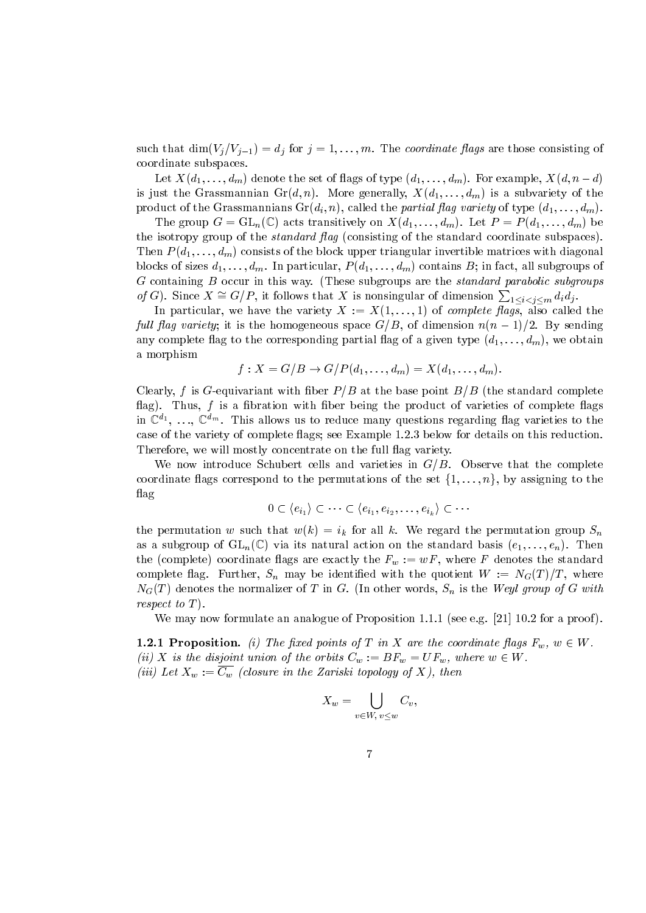such that  $\dim(V_j/V_{j-1}) = d_j$  for  $j = 1, ..., m$ . The coordinate flags are those consisting of coordinate subspaces.

Let  $X(d_1, \ldots, d_m)$  denote the set of flags of type  $(d_1, \ldots, d_m)$ . For example,  $X(d, n-d)$ is just the Grassmannian Gr(d, n). More generally,  $X(d_1, \ldots, d_m)$  is a subvariety of the product of the Grassmannians  $\mathrm{Gr}(d_i,n),$  called the *partial flag variety* of type  $(d_1,\ldots,d_m).$ 

The group  $G = GL_n(\mathbb{C})$  acts transitively on  $X(d_1, \ldots, d_m)$ . Let  $P = P(d_1, \ldots, d_m)$  be the isotropy group of the *standard flag* (consisting of the standard coordinate subspaces). Then  $P(d_1, \ldots, d_m)$  consists of the block upper triangular invertible matrices with diagonal blocks of sizes  $d_1, \ldots, d_m$ . In particular,  $P(d_1, \ldots, d_m)$  contains B; in fact, all subgroups of G containing  $B$  occur in this way. (These subgroups are the standard parabolic subgroups of G). Since  $X \cong G/P$ , it follows that X is nonsingular of dimension  $\sum_{1 \leq i < j \leq m} d_i d_j$ .

In particular, we have the variety  $X := X(1, \ldots, 1)$  of complete flags, also called the full flag variety; it is the homogeneous space  $G/B$ , of dimension  $n(n - 1)/2$ . By sending any complete flag to the corresponding partial flag of a given type  $(d_1, \ldots, d_m)$ , we obtain a morphism

$$
f: X = G/B \rightarrow G/P(d_1, \ldots, d_m) = X(d_1, \ldots, d_m).
$$

Clearly, f is G-equivariant with fiber  $P/B$  at the base point  $B/B$  (the standard complete flag). Thus,  $f$  is a fibration with fiber being the product of varieties of complete flags in  $\mathbb{C}^{d_1}, \ldots, \mathbb{C}^{d_m}$ . This allows us to reduce many questions regarding flag varieties to the case of the variety of complete 
ags; see Example 1.2.3 below for details on this reduction. Therefore, we will mostly concentrate on the full flag variety.

We now introduce Schubert cells and varieties in  $G/B$ . Observe that the complete coordinate flags correspond to the permutations of the set  $\{1,\ldots,n\}$ , by assigning to the flag

$$
0 \subset \langle e_{i_1} \rangle \subset \cdots \subset \langle e_{i_1}, e_{i_2}, \ldots, e_{i_k} \rangle \subset \cdots
$$

the permutation w such that  $w(k) = i_k$  for all k. We regard the permutation group  $S_n$ as a subgroup of  $GL_n(\mathbb{C})$  via its natural action on the standard basis  $(e_1,\ldots,e_n)$ . Then the (complete) coordinate flags are exactly the  $F_w := wF$ , where F denotes the standard complete flag. Further,  $S_n$  may be identified with the quotient  $W := N_G(T)/T$ , where  $N_G(T)$  denotes the normalizer of T in G. (In other words,  $S_n$  is the Weyl group of G with respect to T).

We may now formulate an analogue of Proposition 1.1.1 (see e.g. [21] 10.2 for a proof).

**1.2.1 Proposition.** (i) The fixed points of T in X are the coordinate flags  $F_w$ ,  $w \in W$ . (ii) X is the disjoint union of the orbits  $C_w := BF_w = UF_w$ , where  $w \in W$ . (iii) Let  $X_w := \overline{C_w}$  (closure in the Zariski topology of X), then

$$
X_w = \bigcup_{v \in W, v \leq w} C_v,
$$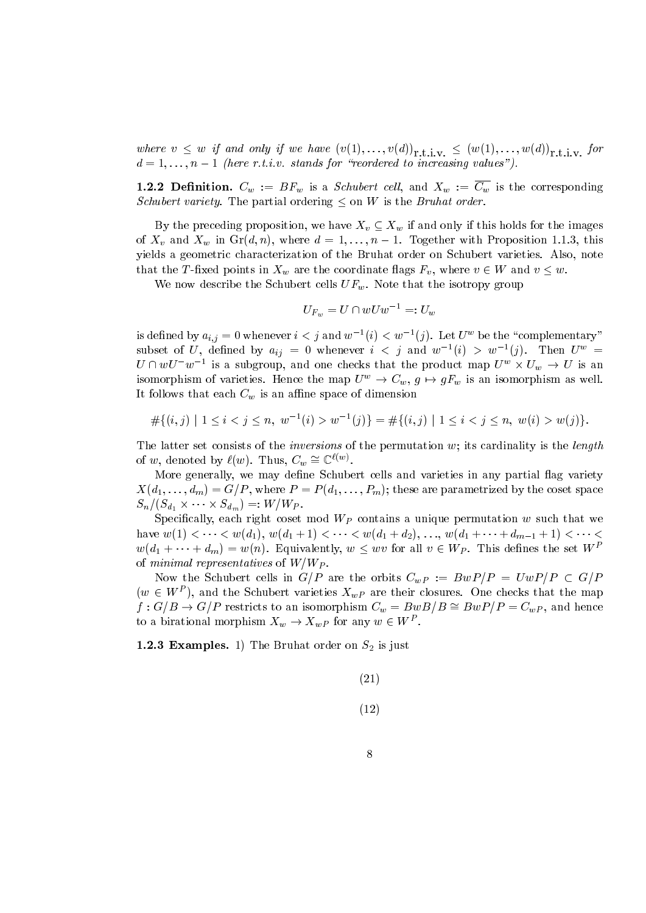where  $v \leq w$  if and only if we have  $(v(1), \ldots, v(d))_{r,t,i,V} \leq (w(1), \ldots, w(d))_{r,t,i,V}$  for  $d = 1, \ldots, n - 1$  (here r.t.i.v. stands for "reordered to increasing values").

**1.2.2 Definition.**  $C_w := BF_w$  is a *Schubert cell*, and  $X_w := \overline{C_w}$  is the corresponding Schubert variety. The partial ordering  $\leq$  on W is the Bruhat order.

By the preceding proposition, we have  $X_v \subseteq X_w$  if and only if this holds for the images of  $X_v$  and  $X_w$  in  $\text{Gr}(d, n)$ , where  $d = 1, \ldots, n-1$ . Together with Proposition 1.1.3, this yields a geometric characterization of the Bruhat order on Schubert varieties. Also, note that the T-fixed points in  $X_w$  are the coordinate flags  $F_v$ , where  $v \in W$  and  $v \leq w$ .

We now describe the Schubert cells  $UF_w$ . Note that the isotropy group

$$
U_{F_w} = U \cap wUw^{-1} =: U_w
$$

is defined by  $a_{i,j} = 0$  whenever  $i < j$  and  $w^{-1}(i) < w^{-1}(j)$ . Let  $U^w$  be the "complementary" subset of U, defined by  $a_{ij} = 0$  whenever  $i \leq j$  and  $w^{-1}(i) > w^{-1}(j)$ . Then  $U^w =$  $U \cap wU^-w^{-1}$  is a subgroup, and one checks that the product map  $U^w \times U_w \rightarrow U$  is an isomorphism of varieties. Hence the map  $U^w \to C_w$ ,  $g \mapsto gF_w$  is an isomorphism as well. It follows that each  $C_w$  is an affine space of dimension

$$
\#\{(i,j) \mid 1 \le i < j \le n, \ w^{-1}(i) > w^{-1}(j)\} = \#\{(i,j) \mid 1 \le i < j \le n, \ w(i) > w(j)\}.
$$

The latter set consists of the *inversions* of the permutation  $w$ ; its cardinality is the *length* of w, denoted by  $\ell(w)$ . Thus,  $C_w \cong \mathbb{C}^{\ell(w)}$ .

More generally, we may define Schubert cells and varieties in any partial flag variety  $X(d_1, \ldots, d_m) = G/P$ , where  $P = P(d_1, \ldots, P_m)$ ; these are parametrized by the coset space  $S_n/(S_{d_1} \times \cdots \times S_{d_m}) =: W/W_P.$ 

Specifically, each right coset mod  $W_P$  contains a unique permutation  $w$  such that we have  $w(1) < \cdots < w(d_1)$ ,  $w(d_1 + 1) < \cdots < w(d_1 + d_2)$ , ...,  $w(d_1 + \cdots + d_{m-1} + 1) < \cdots <$  $w(d_1 + \cdots + d_m) = w(n)$ . Equivalently,  $w \leq wv$  for all  $v \in W_P$ . This defines the set  $W^P$ of minimal representatives of  $W/W_P$ .

Now the Schubert cells in  $G/P$  are the orbits  $C_{WP} := BwP/P = UwP/P \subset G/P$  $(w \in W^P)$ , and the Schubert varieties  $X_{wp}$  are their closures. One checks that the map  $f: G/B \to G/P$  restricts to an isomorphism  $C_w = BwB/B \cong BwP/P = C_{wP}$ , and hence to a birational morphism  $X_w \to X_{wP}$  for any  $w \in W^P$ .

**1.2.3 Examples.** 1) The Bruhat order on  $S_2$  is just

(21)

$$
(12)
$$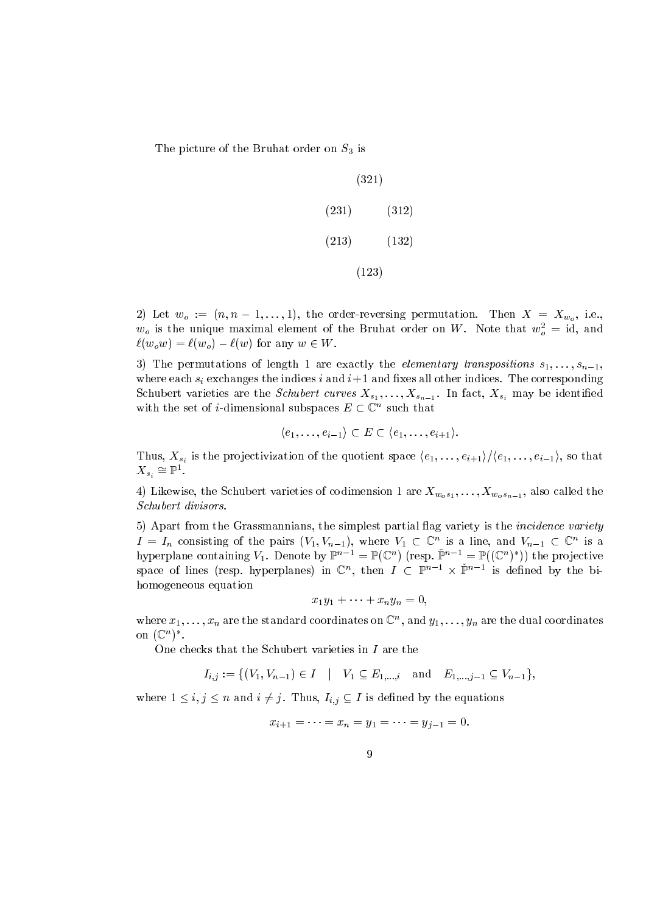The picture of the Bruhat order on  $S_3$  is

$$
(321)
$$
\n
$$
(231)
$$
\n
$$
(312)
$$
\n
$$
(213)
$$
\n
$$
(123)
$$

2) Let  $w_o := (n, n-1, \ldots, 1)$ , the order-reversing permutation. Then  $X = X_{w_o}$ , i.e.,  $w_0$  is the unique maximal element of the Bruhat order on W. Note that  $w_0^2 = id$ , and  $\ell(w_0w) = \ell(w_0) - \ell(w)$  for any  $w \in W$ .

3) The permutations of length 1 are exactly the *elementary transpositions*  $s_1, \ldots, s_{n-1}$ , where each  $s_i$  exchanges the indices i and  $i+1$  and fixes all other indices. The corresponding Schubert varieties are the *Schubert curves*  $X_{s_1}, \ldots, X_{s_{n-1}}$ . In fact,  $X_{s_i}$  may be identified with the set of *i*-dimensional subspaces  $E \subset \mathbb{C}^n$  such that

$$
\langle e_1,\ldots,e_{i-1}\rangle\subset E\subset\langle e_1,\ldots,e_{i+1}\rangle.
$$

Thus,  $X_{s_i}$  is the projectivization of the quotient space  $\langle e_1, \ldots, e_{i+1} \rangle / \langle e_1, \ldots, e_{i-1} \rangle$ , so that  $X_{s_i} \cong \mathbb{P}^1$ .

4) Likewise, the Schubert varieties of codimension 1 are  $X_{w_o s_1}, \ldots, X_{w_o s_{n-1}}$ , also called the Schubert divisors.

5) Apart from the Grassmannians, the simplest partial flag variety is the *incidence variety*  $I = I_n$  consisting of the pairs  $(V_1, V_{n-1})$ , where  $V_1 \subset \mathbb{C}^n$  is a line, and  $V_{n-1} \subset \mathbb{C}^n$  is a hyperplane containing  $V_1$ . Denote by  $\mathbb{P}^{n-1} = \mathbb{P}(\mathbb{C}^n)$  (resp.  $\check{\mathbb{P}}^{n-1} = \mathbb{P}((\mathbb{C}^n)^*)$ ) the projective space of lines (resp. hyperplanes) in  $\mathbb{C}^n$ , then  $I \subset \mathbb{P}^{n-1} \times \check{\mathbb{P}}^{n-1}$  is defined by the bihomogeneous equation

$$
x_1y_1+\cdots+x_ny_n=0,
$$

where  $x_1, \ldots, x_n$  are the standard coordinates on  $\mathbb{C}^n$ , and  $y_1, \ldots, y_n$  are the dual coordinates on  $(\mathbb{C}^n)^*$ .

One checks that the Schubert varieties in I are the

$$
I_{i,j} := \{ (V_1, V_{n-1}) \in I \mid V_1 \subseteq E_{1,\ldots,i} \text{ and } E_{1,\ldots,j-1} \subseteq V_{n-1} \},
$$

where  $1 \leq i, j \leq n$  and  $i \neq j$ . Thus,  $I_{i,j} \subseteq I$  is defined by the equations

$$
x_{i+1} = \cdots = x_n = y_1 = \cdots = y_{j-1} = 0.
$$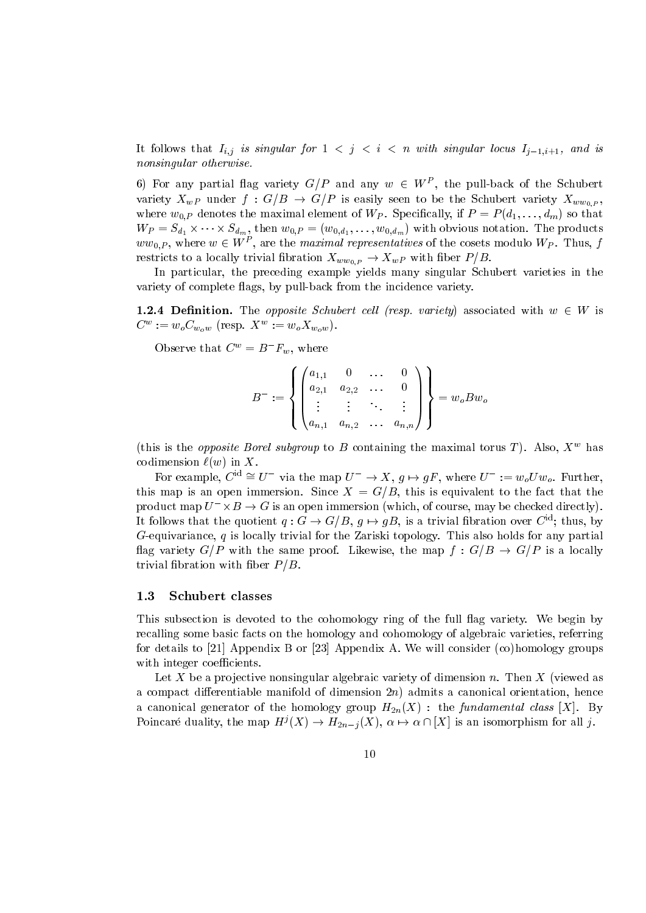It follows that  $I_{i,j}$  is singular for  $1 \lt j \lt i \lt n$  with singular locus  $I_{j-1,i+1}$ , and is nonsingular otherwise.

6) For any partial flag variety  $G/P$  and any  $w \in W^P$ , the pull-back of the Schubert variety  $X_{wP}$  under  $f: G/B \to G/P$  is easily seen to be the Schubert variety  $X_{ww_0,P}$ where  $w_{0,P}$  denotes the maximal element of  $W_P$ . Specifically, if  $P = P(d_1, \ldots, d_m)$  so that  $W_P = S_{d_1} \times \cdots \times S_{d_m}$ , then  $w_{0,P} = (w_{0,d_1}, \ldots, w_{0,d_m})$  with obvious notation. The products  $ww_{0,P}$ , where  $w \in \tilde{W}^P$ , are the *maximal representatives* of the cosets modulo  $W_P$ . Thus, f restricts to a locally trivial fibration  $X_{ww_{0,P}} \to X_{wP}$  with fiber  $P/B$ .

In particular, the preceding example yields many singular Schubert varieties in the variety of complete 
ags, by pull-back from the incidence variety.

**1.2.4 Definition.** The *opposite Schubert cell (resp. variety)* associated with  $w \in W$  is  $C^w := w_o C_{w_o w}$  (resp.  $X^w := w_o X_{w_o w}$ ).

Observe that  $C^w = B^-F_w$ , where

$$
B^{-} := \left\{ \begin{pmatrix} a_{1,1} & 0 & \dots & 0 \\ a_{2,1} & a_{2,2} & \dots & 0 \\ \vdots & \vdots & \ddots & \vdots \\ a_{n,1} & a_{n,2} & \dots & a_{n,n} \end{pmatrix} \right\} = w_o B w_o
$$

(this is the *opposite Borel subgroup* to B containing the maximal torus T). Also,  $X^w$  has codimension  $\ell(w)$  in X.

For example,  $C^{id} \cong U^-$  via the map  $U^- \to X$ ,  $g \mapsto gF$ , where  $U^- := w_0Uw_0$ . Further, this map is an open immersion. Since  $X = G/B$ , this is equivalent to the fact that the product map  $U^{-} \times B \to G$  is an open immersion (which, of course, may be checked directly). It follows that the quotient  $q: G \to G/B$ ,  $g \mapsto gB$ , is a trivial fibration over  $C^{id}$ ; thus, by G-equivariance,  $q$  is locally trivial for the Zariski topology. This also holds for any partial flag variety  $G/P$  with the same proof. Likewise, the map  $f : G/B \to G/P$  is a locally trivial fibration with fiber  $P/B$ .

### 1.3 Schubert classes

This subsection is devoted to the cohomology ring of the full flag variety. We begin by recalling some basic facts on the homology and cohomology of algebraic varieties, referring for details to [21] Appendix B or [23] Appendix A. We will consider (co)homology groups with integer coefficients.

Let X be a projective nonsingular algebraic variety of dimension n. Then X (viewed as a compact differentiable manifold of dimension  $2n$ ) admits a canonical orientation, hence a canonical generator of the homology group  $H_{2n}(X)$ : the fundamental class [X]. By Poincaré duality, the map  $H^j(X) \to H_{2n-j}(X)$ ,  $\alpha \mapsto \alpha \cap [X]$  is an isomorphism for all j.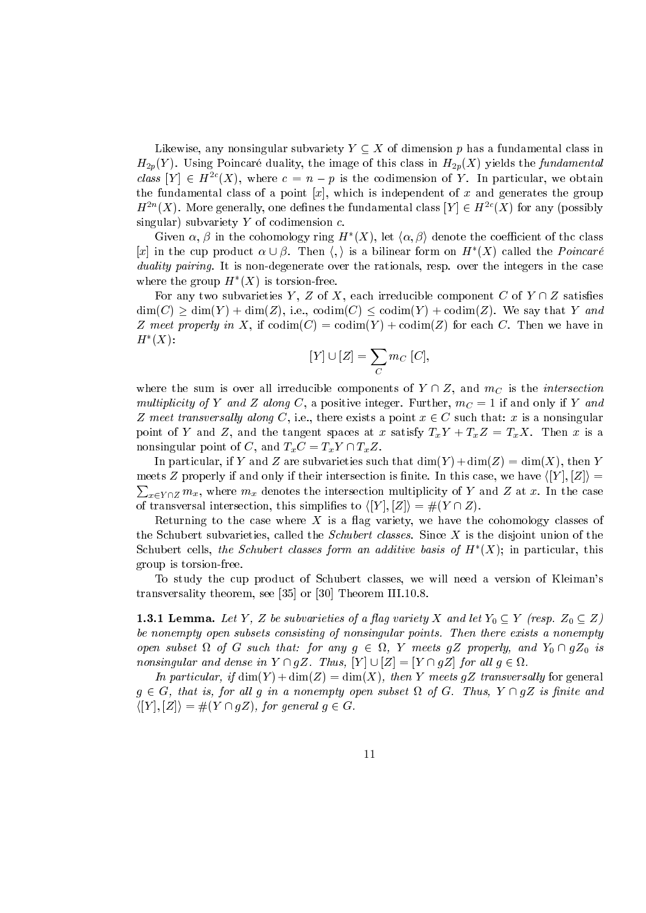Likewise, any nonsingular subvariety  $Y \subseteq X$  of dimension p has a fundamental class in  $H_{2p}(Y)$ . Using Poincaré duality, the image of this class in  $H_{2p}(X)$  yields the fundamental class  $[Y] \in H^{2c}(X)$ , where  $c = n - p$  is the codimension of Y. In particular, we obtain the fundamental class of a point  $[x]$ , which is independent of x and generates the group  $H^{2n}(X)$ . More generally, one defines the fundamental class  $[Y] \in H^{2c}(X)$  for any (possibly singular) subvariety  $Y$  of codimension  $c$ .

Given  $\alpha$ ,  $\beta$  in the cohomology ring  $H^*(X)$ , let  $\langle \alpha, \beta \rangle$  denote the coefficient of the class [x] in the cup product  $\alpha \cup \beta$ . Then  $\langle , \rangle$  is a bilinear form on  $H^*(X)$  called the *Poincaré* duality pairing. It is non-degenerate over the rationals, resp. over the integers in the case where the group  $H^*(X)$  is torsion-free.

For any two subvarieties Y, Z of X, each irreducible component C of  $Y \cap Z$  satisfies  $\dim(C) \geq \dim(Y) + \dim(Z)$ , i.e.,  $\operatorname{codim}(C) \leq \operatorname{codim}(Y) + \operatorname{codim}(Z)$ . We say that Y and Z meet properly in X, if  $\text{codim}(C) = \text{codim}(Y) + \text{codim}(Z)$  for each C. Then we have in  $H^*(X)$ :

$$
[Y]\cup[Z]=\sum_{C}m_{C}\;[C],
$$

where the sum is over all irreducible components of  $Y \cap Z$ , and  $m<sub>C</sub>$  is the *intersection* multiplicity of Y and Z along C, a positive integer. Further,  $m<sub>C</sub> = 1$  if and only if Y and Z meet transversally along C, i.e., there exists a point  $x \in C$  such that: x is a nonsingular point of Y and Z, and the tangent spaces at x satisfy  $T_xY + T_xZ = T_xX$ . Then x is a nonsingular point of C, and  $T_xC = T_xY \cap T_xZ$ .

In particular, if Y and Z are subvarieties such that  $\dim(Y) + \dim(Z) = \dim(X)$ , then Y meets Z properly if and only if their intersection is finite. In this case, we have  $\langle [Y], [Z] \rangle =$  $\sum_{x \in Y \cap Z} m_x$ , where  $m_x$  denotes the intersection multiplicity of Y and Z at x. In the case of transversal intersection, this simplifies to  $\langle [Y], [Z] \rangle = \#(Y \cap Z)$ .

Returning to the case where  $X$  is a flag variety, we have the cohomology classes of the Schubert subvarieties, called the *Schubert classes*. Since  $X$  is the disjoint union of the Schubert cells, the Schubert classes form an additive basis of  $H^*(X)$ ; in particular, this group is torsion-free.

To study the cup product of Schubert classes, we will need a version of Kleiman's transversality theorem, see [35] or [30] Theorem III.10.8.

**1.3.1 Lemma.** Let Y, Z be subvarieties of a flag variety X and let  $Y_0 \subseteq Y$  (resp.  $Z_0 \subseteq Z$ ) be nonempty open subsets consisting of nonsingular points. Then there exists a nonempty open subset  $\Omega$  of G such that: for any  $g \in \Omega$ , Y meets  $gZ$  properly, and  $Y_0 \cap gZ_0$  is nonsingular and dense in  $Y \cap gZ$ . Thus,  $[Y] \cup [Z] = [Y \cap gZ]$  for all  $g \in \Omega$ .

In particular, if  $\dim(Y) + \dim(Z) = \dim(X)$ , then Y meets gZ transversally for general  $g \,\in G,$  that is, for all  $g$  in a nonempty open subset  $\Omega$  of  $G.$  Thus,  $Y \cap gZ$  is finite and  $\langle [Y], [Z] \rangle = \#(Y \cap gZ),$  for general  $g \in G$ .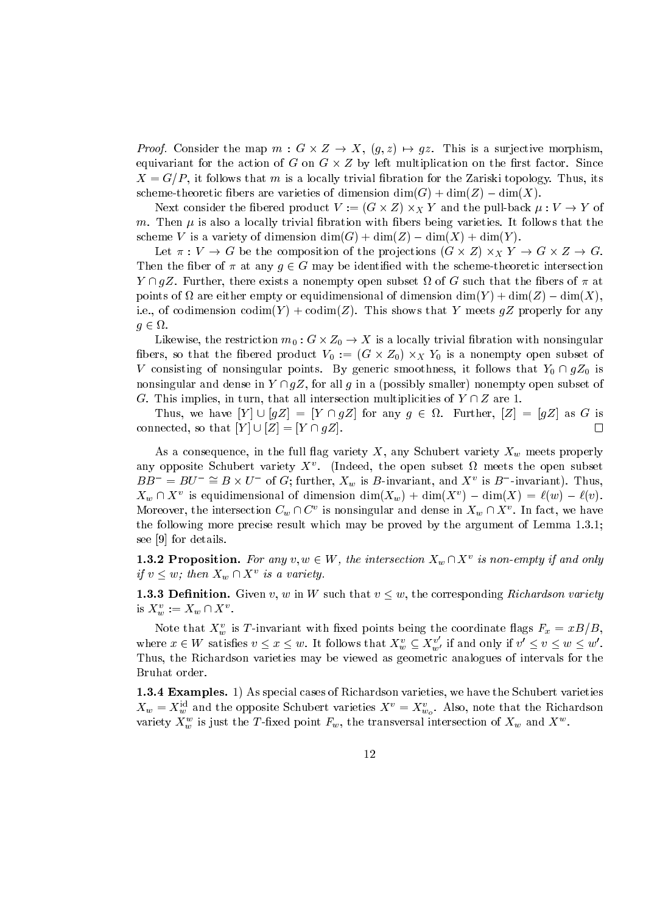*Proof.* Consider the map  $m: G \times Z \to X$ ,  $(g, z) \mapsto gz$ . This is a surjective morphism, equivariant for the action of G on  $G \times Z$  by left multiplication on the first factor. Since  $X = G/P$ , it follows that m is a locally trivial fibration for the Zariski topology. Thus, its scheme-theoretic fibers are varieties of dimension  $dim(G) + dim(Z) - dim(X)$ .

Next consider the fibered product  $V := (G \times Z) \times_X Y$  and the pull-back  $\mu : V \to Y$  of m. Then  $\mu$  is also a locally trivial fibration with fibers being varieties. It follows that the scheme V is a variety of dimension  $dim(G) + dim(Z) - dim(X) + dim(Y)$ .

Let  $\pi : V \to G$  be the composition of the projections  $(G \times Z) \times_X Y \to G \times Z \to G$ . Then the fiber of  $\pi$  at any  $g \in G$  may be identified with the scheme-theoretic intersection  $Y \cap gZ$ . Further, there exists a nonempty open subset  $\Omega$  of  $G$  such that the fibers of  $\pi$  at points of  $\Omega$  are either empty or equidimensional of dimension  $\dim(Y) + \dim(Z) - \dim(X)$ , i.e., of codimension  $\text{codim}(Y) + \text{codim}(Z)$ . This shows that Y meets gZ properly for any  $g \in \Omega$ .

Likewise, the restriction  $m_0: G\times Z_0 \to X$  is a locally trivial fibration with nonsingular fibers, so that the fibered product  $V_0 := (G \times Z_0) \times_X Y_0$  is a nonempty open subset of V consisting of nonsingular points. By generic smoothness, it follows that  $Y_0 \cap gZ_0$  is nonsingular and dense in  $Y \cap gZ$ , for all g in a (possibly smaller) nonempty open subset of G. This implies, in turn, that all intersection multiplicities of  $Y \cap Z$  are 1.

Thus, we have  $[Y] \cup [gZ] = [Y \cap gZ]$  for any  $g \in \Omega$ . Further,  $[Z] = [gZ]$  as G is connected, so that  $[Y] \cup [Z] = [Y \cap gZ].$  $\Box$ 

As a consequence, in the full flag variety  $X$ , any Schubert variety  $X_w$  meets properly any opposite Schubert variety  $X^v$ . (Indeed, the open subset  $\Omega$  meets the open subset  $BB^- = BU^- \cong B \times U^-$  of G; further,  $X_w$  is B-invariant, and  $X^v$  is B<sup>-</sup>-invariant). Thus,  $X_w \cap X^v$  is equidimensional of dimension  $\dim(X_w) + \dim(X^v) - \dim(X) = \ell(w) - \ell(v)$ . Moreover, the intersection  $C_w \cap C^v$  is nonsingular and dense in  $X_w \cap X^v$ . In fact, we have the following more precise result which may be proved by the argument of Lemma 1.3.1; see [9] for details.

**1.3.2 Proposition.** For any  $v, w \in W$ , the intersection  $X_w \cap X^v$  is non-empty if and only if  $v \leq w$ ; then  $X_w \cap X^v$  is a variety.

**1.3.3 Definition.** Given v, w in W such that  $v \leq w$ , the corresponding Richardson variety is  $X_w^v := X_w \cap X^v$ .

Note that  $X_w^v$  is T-invariant with fixed points being the coordinate flags  $F_x = xB/B$ , where  $x \in W$  satisfies  $v \le x \le w$ . It follows that  $X_w^v \subseteq X_{w'}^{v'}$  if and only if  $v' \le v \le w \le w'$ . Thus, the Richardson varieties may be viewed as geometric analogues of intervals for the Bruhat order.

1.3.4 Examples. 1) As special cases of Richardson varieties, we have the Schubert varieties  $X_w = X_w^{\text{id}}$  and the opposite Schubert varieties  $X^v = X_{w_o}^v$ . Also, note that the Richardson variety  $X_w^w$  is just the T-fixed point  $F_w$ , the transversal intersection of  $X_w$  and  $X^w$ .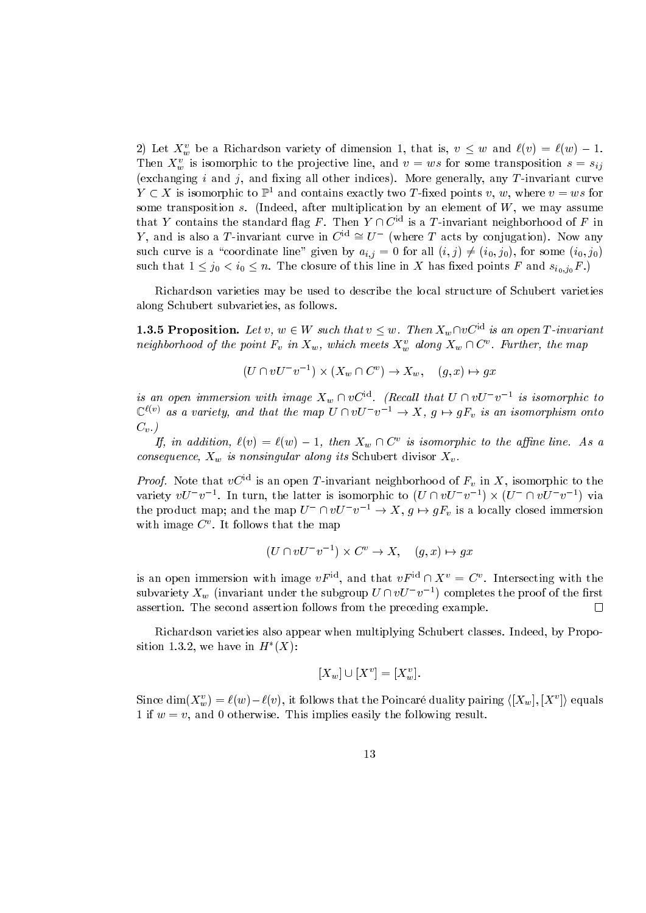2) Let  $X_w^v$  be a Richardson variety of dimension 1, that is,  $v \leq w$  and  $\ell(v) = \ell(w) - 1$ . Then  $X_w^v$  is isomorphic to the projective line, and  $v = ws$  for some transposition  $s = s_{ij}$ (exchanging i and j, and fixing all other indices). More generally, any  $T$ -invariant curve  $Y \subset X$  is isomorphic to  $\mathbb{P}^1$  and contains exactly two T-fixed points v, w, where  $v = ws$  for some transposition  $s$ . (Indeed, after multiplication by an element of  $W$ , we may assume that Y contains the standard flag F. Then  $Y \cap C^{\text{id}}$  is a T-invariant neighborhood of F in Y, and is also a T-invariant curve in  $C^{id} \cong U^-$  (where T acts by conjugation). Now any such curve is a "coordinate line" given by  $a_{i,j} = 0$  for all  $(i, j) \neq (i_0, j_0)$ , for some  $(i_0, j_0)$ such that  $1 \leq j_0 < i_0 \leq n$ . The closure of this line in X has fixed points F and  $s_{i_0,j_0}F$ .

Richardson varieties may be used to describe the local structure of Schubert varieties along Schubert subvarieties, as follows.

**1.3.5 Proposition.** Let v,  $w \in W$  such that  $v \leq w$ . Then  $X_w \cap vC^{\text{id}}$  is an open T-invariant neighborhood of the point  $F_v$  in  $X_w$ , which meets  $X_w^v$  along  $X_w \cap C^v$ . Further, the map

$$
(U \cap vU^-v^{-1}) \times (X_w \cap C^v) \to X_w, \quad (g, x) \mapsto gx
$$

is an open immersion with image  $X_w \cap vC^{\rm id}$ . (Recall that  $U \cap vU^-v^{-1}$  is isomorphic to  $\mathbb{C}^{\ell(v)}$  as a variety, and that the map  $U \cap vU^-v^{-1} \to X$ ,  $g \mapsto gF_v$  is an isomorphism onto  $C_v$ .)

If, in addition,  $\ell(v) = \ell(w) - 1$ , then  $X_w \cap C^v$  is isomorphic to the affine line. As a consequence,  $X_w$  is nonsingular along its Schubert divisor  $X_v$ .

*Proof.* Note that  $vC^{id}$  is an open T-invariant neighborhood of  $F_v$  in X, isomorphic to the variety  $vU^-v^{-1}$ . In turn, the latter is isomorphic to  $(U \cap vU^-v^{-1}) \times (U^- \cap vU^-v^{-1})$  via the product map; and the map  $U^- \cap vU^-v^{-1} \to X$ ,  $g \mapsto gF_v$  is a locally closed immersion with image  $C^v$ . It follows that the map

$$
(U \cap vU^{-}v^{-1}) \times C^{v} \to X, \quad (g, x) \mapsto gx
$$

is an open immersion with image  $vF^{id}$ , and that  $vF^{id} \cap X^v = C^v$ . Intersecting with the subvariety  $X_w$  (invariant under the subgroup  $U \cap vU^-v^{-1})$  completes the proof of the first assertion. The second assertion follows from the preceding example.  $\Box$ 

Richardson varieties also appear when multiplying Schubert classes. Indeed, by Proposition 1.3.2, we have in  $H^*(X)$ :

$$
[X_w] \cup [X^v] = [X_w^v].
$$

Since  $\dim(X_w^v) = \ell(w) - \ell(v)$ , it follows that the Poincaré duality pairing  $\langle [X_w], [X^v] \rangle$  equals 1 if  $w = v$ , and 0 otherwise. This implies easily the following result.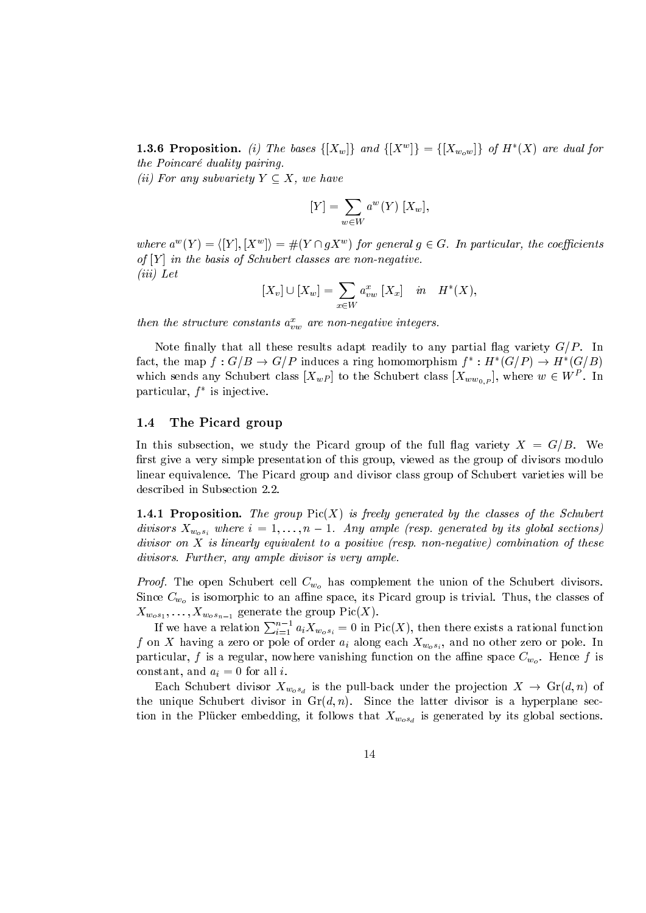**1.3.6 Proposition.** (i) The bases  $\{[X_w]\}$  and  $\{[X^w]\} = \{[X_{w_0w}]\}$  of  $H^*(X)$  are dual for the Poincaré duality pairing.

(ii) For any subvariety  $Y \subseteq X$ , we have

$$
[Y] = \sum_{w \in W} a^w(Y) [X_w],
$$

where  $a^w(Y) = \langle Y | X^w \rangle = \#(Y \cap gX^w)$  for general  $g \in G$ . In particular, the coefficients of  $[Y]$  in the basis of Schubert classes are non-negative. (iii) Let

$$
[X_v] \cup [X_w] = \sum_{x \in W} a_{vw}^x [X_x] \quad in \quad H^*(X),
$$

then the structure constants  $a_{vw}^x$  are non-negative integers.

Note finally that all these results adapt readily to any partial flag variety  $G/P$ . In fact, the map  $f: G/B \to G/P$  induces a ring homomorphism  $f^*: H^*(G/P) \to H^*(G/B)$ which sends any Schubert class  $[X_{wP}]$  to the Schubert class  $[X_{ww_0,P}]$ , where  $w \in W^P$ . In particular,  $f^*$  is injective.

### 1.4 The Picard group

In this subsection, we study the Picard group of the full flag variety  $X = G/B$ . We first give a very simple presentation of this group, viewed as the group of divisors modulo linear equivalence. The Picard group and divisor class group of Schubert varieties will be described in Subsection 2.2.

**1.4.1 Proposition.** The group  $Pic(X)$  is freely generated by the classes of the Schubert divisors  $X_{w_0 s_i}$  where  $i = 1, \ldots, n - 1$ . Any ample (resp. generated by its global sections) divisor on  $X$  is linearly equivalent to a positive (resp. non-negative) combination of these divisors. Further, any ample divisor is very ample.

*Proof.* The open Schubert cell  $C_{w_0}$  has complement the union of the Schubert divisors. Since  $C_{w_o}$  is isomorphic to an affine space, its Picard group is trivial. Thus, the classes of  $X_{w_o s_1}, \ldots, X_{w_o s_{n-1}}$  generate the group  $Pic(X)$ .

If we have a relation  $\sum_{i=1}^{n-1} a_i X_{w_i} = 0$  in  $Pic(X)$ , then there exists a rational function f on X having a zero or pole of order  $a_i$  along each  $X_{w_\sigma s_i}$ , and no other zero or pole. In particular,  $f$  is a regular, nowhere vanishing function on the affine space  $C_{w_o}$ . Hence  $f$  is constant, and  $a_i = 0$  for all i.

Each Schubert divisor  $X_{w_\sigma s_d}$  is the pull-back under the projection  $X \to \text{Gr}(d, n)$  of the unique Schubert divisor in  $\mathrm{Gr}(d, n)$ . Since the latter divisor is a hyperplane section in the Plücker embedding, it follows that  $X_{w_\sigma s_d}$  is generated by its global sections.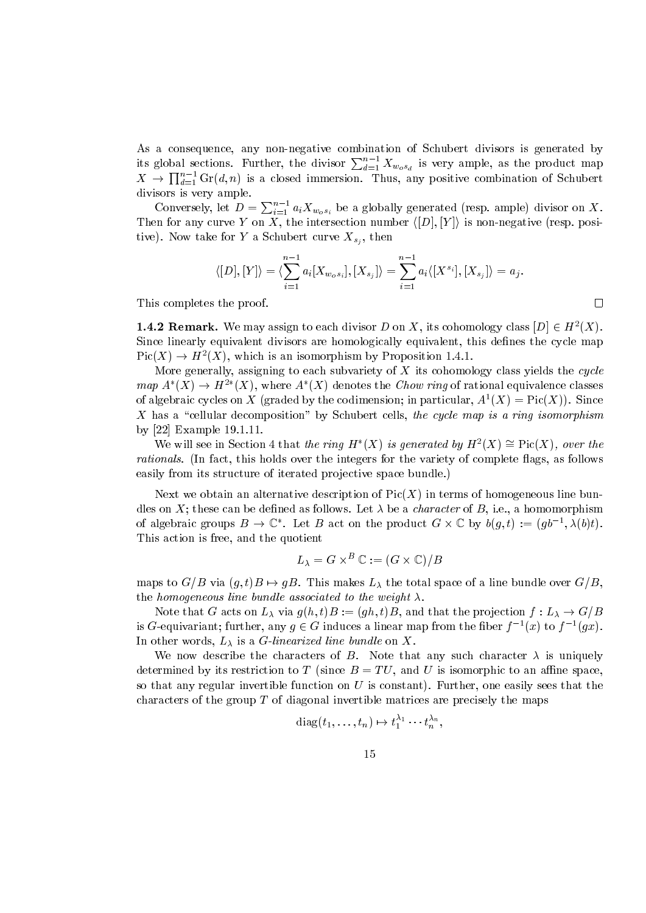As a consequence, any non-negative combination of Schubert divisors is generated by its global sections. Further, the divisor  $\sum_{d=1}^{n-1} X_{w_0 s_d}$  is very ample, as the product map  $X \to \prod_{d=1}^{n-1} \text{Gr}(d, n)$  is a closed immersion. Thus, any positive combination of Schubert divisors is very ample.

Conversely, let  $D = \sum_{i=1}^{n-1} a_i X_{w_i}$  be a globally generated (resp. ample) divisor on X. Then for any curve Y on X, the intersection number  $\langle [D], [Y] \rangle$  is non-negative (resp. positive). Now take for  $Y$  a Schubert curve  $X_{s_j}$ , then

$$
\langle [D],[Y] \rangle = \langle \sum_{i=1}^{n-1} a_i [X_{w_\circ s_i}], [X_{s_j}] \rangle = \sum_{i=1}^{n-1} a_i \langle [X^{s_i}], [X_{s_j}] \rangle = a_j.
$$

This completes the proof.

**1.4.2 Remark.** We may assign to each divisor D on X, its cohomology class  $[D] \in H^2(X)$ . Since linearly equivalent divisors are homologically equivalent, this defines the cycle map  $Pic(X) \to H^2(X)$ , which is an isomorphism by Proposition 1.4.1.

More generally, assigning to each subvariety of  $X$  its cohomology class yields the cycle map  $A^*(X) \to H^{2*}(X)$ , where  $A^*(X)$  denotes the *Chow ring* of rational equivalence classes of algebraic cycles on X (graded by the codimension; in particular,  $A^1(X) = Pic(X)$ ). Since X has a "cellular decomposition" by Schubert cells, the cycle map is a ring isomorphism by [22] Example 19.1.11.

We will see in Section 4 that the ring  $H^*(X)$  is generated by  $H^2(X) \cong Pic(X)$ , over the rationals. (In fact, this holds over the integers for the variety of complete flags, as follows easily from its structure of iterated projective space bundle.)

Next we obtain an alternative description of  $Pic(X)$  in terms of homogeneous line bundles on X; these can be defined as follows. Let  $\lambda$  be a *character* of B, i.e., a homomorphism of algebraic groups  $B \to \mathbb{C}^*$ . Let B act on the product  $G \times \mathbb{C}$  by  $b(g, t) := (gb^{-1}, \lambda(b)t)$ . This action is free, and the quotient

$$
L_{\lambda} = G \times^B \mathbb{C} := (G \times \mathbb{C})/B
$$

maps to  $G/B$  via  $(g, t)B \mapsto gB$ . This makes  $L_{\lambda}$  the total space of a line bundle over  $G/B$ , the homogeneous line bundle associated to the weight  $\lambda$ .

Note that G acts on  $L_{\lambda}$  via  $g(h, t)B := (gh, t)B$ , and that the projection  $f: L_{\lambda} \to G/B$ is G-equivariant; further, any  $g \in G$  induces a linear map from the fiber  $f^{-1}(x)$  to  $f^{-1}(gx)$ . In other words,  $L_{\lambda}$  is a *G*-linearized line bundle on X.

We now describe the characters of B. Note that any such character  $\lambda$  is uniquely determined by its restriction to T (since  $B = TU$ , and U is isomorphic to an affine space, so that any regular invertible function on  $U$  is constant). Further, one easily sees that the characters of the group  $T$  of diagonal invertible matrices are precisely the maps

$$
\mathrm{diag}(t_1,\ldots,t_n)\mapsto t_1^{\lambda_1}\cdots t_n^{\lambda_n},
$$

 $\Box$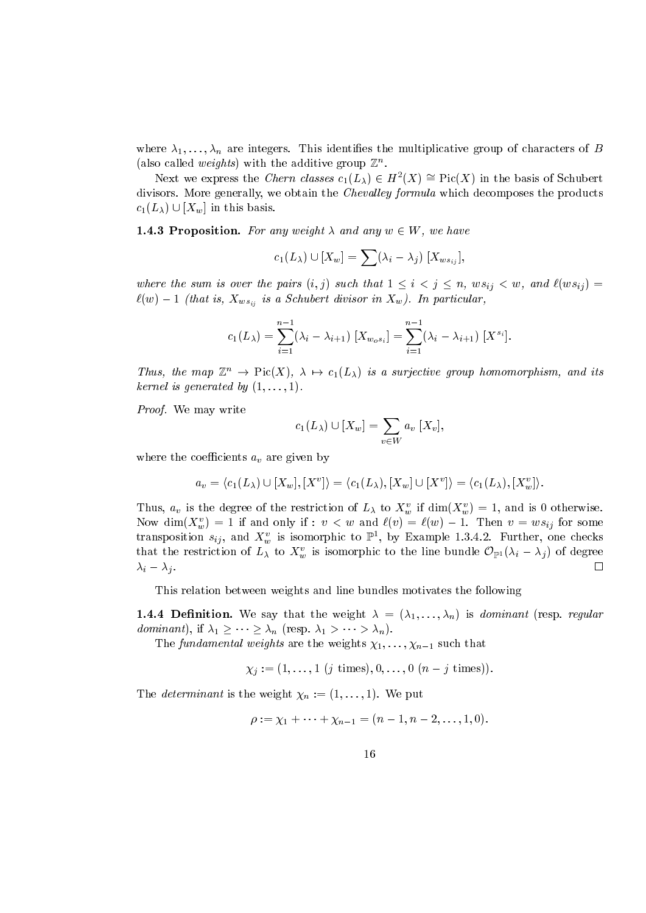where  $\lambda_1, \ldots, \lambda_n$  are integers. This identifies the multiplicative group of characters of B (also called *weights*) with the additive group  $\mathbb{Z}^n$ .

Next we express the *Chern classes*  $c_1(L_\lambda) \in H^2(X) \cong Pic(X)$  in the basis of Schubert divisors. More generally, we obtain the *Chevalley formula* which decomposes the products  $c_1(L_\lambda) \cup [X_w]$  in this basis.

**1.4.3 Proposition.** For any weight  $\lambda$  and any  $w \in W$ , we have

$$
c_1(L_\lambda) \cup [X_w] = \sum (\lambda_i - \lambda_j) [X_{ws_{ij}}],
$$

where the sum is over the pairs  $(i, j)$  such that  $1 \leq i < j \leq n$ ,  $ws_{ij} < w$ , and  $\ell(ws_{ij})$  $\ell(w) - 1$  (that is,  $X_{ws_{ij}}$  is a Schubert divisor in  $X_w$ ). In particular,

$$
c_1(L_{\lambda}) = \sum_{i=1}^{n-1} (\lambda_i - \lambda_{i+1}) [X_{w_{o}s_i}] = \sum_{i=1}^{n-1} (\lambda_i - \lambda_{i+1}) [X^{s_i}].
$$

Thus, the map  $\mathbb{Z}^n \to \mathrm{Pic}(X)$ ,  $\lambda \mapsto c_1(L_\lambda)$  is a surjective group homomorphism, and its kernel is generated by  $(1, \ldots, 1)$ .

Proof. We may write

$$
c_1(L_\lambda) \cup [X_w] = \sum_{v \in W} a_v [X_v],
$$

where the coefficients  $a<sub>v</sub>$  are given by

$$
a_v = \langle c_1(L_\lambda) \cup [X_w], [X^v] \rangle = \langle c_1(L_\lambda), [X_w] \cup [X^v] \rangle = \langle c_1(L_\lambda), [X^v_w] \rangle.
$$

Thus,  $a_v$  is the degree of the restriction of  $L_\lambda$  to  $X_w^v$  if  $\dim(X_w^v) = 1$ , and is 0 otherwise. Now dim $(X_w^v) = 1$  if and only if :  $v < w$  and  $\ell(v) = \ell(w) - 1$ . Then  $v = w s_{ij}$  for some transposition  $s_{ij}$ , and  $X_w^v$  is isomorphic to  $\mathbb{P}^1$ , by Example 1.3.4.2. Further, one checks that the restriction of  $L_{\lambda}$  to  $X_w^v$  is isomorphic to the line bundle  $\mathcal{O}_{\mathbb{P}^1}(\lambda_i - \lambda_j)$  of degree  $\lambda_i - \lambda_j$ .

This relation between weights and line bundles motivates the following

**1.4.4 Definition.** We say that the weight  $\lambda = (\lambda_1, \ldots, \lambda_n)$  is *dominant* (resp. *regular* dominant), if  $\lambda_1 \geq \cdots \geq \lambda_n$  (resp.  $\lambda_1 > \cdots > \lambda_n$ ).

The fundamental weights are the weights  $\chi_1, \ldots, \chi_{n-1}$  such that

$$
\chi_j := (1, \ldots, 1 \ (j \ \text{times}), 0, \ldots, 0 \ (n - j \ \text{times})).
$$

The *determinant* is the weight  $\chi_n := (1, \ldots, 1)$ . We put

$$
\rho := \chi_1 + \cdots + \chi_{n-1} = (n-1, n-2, \ldots, 1, 0).
$$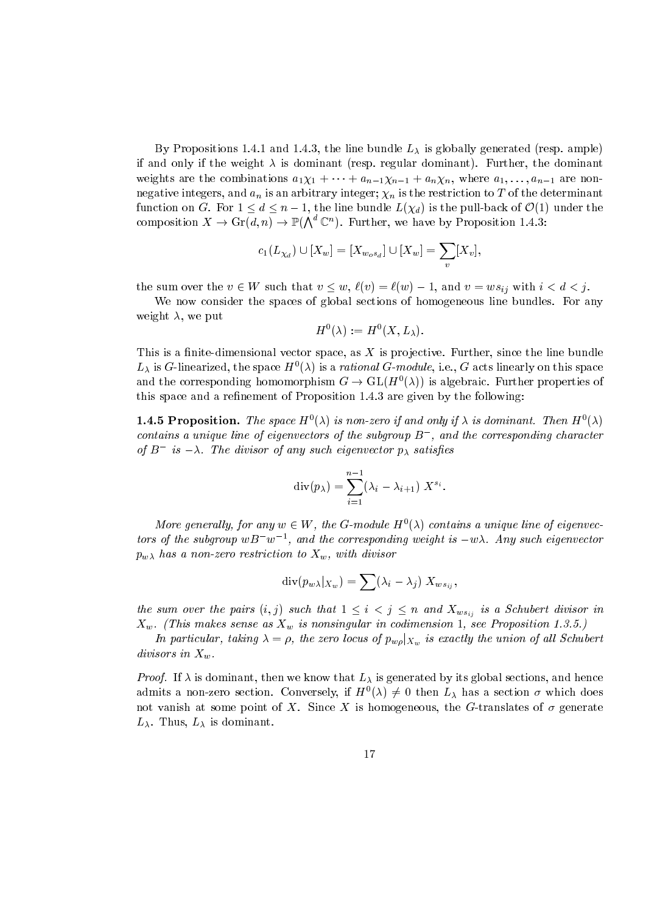By Propositions 1.4.1 and 1.4.3, the line bundle  $L_{\lambda}$  is globally generated (resp. ample) if and only if the weight  $\lambda$  is dominant (resp. regular dominant). Further, the dominant weights are the combinations  $a_1 \chi_1 + \cdots + a_{n-1} \chi_{n-1} + a_n \chi_n$ , where  $a_1, \ldots, a_{n-1}$  are nonnegative integers, and  $a_n$  is an arbitrary integer;  $\chi_n$  is the restriction to T of the determinant function on G. For  $1 \le d \le n - 1$ , the line bundle  $L(\chi_d)$  is the pull-back of  $\mathcal{O}(1)$  under the composition  $X \to \text{Gr}(d, n) \to \mathbb{P}(\bigwedge^d \mathbb{C}^n)$ . Further, we have by Proposition 1.4.3:

$$
c_1(L_{\chi_d}) \cup [X_w] = [X_{w_o s_d}] \cup [X_w] = \sum_{v} [X_v],
$$

the sum over the  $v \in W$  such that  $v \leq w$ ,  $\ell(v) = \ell(w) - 1$ , and  $v = ws_{ij}$  with  $i < d < j$ .

We now consider the spaces of global sections of homogeneous line bundles. For any weight  $\lambda$ , we put

$$
H^0(\lambda) := H^0(X, L_\lambda).
$$

This is a finite-dimensional vector space, as  $X$  is projective. Further, since the line bundle  $L_{\lambda}$  is G-linearized, the space  $H^0(\lambda)$  is a *rational G-module*, i.e., G acts linearly on this space and the corresponding homomorphism  $G \to GL(H^0(\lambda))$  is algebraic. Further properties of this space and a refinement of Proposition  $1.4.3$  are given by the following:

**1.4.5 Proposition.** The space  $H^0(\lambda)$  is non-zero if and only if  $\lambda$  is dominant. Then  $H^0(\lambda)$ contains a unique line of eigenvectors of the subgroup  $B^-$ , and the corresponding character of  $B^-$  is  $-\lambda$ . The divisor of any such eigenvector  $p_\lambda$  satisfies

$$
\operatorname{div}(p_{\lambda}) = \sum_{i=1}^{n-1} (\lambda_i - \lambda_{i+1}) X^{s_i}.
$$

More generally, for any  $w \in W$ , the G-module  $H^0(\lambda)$  contains a unique line of eigenvectors of the subgroup  $wB^{-}w^{-1}$ , and the corresponding weight is  $-w\lambda$ . Any such eigenvector  $p_{w\lambda}$  has a non-zero restriction to  $X_w$ , with divisor

$$
\mathrm{div}(p_{w\lambda}|_{X_w})=\sum(\lambda_i-\lambda_j)\;X_{ws_{ij}},
$$

the sum over the pairs  $(i, j)$  such that  $1 \leq i < j \leq n$  and  $X_{ws_{ij}}$  is a Schubert divisor in  $X_w$ . (This makes sense as  $X_w$  is nonsingular in codimension 1, see Proposition 1.3.5.)

In particular, taking  $\lambda = \rho$ , the zero locus of  $p_{w\rho}|_{X_w}$  is exactly the union of all Schubert divisors in  $X_w$ .

*Proof.* If  $\lambda$  is dominant, then we know that  $L_{\lambda}$  is generated by its global sections, and hence admits a non-zero section. Conversely, if  $H^0(\lambda) \neq 0$  then  $L_\lambda$  has a section  $\sigma$  which does not vanish at some point of X. Since X is homogeneous, the G-translates of  $\sigma$  generate  $L_{\lambda}$ . Thus,  $L_{\lambda}$  is dominant.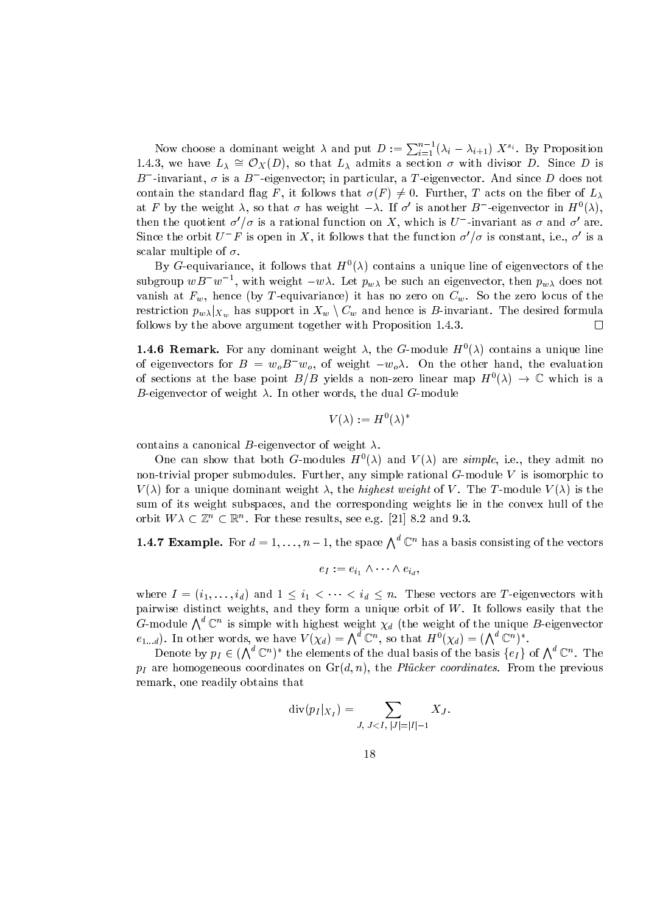Now choose a dominant weight  $\lambda$  and put  $D := \sum_{i=1}^{n-1} (\lambda_i - \lambda_{i+1}) X^{s_i}$ . By Proposition 1.4.3, we have  $L_{\lambda} \cong \mathcal{O}_X(D)$ , so that  $L_{\lambda}$  admits a section  $\sigma$  with divisor D. Since D is  $B^-$ -invariant,  $\sigma$  is a  $B^-$ -eigenvector; in particular, a T-eigenvector. And since D does not contain the standard flag F, it follows that  $\sigma(F) \neq 0$ . Further, T acts on the fiber of  $L_{\lambda}$ at F by the weight  $\lambda$ , so that  $\sigma$  has weight  $-\lambda$ . If  $\sigma'$  is another B<sup>-</sup>-eigenvector in  $H^0(\lambda)$ , then the quotient  $\sigma'/\sigma$  is a rational function on X, which is U<sup>-</sup>-invariant as  $\sigma$  and  $\sigma'$  are. Since the orbit  $U^-F$  is open in X, it follows that the function  $\sigma'/\sigma$  is constant, i.e.,  $\sigma'$  is a scalar multiple of  $\sigma$ .

By G-equivariance, it follows that  $H^0(\lambda)$  contains a unique line of eigenvectors of the subgroup  $wB^-w^{-1}$ , with weight  $-w\lambda$ . Let  $p_{w\lambda}$  be such an eigenvector, then  $p_{w\lambda}$  does not vanish at  $F_w$ , hence (by T-equivariance) it has no zero on  $C_w$ . So the zero locus of the restriction  $p_{w\lambda}|_{X_w}$  has support in  $X_w \setminus C_w$  and hence is B-invariant. The desired formula follows by the above argument together with Proposition 1.4.3. follows by the above argument together with Proposition 1.4.3.

**1.4.6 Remark.** For any dominant weight  $\lambda$ , the G-module  $H^0(\lambda)$  contains a unique line of eigenvectors for  $B = w_0 B^- w_0$ , of weight  $-w_0 \lambda$ . On the other hand, the evaluation of sections at the base point  $B/B$  yields a non-zero linear map  $H^0(\lambda) \to \mathbb{C}$  which is a B-eigenvector of weight  $\lambda$ . In other words, the dual G-module

$$
V(\lambda) := H^0(\lambda)^*
$$

contains a canonical B-eigenvector of weight  $\lambda$ .

One can show that both G-modules  $H^0(\lambda)$  and  $V(\lambda)$  are *simple*, i.e., they admit no non-trivial proper submodules. Further, any simple rational  $G$ -module  $V$  is isomorphic to  $V(\lambda)$  for a unique dominant weight  $\lambda$ , the highest weight of V. The T-module  $V(\lambda)$  is the sum of its weight subspaces, and the corresponding weights lie in the convex hull of the orbit  $W\lambda \subset \mathbb{Z}^n \subset \mathbb{R}^n$ . For these results, see e.g. [21] 8.2 and 9.3.

**1.4.7 Example.** For  $d = 1, ..., n-1$ , the space  $\bigwedge^d \mathbb{C}^n$  has a basis consisting of the vectors

$$
e_I := e_{i_1} \wedge \cdots \wedge e_{i_d},
$$

where  $I = (i_1, \ldots, i_d)$  and  $1 \leq i_1 < \cdots < i_d \leq n$ . These vectors are T-eigenvectors with pairwise distinct weights, and they form a unique orbit of  $W$ . It follows easily that the G-module  $\bigwedge^d \mathbb{C}^n$  is simple with highest weight  $\chi_d$  (the weight of the unique B-eigenvector  $e_{1...d}$ ). In other words, we have  $V(\chi_d) = \Lambda^d \mathbb{C}^n$ , so that  $H^0(\chi_d) = (\Lambda^d \mathbb{C}^n)^*$ .

Denote by  $p_I \in (\bigwedge^d \mathbb{C}^n)^*$  the elements of the dual basis of the basis  $\{e_I\}$  of  $\bigwedge^d \mathbb{C}^n$ . The  $p_I$  are homogeneous coordinates on  $\text{Gr}(d, n)$ , the *Plucker coordinates*. From the previous remark, one readily obtains that

$$
\mathrm{div}(p_I|_{X_I}) = \sum_{J, J < I, |J| = |I| - 1} X_J.
$$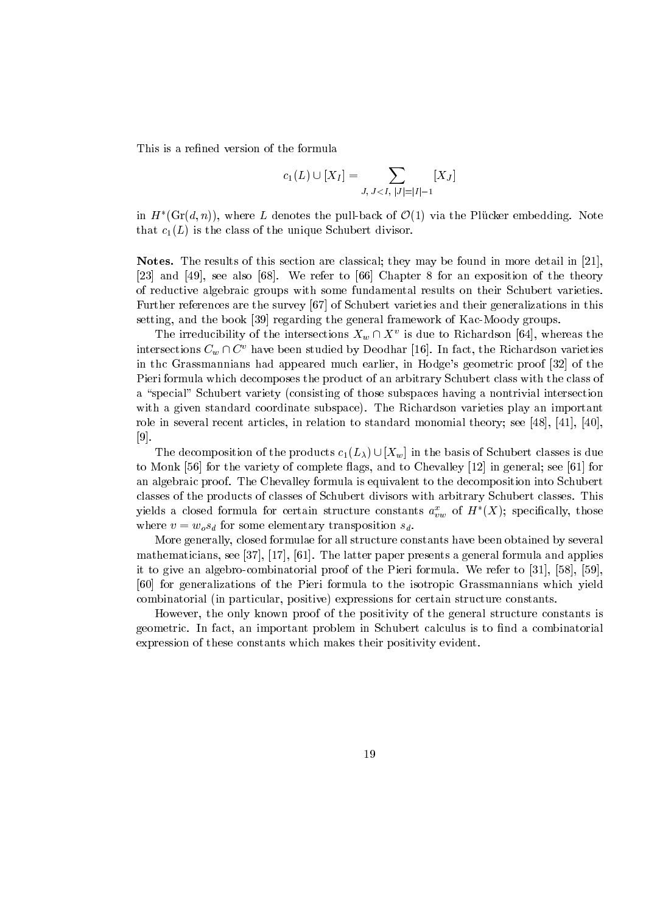This is a refined version of the formula

$$
c_1(L) \cup [X_I] = \sum_{J, J < I, |J| = |I| - 1} [X_J]
$$

in  $H^*(\mathrm{Gr}(d,n))$ , where L denotes the pull-back of  $\mathcal{O}(1)$  via the Plücker embedding. Note that  $c_1(L)$  is the class of the unique Schubert divisor.

Notes. The results of this section are classical; they may be found in more detail in [21], [23] and [49], see also [68]. We refer to [66] Chapter 8 for an exposition of the theory of reductive algebraic groups with some fundamental results on their Schubert varieties. Further references are the survey [67] of Schubert varieties and their generalizations in this setting, and the book [39] regarding the general framework of Kac-Moody groups.

The irreducibility of the intersections  $X_w \cap X^v$  is due to Richardson [64], whereas the intersections  $C_w \cap C^v$  have been studied by Deodhar [16]. In fact, the Richardson varieties in thc Grassmannians had appeared much earlier, in Hodge's geometric proof [32] of the Pieri formula which decomposes the product of an arbitrary Schubert class with the class of a "special" Schubert variety (consisting of those subspaces having a nontrivial intersection with a given standard coordinate subspace). The Richardson varieties play an important role in several recent articles, in relation to standard monomial theory; see [48], [41], [40], [9].

The decomposition of the products  $c_1(L_\lambda) \cup [X_w]$  in the basis of Schubert classes is due to Monk  $[56]$  for the variety of complete flags, and to Chevalley  $[12]$  in general; see [61] for an algebraic proof. The Chevalley formula is equivalent to the decomposition into Schubert classes of the products of classes of Schubert divisors with arbitrary Schubert classes. This yields a closed formula for certain structure constants  $a_{vw}^x$  of  $H^*(X)$ ; specifically, those where  $v = w_0 s_d$  for some elementary transposition  $s_d$ .

More generally, closed formulae for all structure constants have been obtained by several mathematicians, see [37], [17], [61]. The latter paper presents a general formula and applies it to give an algebro-combinatorial proof of the Pieri formula. We refer to [31], [58], [59], [60] for generalizations of the Pieri formula to the isotropic Grassmannians which yield combinatorial (in particular, positive) expressions for certain structure constants.

However, the only known proof of the positivity of the general structure constants is geometric. In fact, an important problem in Schubert calculus is to find a combinatorial expression of these constants which makes their positivity evident.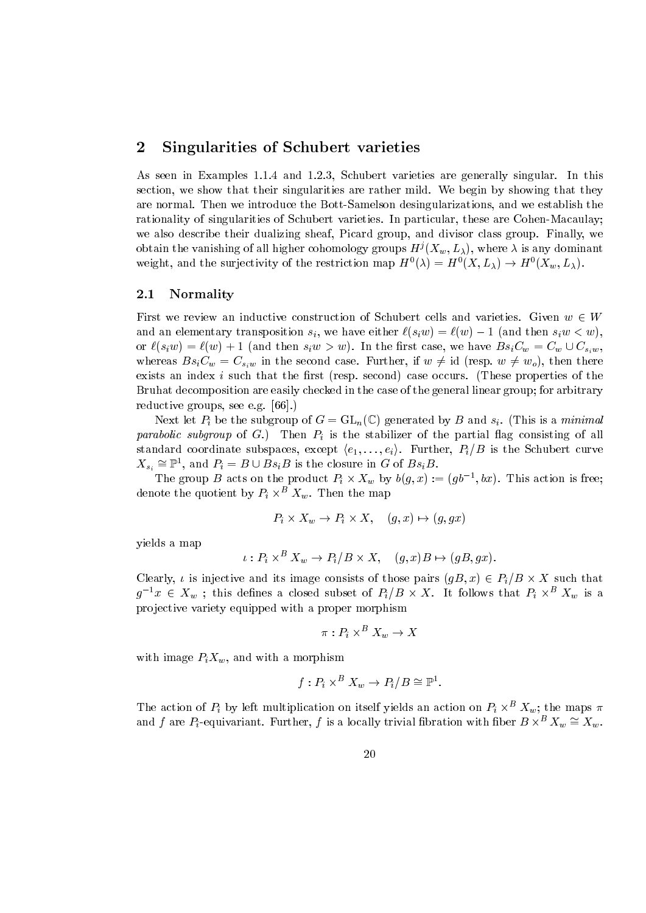### 2 Singularities of Schubert varieties

As seen in Examples 1.1.4 and 1.2.3, Schubert varieties are generally singular. In this section, we show that their singularities are rather mild. We begin by showing that they are normal. Then we introduce the Bott-Samelson desingularizations, and we establish the rationality of singularities of Schubert varieties. In particular, these are Cohen-Macaulay; we also describe their dualizing sheaf, Picard group, and divisor class group. Finally, we obtain the vanishing of all higher cohomology groups  $H^j(X_w, L_\lambda)$ , where  $\lambda$  is any dominant weight, and the surjectivity of the restriction map  $H^0(\lambda) = H^0(X, L_\lambda) \to H^0(X_w, L_\lambda)$ .

### 2.1 Normality

First we review an inductive construction of Schubert cells and varieties. Given  $w \in W$ and an elementary transposition  $s_i$ , we have either  $\ell(s_i w) = \ell(w) - 1$  (and then  $s_i w < w$ ), or  $\ell(s_i w) = \ell(w) + 1$  (and then  $s_i w > w$ ). In the first case, we have  $Bs_iC_w = C_w \cup C_{s_i w}$ , whereas  $Bs_iC_w = C_{s_iw}$  in the second case. Further, if  $w \neq id$  (resp.  $w \neq w_o$ ), then there exists an index  $i$  such that the first (resp. second) case occurs. (These properties of the Bruhat decomposition are easily checked in the case of the general linear group; for arbitrary reductive groups, see e.g. [66].)

Next let  $P_i$  be the subgroup of  $G = GL_n(\mathbb{C})$  generated by B and  $s_i$ . (This is a minimal parabolic subgroup of  $G$ .) Then  $P_i$  is the stabilizer of the partial flag consisting of all standard coordinate subspaces, except  $\langle e_1, \ldots, e_i \rangle$ . Further,  $P_i/B$  is the Schubert curve  $X_{s_i} \cong \mathbb{P}^1$ , and  $P_i = B \cup Bs_iB$  is the closure in G of  $Bs_iB$ .

The group B acts on the product  $P_i \times X_w$  by  $b(g, x) := (gb^{-1}, bx)$ . This action is free; denote the quotient by  $P_i \times^B X_w$ . Then the map

$$
P_i \times X_w \to P_i \times X, \quad (g, x) \mapsto (g, gx)
$$

yields a map

$$
\iota: P_i \times^B X_w \to P_i/B \times X, \quad (g, x)B \mapsto (gB, gx).
$$

Clearly, *i* is injective and its image consists of those pairs  $(gB, x) \in P_i/B \times X$  such that  $g^{-1}x \in X_w$ ; this defines a closed subset of  $P_i/B \times X$ . It follows that  $P_i \times^B X_w$  is a projective variety equipped with a proper morphism

$$
\pi: P_i \times^B X_w \to X
$$

with image  $P_i X_w$ , and with a morphism

$$
f: P_i \times^B X_w \to P_i/B \cong \mathbb{P}^1.
$$

The action of  $P_i$  by left multiplication on itself yields an action on  $P_i \times^B X_w$ ; the maps  $\pi$ and f are  $P_i$ -equivariant. Further, f is a locally trivial fibration with fiber  $B \times^B X_w \cong X_w$ .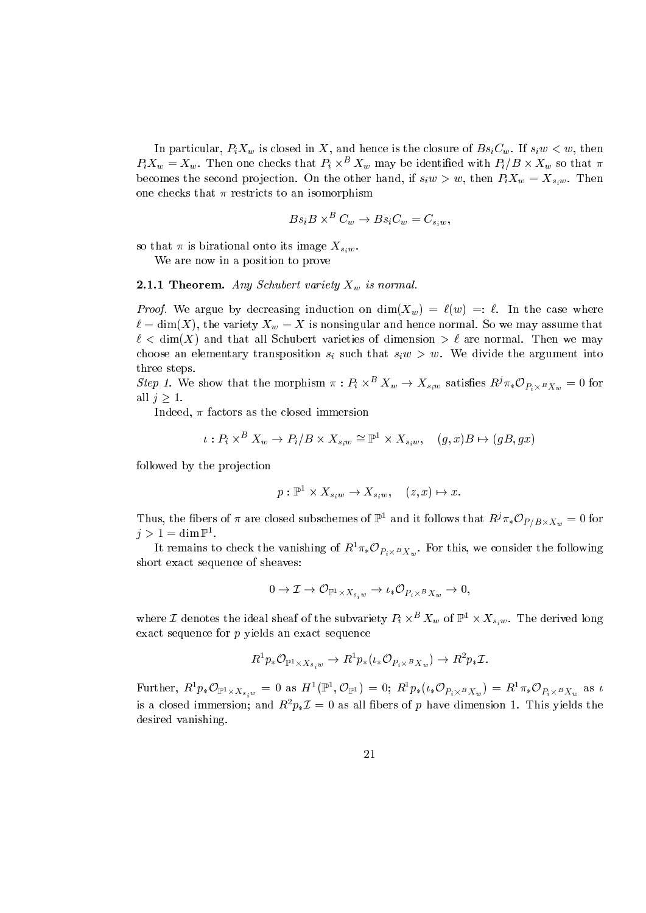In particular,  $P_i X_w$  is closed in X, and hence is the closure of  $Bs_iC_w$ . If  $s_iw < w$ , then  $P_i X_w = X_w$ . Then one checks that  $P_i \times^B X_w$  may be identified with  $P_i/B \times X_w$  so that  $\pi$ becomes the second projection. On the other hand, if  $s_i w > w$ , then  $P_i X_w = X_{s_i w}$ . Then one checks that  $\pi$  restricts to an isomorphism

$$
Bs_iB \times^B C_w \to Bs_iC_w = C_{s_iw},
$$

so that  $\pi$  is birational onto its image  $X_{s_iw}$ .

We are now in a position to prove

### **2.1.1 Theorem.** Any Schubert variety  $X_w$  is normal.

*Proof.* We argue by decreasing induction on  $dim(X_w) = \ell(w) =: \ell$ . In the case where  $\ell = \dim(X)$ , the variety  $X_w = X$  is nonsingular and hence normal. So we may assume that  $\ell < \dim(X)$  and that all Schubert varieties of dimension  $\ell$  are normal. Then we may choose an elementary transposition  $s_i$  such that  $s_i w > w$ . We divide the argument into three steps.

Step 1. We show that the morphism  $\pi: P_i \times^B X_w \to X_{s_iw}$  satisfies  $R^j \pi_* \mathcal{O}_{P_i \times^B X_w} = 0$  for all  $i > 1$ .

Indeed,  $\pi$  factors as the closed immersion

$$
\iota: P_i \times^B X_w \to P_i/B \times X_{s_i w} \cong \mathbb{P}^1 \times X_{s_i w}, \quad (g, x)B \mapsto (g, g, g)
$$

followed by the projection

$$
p: \mathbb{P}^1 \times X_{s_i w} \to X_{s_i w}, \quad (z, x) \mapsto x.
$$

Thus, the fibers of  $\pi$  are closed subschemes of  $\mathbb{P}^1$  and it follows that  $R^j \pi_* \mathcal{O}_{P/B \times X_w} = 0$  for  $j > 1 = \dim \mathbb{P}^1$ .

It remains to check the vanishing of  $R^1 \pi_* \mathcal{O}_{P_i \times B_{X_w}}$ . For this, we consider the following short exact sequence of sheaves:

$$
0 \to \mathcal{I} \to \mathcal{O}_{\mathbb{P}^1 \times X_{s_i w}} \to \iota_* \mathcal{O}_{P_i \times^B X_w} \to 0,
$$

where  $\mathcal I$  denotes the ideal sheaf of the subvariety  $P_i \times^B X_w$  of  $\mathbb{P}^1 \times X_{s_iw}$ . The derived long exact sequence for  $p$  yields an exact sequence

$$
R^1 p_* \mathcal{O}_{\mathbb{P}^1 \times X_{s_i w}} \to R^1 p_* (\iota_* \mathcal{O}_{P_i \times^B X_w}) \to R^2 p_* \mathcal{I}.
$$

Further,  $R^1p_*\mathcal{O}_{\mathbb{P}^1\times X_{s_iw}}=0$  as  $H^1(\mathbb{P}^1,\mathcal{O}_{\mathbb{P}^1})=0;$   $R^1p_*(\iota_*\mathcal{O}_{P_i\times^BX_w})=R^1\pi_*\mathcal{O}_{P_i\times^BX_w}$  as a is a closed immersion; and  $R^2p_*\mathcal{I}=0$  as all fibers of p have dimension 1. This yields the desired vanishing.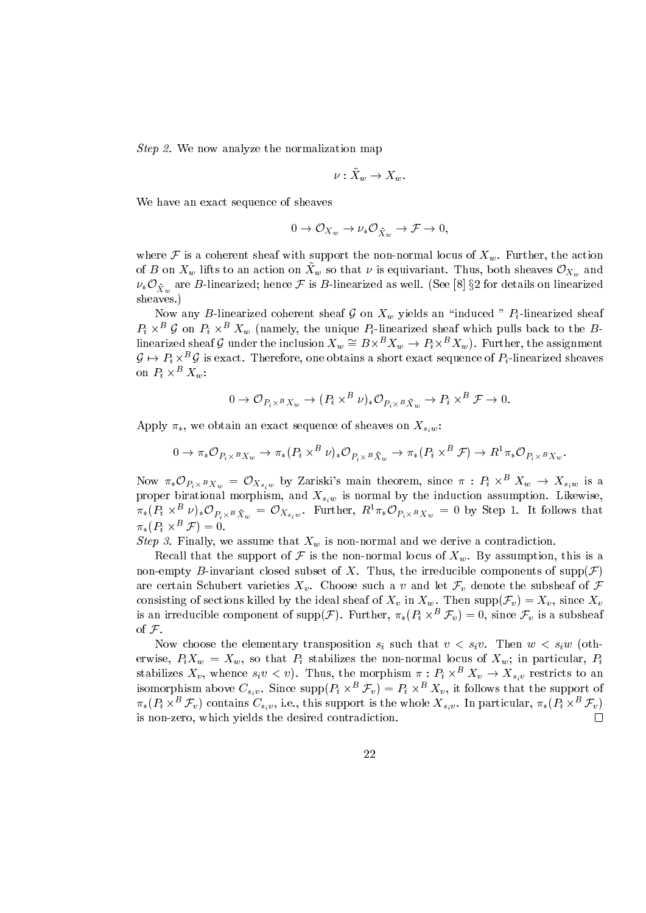Step 2. We now analyze the normalization map

$$
\nu: \tilde X_w \to X_w.
$$

We have an exact sequence of sheaves

$$
0 \to \mathcal{O}_{X_w} \to \nu_* \mathcal{O}_{\tilde{X}_w} \to \mathcal{F} \to 0,
$$

where F is a coherent sheaf with support the non-normal locus of  $X_w$ . Further, the action of B on  $X_w$  lifts to an action on  $X_w$  so that  $\nu$  is equivariant. Thus, both sheaves  $\mathcal{O}_{X_w}$  and  $\nu_*\mathcal{O}_{\tilde{X}_w}$  are B-linearized; hence  $\mathcal F$  is B-linearized as well. (See [8] §2 for details on linearized sheaves.)

Now any B-linearized coherent sheaf G on  $X_w$  yields an "induced "  $P_i$ -linearized sheaf  $P_i \times^B \mathcal{G}$  on  $P_i \times^B X_w$  (namely, the unique  $P_i$ -linearized sheaf which pulls back to the Blinearized sheaf G under the inclusion  $X_w \cong B \times^B X_w \to P_i \times^B X_w$ ). Further, the assignment  $\mathcal{G} \mapsto P_i \times^B \mathcal{G}$  is exact. Therefore, one obtains a short exact sequence of  $P_i$ -linearized sheaves on  $P_i \times^B X_w$ :

$$
0 \to \mathcal{O}_{P_i \times^B X_w} \to (P_i \times^B \nu)_* \mathcal{O}_{P_i \times^B \tilde{X}_w} \to P_i \times^B \mathcal{F} \to 0.
$$

Apply  $\pi_*$ , we obtain an exact sequence of sheaves on  $X_{s,w}$ :

$$
0 \to \pi_*\mathcal{O}_{P_i \times^B X_w} \to \pi_*(P_i \times^B \nu)_*\mathcal{O}_{P_i \times^B \tilde{X}_w} \to \pi_*(P_i \times^B \mathcal{F}) \to R^1\pi_*\mathcal{O}_{P_i \times^B X_w}.
$$

Now  $\pi_* \mathcal{O}_{P_i \times B_{X_w}} = \mathcal{O}_{X_{s_i w}}$  by Zariski's main theorem, since  $\pi : P_i \times^B X_w \to X_{s_i w}$  is a proper birational morphism, and  $X_{s_iw}$  is normal by the induction assumption. Likewise,  $(\mathcal{F}_{*}(P_{i} \times B_{\nu})_{*} \mathcal{O}_{P_{i} \times B_{\tilde{X}_{w}}} = \mathcal{O}_{X_{s_{i}w}}$ . Further,  $R^{1}\pi_{*}\mathcal{O}_{P_{i} \times B_{X_{w}}} = 0$  by Step 1. It follows that  $\pi_*(P_i \times^B \mathcal{F}) = 0.$ 

Step 3. Finally, we assume that  $X_w$  is non-normal and we derive a contradiction.

Recall that the support of F is the non-normal locus of  $X_w$ . By assumption, this is a non-empty B-invariant closed subset of X. Thus, the irreducible components of  $\text{supp}(\mathcal{F})$ are certain Schubert varieties  $X_v$ . Choose such a v and let  $\mathcal{F}_v$  denote the subsheaf of  $\mathcal F$ consisting of sections killed by the ideal sheaf of  $X_v$  in  $X_w$ . Then  $supp(\mathcal{F}_v) = X_v$ , since  $X_v$ is an irreducible component of supp $(\mathcal{F})$ . Further,  $\pi_*(P_i \times^B \mathcal{F}_v) = 0$ , since  $\mathcal{F}_v$  is a subsheaf of  $\mathcal F$ .

Now choose the elementary transposition  $s_i$  such that  $v < s_i v$ . Then  $w < s_i w$  (otherwise,  $P_i X_w = X_w$ , so that  $P_i$  stabilizes the non-normal locus of  $X_w$ ; in particular,  $P_i$ stabilizes  $X_v$ , whence  $s_i v < v$ ). Thus, the morphism  $\pi : P_i \times^B X_v \to X_{s_i v}$  restricts to an isomorphism above  $C_{s_i v}$ . Since  $\text{supp}(P_i \times^B \mathcal{F}_v) = P_i \times^B X_v$ , it follows that the support of  $\pi_*(P_i \times^B \mathcal{F}_v)$  contains  $C_{s_i v}$ , i.e., this support is the whole  $X_{s_i v}$ . In particular,  $\pi_*(P_i \times^B \mathcal{F}_v)$ is non-zero, which yields the desired contradiction.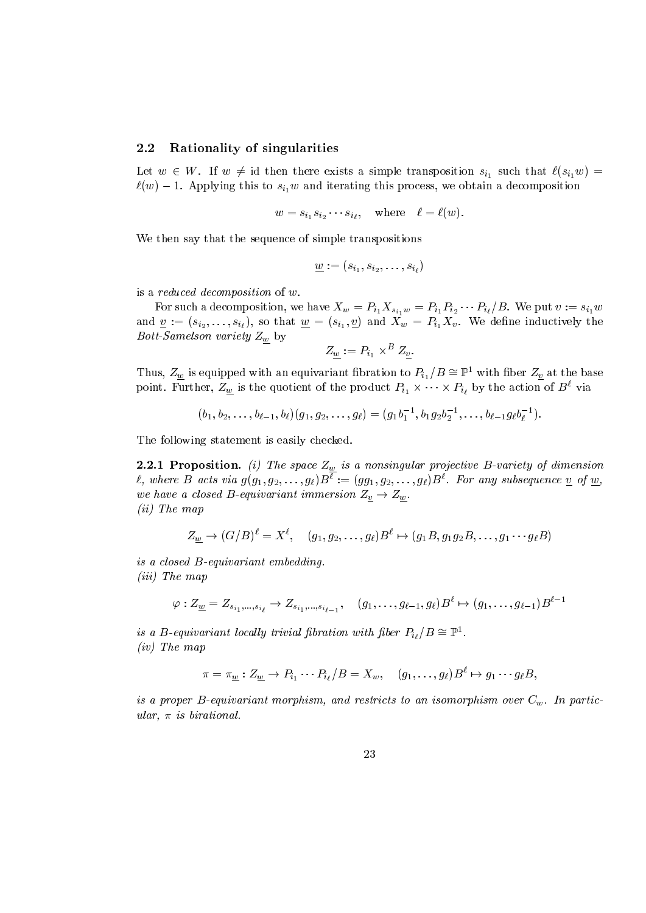### 2.2 Rationality of singularities

Let  $w \in W$ . If  $w \neq id$  then there exists a simple transposition  $s_{i_1}$  such that  $\ell(s_{i_1}w)$  =  $\ell(w) - 1$ . Applying this to  $s_{i1}w$  and iterating this process, we obtain a decomposition

$$
w = s_{i_1} s_{i_2} \cdots s_{i_\ell}, \quad \text{where} \quad \ell = \ell(w).
$$

We then say that the sequence of simple transpositions

$$
\underline{w}:=(s_{i_1},s_{i_2},\ldots,s_{i_\ell})
$$

is a reduced decomposition of w.

For such a decomposition, we have  $X_w = P_{i_1} X_{s_{i_1}w} = P_{i_1} P_{i_2} \cdots P_{i_\ell}/B$ . We put  $v := s_{i_1}w$ and  $\underline{v} := (s_{i_2}, \ldots, s_{i_\ell}),$  so that  $\underline{w} = (s_{i_1}, \underline{v})$  and  $X_w = P_{i_1} X_v$ . We define inductively the Bott-Samelson variety  $Z_w$  by

$$
Z_{\underline{w}} := P_{i_1} \times^B Z_{\underline{v}}.
$$

Thus,  $Z_{\underline{w}}$  is equipped with an equivariant fibration to  $P_{i_1}/B \cong \mathbb{P}^1$  with fiber  $Z_{\underline{v}}$  at the base point. Further,  $Z_{\underline{w}}$  is the quotient of the product  $P_{i_1} \times \cdots \times P_{i_\ell}$  by the action of  $B^\ell$  via

$$
(b_1, b_2, \ldots, b_{\ell-1}, b_{\ell})(g_1, g_2, \ldots, g_{\ell}) = (g_1b_1^{-1}, b_1g_2b_2^{-1}, \ldots, b_{\ell-1}g_{\ell}b_{\ell}^{-1}).
$$

The following statement is easily checked.

**2.2.1 Proposition.** (i) The space  $Z_w$  is a nonsingular projective B-variety of dimension  $\ell,$  where  $B$  acts via  $g(g_1,g_2,\ldots,g_\ell)B^\ell:=(gg_1,g_2,\ldots,g_\ell)B^\ell.$  For any subsequence  $\underline{v}$  of  $\underline{w},$ we have a closed B-equivariant immersion  $Z_{\underline{v}} \to Z_{\underline{w}}$ . (ii) The map

$$
Z_{\underline{w}} \to (G/B)^{\ell} = X^{\ell}, \quad (g_1, g_2, \dots, g_{\ell})B^{\ell} \to (g_1B, g_1g_2B, \dots, g_1 \cdots g_{\ell}B)
$$

is a closed B-equivariant embedding. (iii) The map

$$
\varphi: Z_{\underline{w}} = Z_{s_{i_1},...,s_{i_\ell}} \to Z_{s_{i_1},...,s_{i_{\ell-1}}}, \quad (g_1,...,g_{\ell-1},g_\ell)B^\ell \mapsto (g_1,...,g_{\ell-1})B^{\ell-1}
$$

is a B-equivariant locally trivial fibration with fiber  $P_{i_\ell}/B \cong \mathbb{P}^1$ . (iv) The map

$$
\pi = \pi_{\underline{w}} : Z_{\underline{w}} \to P_{i_1} \cdots P_{i_\ell}/B = X_w, \quad (g_1, \ldots, g_\ell) B^\ell \mapsto g_1 \cdots g_\ell B,
$$

is a proper B-equivariant morphism, and restricts to an isomorphism over  $C_w$ . In particular,  $\pi$  is birational.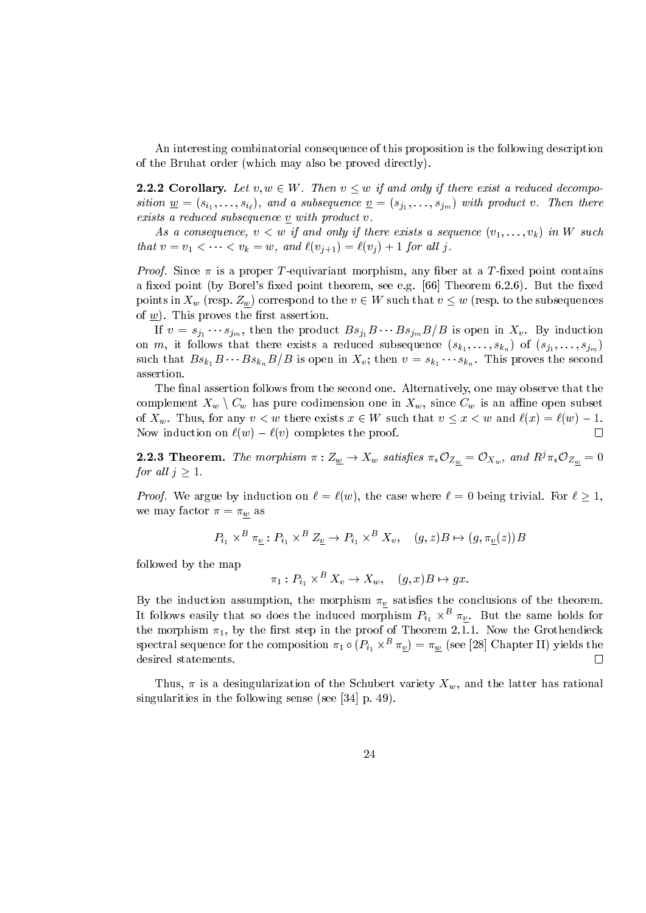An interesting combinatorial consequence of this proposition is the following description of the Bruhat order (which may also be proved directly).

**2.2.2 Corollary.** Let  $v, w \in W$ . Then  $v \leq w$  if and only if there exist a reduced decomposition  $\underline{w} = (s_{i_1}, \ldots, s_{i_\ell})$ , and a subsequence  $\underline{v} = (s_{j_1}, \ldots, s_{j_m})$  with product v. Then there exists a reduced subsequence  $\underline{v}$  with product v.

As a consequence,  $v < w$  if and only if there exists a sequence  $(v_1, \ldots, v_k)$  in W such that  $v = v_1 < \cdots < v_k = w$ , and  $\ell(v_{j+1}) = \ell(v_j) + 1$  for all j.

*Proof.* Since  $\pi$  is a proper T-equivariant morphism, any fiber at a T-fixed point contains a fixed point (by Borel's fixed point theorem, see e.g.  $[66]$  Theorem 6.2.6). But the fixed points in  $X_w$  (resp.  $Z_w$ ) correspond to the  $v \in W$  such that  $v \leq w$  (resp. to the subsequences of  $w$ ). This proves the first assertion.

If  $v = s_{j_1} \cdots s_{j_m}$ , then the product  $Bs_{j_1}B \cdots Bs_{j_m}B/B$  is open in  $X_v$ . By induction on m, it follows that there exists a reduced subsequence  $(s_{k_1}, \ldots, s_{k_n})$  of  $(s_{j_1}, \ldots, s_{j_m})$ such that  $Bs_{k_1}B \cdots Bs_{k_n}B/B$  is open in  $X_v$ ; then  $v = s_{k_1} \cdots s_{k_n}$ . This proves the second assertion.

The final assertion follows from the second one. Alternatively, one may observe that the complement  $X_w \setminus C_w$  has pure codimension one in  $X_w$ , since  $C_w$  is an affine open subset of  $X_w$ . Thus, for any  $v < w$  there exists  $x \in W$  such that  $v \le x < w$  and  $\ell(x) = \ell(w) - 1$ . Now induction on  $\ell(w) - \ell(v)$  completes the proof.  $\Box$ 

**2.2.3 Theorem.** The morphism  $\pi: Z_{\underline{w}} \to X_w$  satisfies  $\pi_* \mathcal{O}_{Z_{\underline{w}}} = \mathcal{O}_{X_w}$ , and  $R^j \pi_* \mathcal{O}_{Z_{\underline{w}}} = 0$ for all  $j \geq 1$ .

*Proof.* We argue by induction on  $\ell = \ell(w)$ , the case where  $\ell = 0$  being trivial. For  $\ell \geq 1$ , we may factor  $\pi = \pi_w$  as

$$
P_{i_1} \times^B \pi_{\underline{v}} : P_{i_1} \times^B Z_{\underline{v}} \to P_{i_1} \times^B X_v, \quad (g, z)B \mapsto (g, \pi_{\underline{v}}(z))B
$$

followed by the map

$$
\pi_1: P_{i_1} \times^B X_v \to X_w, \quad (g, x)B \mapsto gx.
$$

By the induction assumption, the morphism  $\pi_v$  satisfies the conclusions of the theorem. It follows easily that so does the induced morphism  $P_{i_1} \times^B \pi_{\underline{v}}$ . But the same holds for the morphism  $\pi_1$ , by the first step in the proof of Theorem 2.1.1. Now the Grothendieck spectral sequence for the composition  $\pi_1 \circ (P_{i_1} \times^B \pi_{\underline{v}}) = \pi_{\underline{w}}$  (see [28] Chapter II) yields the desired statements.  $\Box$ 

Thus,  $\pi$  is a desingularization of the Schubert variety  $X_w$ , and the latter has rational singularities in the following sense (see [34] p. 49).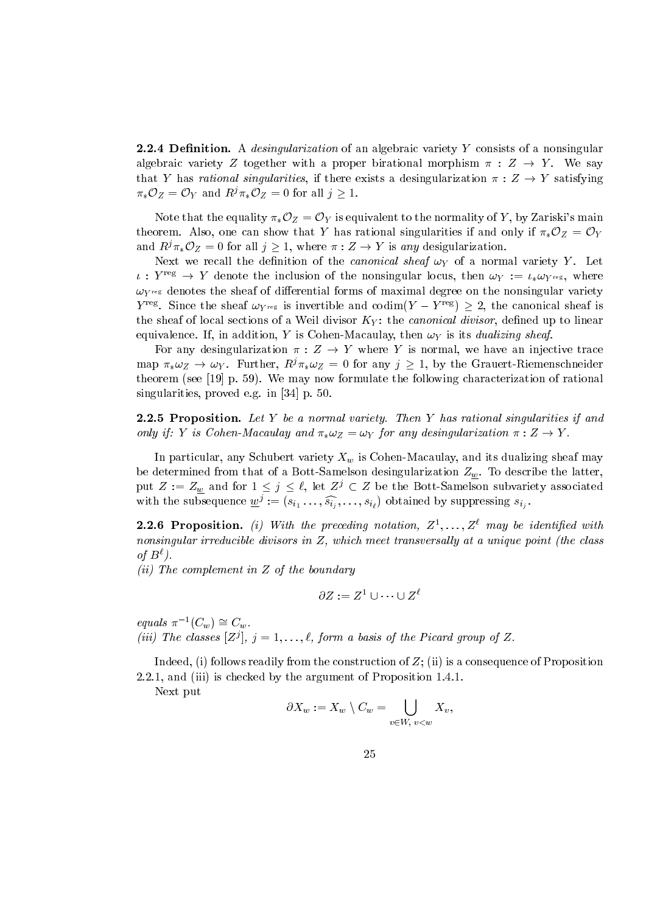**2.2.4 Definition.** A *desingularization* of an algebraic variety Y consists of a nonsingular algebraic variety Z together with a proper birational morphism  $\pi : Z \rightarrow Y$ . We say that Y has rational singularities, if there exists a desingularization  $\pi : Z \to Y$  satisfying  $\pi_* \mathcal{O}_Z = \mathcal{O}_Y$  and  $R^j \pi_* \mathcal{O}_Z = 0$  for all  $j \geq 1$ .

Note that the equality  $\pi_* \mathcal{O}_Z = \mathcal{O}_Y$  is equivalent to the normality of Y, by Zariski's main theorem. Also, one can show that Y has rational singularities if and only if  $\pi_* \mathcal{O}_Z = \mathcal{O}_Y$ and  $R^j \pi_* \mathcal{O}_Z = 0$  for all  $j \geq 1$ , where  $\pi : Z \to Y$  is any desigularization.

Next we recall the definition of the *canonical sheaf*  $\omega_Y$  of a normal variety Y. Let  $\iota: Y^{\text{reg}} \to Y$  denote the inclusion of the nonsingular locus, then  $\omega_Y := \iota_* \omega_{Y^{\text{reg}}}$ , where  $\omega_{Y^{reg}}$  denotes the sheaf of differential forms of maximal degree on the nonsingular variety  $Y^{\text{reg}}$ . Since the sheaf  $\omega_{Y^{\text{reg}}}$  is invertible and codim $(Y - Y^{\text{reg}}) \geq 2$ , the canonical sheaf is the sheaf of local sections of a Weil divisor  $K_Y$ : the *canonical divisor*, defined up to linear equivalence. If, in addition, Y is Cohen-Macaulay, then  $\omega_Y$  is its dualizing sheaf.

For any desingularization  $\pi : Z \to Y$  where Y is normal, we have an injective trace map  $\pi_* \omega_Z \to \omega_Y$ . Further,  $R^j \pi_* \omega_Z = 0$  for any  $j \geq 1$ , by the Grauert-Riemenschneider theorem (see [19] p. 59). We may now formulate the following characterization of rational singularities, proved e.g. in [34] p. 50.

**2.2.5 Proposition.** Let Y be a normal variety. Then Y has rational singularities if and only if: Y is Cohen-Macaulay and  $\pi_* \omega_Z = \omega_Y$  for any desingularization  $\pi : Z \to Y$ .

In particular, any Schubert variety  $X_w$  is Cohen-Macaulay, and its dualizing sheaf may be determined from that of a Bott-Samelson desingularization  $Z_w$ . To describe the latter, put  $Z := Z_w$  and for  $1 \leq j \leq \ell$ , let  $Z^j \subset Z$  be the Bott-Samelson subvariety associated with the subsequence  $\underline{w}^j := (s_{i_1} \ldots, \widehat{s_{i_j}}, \ldots, s_{i_\ell})$  obtained by suppressing  $s_{i_j}$ .

**2.2.6 Proposition.** (i) With the preceding notation,  $Z^1, \ldots, Z^\ell$  may be identified with nonsingular irreducible divisors in Z, which meet transversally at a unique point (the class of  $B^{\ell}$ ).

(ii) The complement in Z of the boundary

$$
\partial Z:=Z^1\cup\cdots\cup Z^\ell
$$

 $equals \pi^{-1}(C_w) \cong C_w.$ (iii) The classes  $[Z^j]$ ,  $j = 1, \ldots, \ell$ , form a basis of the Picard group of Z.

Indeed, (i) follows readily from the construction of  $Z$ ; (ii) is a consequence of Proposition 2.2.1, and (iii) is checked by the argument of Proposition 1.4.1.

Next put

$$
\partial X_w := X_w \setminus C_w = \bigcup_{v \in W, v < w} X_v,
$$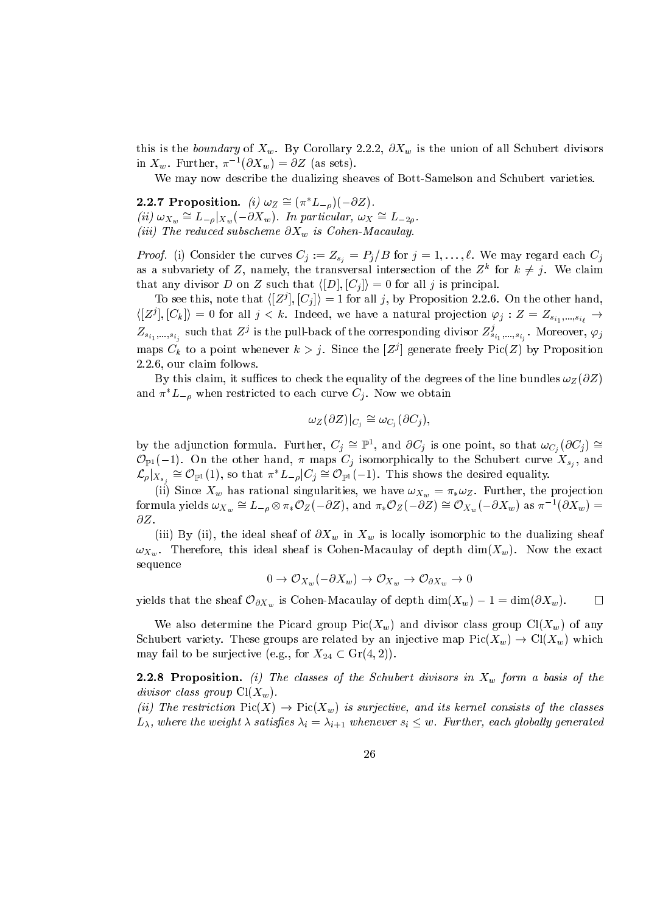this is the boundary of  $X_w$ . By Corollary 2.2.2,  $\partial X_w$  is the union of all Schubert divisors in  $X_w$ . Further,  $\pi^{-1}(\partial X_w) = \partial Z$  (as sets).

We may now describe the dualizing sheaves of Bott-Samelson and Schubert varieties.

**2.2.7 Proposition.** (i)  $\omega_Z \cong (\pi^* L_{-\rho})(-\partial Z)$ . (ii)  $\omega_{X_w} \cong L_{-\rho}|_{X_w}(-\partial X_w)$ . In particular,  $\omega_X \cong L_{-2\rho}$ . (iii) The reduced subscheme  $\partial X_w$  is Cohen-Macaulay.

*Proof.* (i) Consider the curves  $C_j := Z_{s_j} = P_j/B$  for  $j = 1, ..., \ell$ . We may regard each  $C_j$ as a subvariety of Z, namely, the transversal intersection of the  $Z^k$  for  $k \neq j$ . We claim that any divisor D on Z such that  $\langle [D], [C_j] \rangle = 0$  for all j is principal.

To see this, note that  $\langle [Z^j], [C_j] \rangle = 1$  for all j, by Proposition 2.2.6. On the other hand,  $\langle [Z^j], [C_k] \rangle = 0$  for all  $j < k$ . Indeed, we have a natural projection  $\varphi_j : Z = Z_{s_{i_1},...,s_{i_\ell}} \to$  $Z_{s_{i_1},...,s_{i_j}}$  such that  $Z^j$  is the pull-back of the corresponding divisor  $Z^j_{s_{i_1},...,s_{i_j}}$ . Moreover,  $\varphi_j$ maps  $C_k$  to a point whenever  $k > j$ . Since the  $[Z^j]$  generate freely Pic $(Z)$  by Proposition 2.2.6, our claim follows.

By this claim, it suffices to check the equality of the degrees of the line bundles  $\omega_Z(\partial Z)$ and  $\pi^* L_{-\rho}$  when restricted to each curve  $C_j$ . Now we obtain

$$
\omega_Z(\partial Z)|_{C_j} \cong \omega_{C_j}(\partial C_j),
$$

by the adjunction formula. Further,  $C_j \cong \mathbb{P}^1$ , and  $\partial C_j$  is one point, so that  $\omega_{C_j}(\partial C_j) \cong$  $\mathcal{O}_{\mathbb{P}^1}(-1)$ . On the other hand,  $\pi$  maps  $C_j$  isomorphically to the Schubert curve  $X_{s_j}$ , and  $\mathcal{L}_{\rho}|_{X_{s_j}} \cong \mathcal{O}_{\mathbb{P}^1}(1)$ , so that  $\pi^* L_{-\rho}|_{C_j} \cong \mathcal{O}_{\mathbb{P}^1}(-1)$ . This shows the desired equality.

(ii) Since  $X_w$  has rational singularities, we have  $\omega_{X_w} = \pi_* \omega_Z$ . Further, the projection formula yields  $\omega_{X_w} \cong L_{-\rho} \otimes \pi_* \mathcal{O}_Z(-\partial Z)$ , and  $\pi_* \mathcal{O}_Z(-\partial Z) \cong \mathcal{O}_{X_w}(-\partial X_w)$  as  $\pi^{-1}(\partial X_w) =$  $\partial Z$ .

(iii) By (ii), the ideal sheaf of  $\partial X_w$  in  $X_w$  is locally isomorphic to the dualizing sheaf  $\omega_{X_w}$ . Therefore, this ideal sheaf is Cohen-Macaulay of depth  $\dim(X_w)$ . Now the exact sequence

$$
0 \to \mathcal{O}_{X_w}(-\partial X_w) \to \mathcal{O}_{X_w} \to \mathcal{O}_{\partial X_w} \to 0
$$

 $\Box$ 

yields that the sheaf  $\mathcal{O}_{\partial X_w}$  is Cohen-Macaulay of depth  $\dim(X_w) - 1 = \dim(\partial X_w)$ .

We also determine the Picard group  $Pic(X_w)$  and divisor class group  $Cl(X_w)$  of any Schubert variety. These groups are related by an injective map  $Pic(X_w) \to Cl(X_w)$  which may fail to be surjective (e.g., for  $X_{24} \subset \text{Gr}(4, 2)$ ).

**2.2.8 Proposition.** (i) The classes of the Schubert divisors in  $X_w$  form a basis of the divisor class group  $\text{Cl}(X_w)$ .

(ii) The restriction  $Pic(X) \to Pic(X_w)$  is surjective, and its kernel consists of the classes  $L_{\lambda}$ , where the weight  $\lambda$  satisfies  $\lambda_i = \lambda_{i+1}$  whenever  $s_i \leq w$ . Further, each globally generated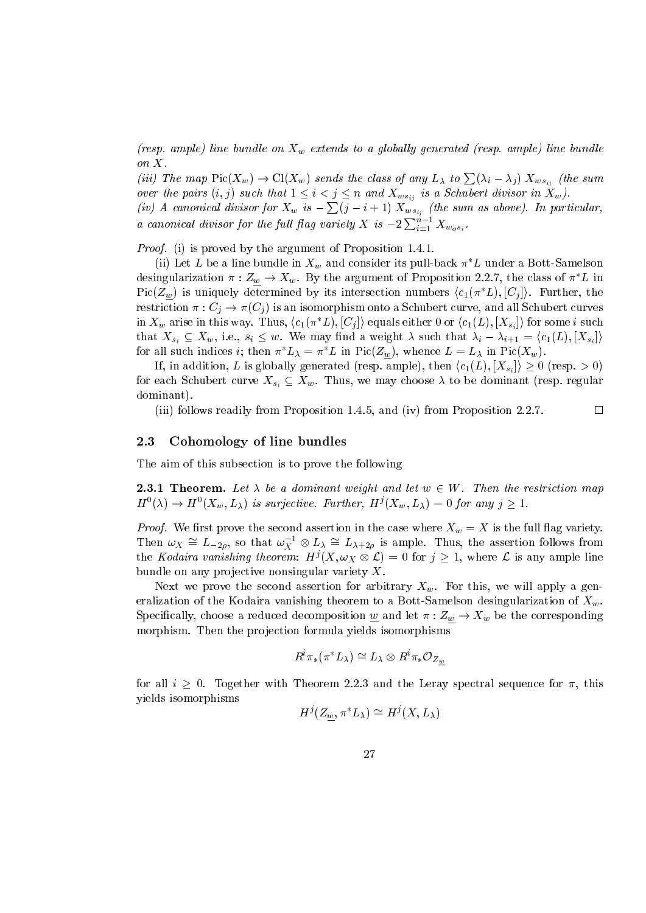(resp. ample) line bundle on  $X_w$  extends to a globally generated (resp. ample) line bundle on X.

(iii) The map  $Pic(X_w) \to Cl(X_w)$  sends the class of any  $L_\lambda$  to  $\sum (\lambda_i - \lambda_j) X_{ws_{ij}}$  (the sum over the pairs  $(i, j)$  such that  $1 \leq i < j \leq n$  and  $X_{ws_{ij}}$  is a Schubert divisor in  $\ddot{X}_w$ ).

(iv) A canonical divisor for  $X_w$  is  $-\sum (j-i+1)$   $X_{ws_{ij}}$  (the sum as above). In particular, a canonical divisor for the full flag variety X is  $-2\sum_{i=1}^{n-1} X_{w_0 s_i}$ .

Proof. (i) is proved by the argument of Proposition 1.4.1.

(ii) Let L be a line bundle in  $X_w$  and consider its pull-back  $\pi^*L$  under a Bott-Samelson desingularization  $\pi: Z_w \to X_w$ . By the argument of Proposition 2.2.7, the class of  $\pi^* L$  in  $\mathrm{Pic}(Z_w)$  is uniquely determined by its intersection numbers  $\langle c_1(\pi^*L), [C_j] \rangle$ . Further, the restriction  $\pi: C_j \to \pi(C_j)$  is an isomorphism onto a Schubert curve, and all Schubert curves in  $X_w$  arise in this way. Thus,  $\langle c_1(\pi^*L), [C_j] \rangle$  equals either 0 or  $\langle c_1(L), [X_{s_i}] \rangle$  for some *i* such that  $X_{s_i} \subseteq X_w$ , i.e.,  $s_i \leq w$ . We may find a weight  $\lambda$  such that  $\lambda_i - \lambda_{i+1} = \langle c_1(L), [X_{s_i}] \rangle$ for all such indices *i*; then  $\pi^* L_\lambda = \pi^* L$  in Pic $(Z_{\underline{w}})$ , whence  $L = L_\lambda$  in Pic $(X_{\underline{w}})$ .

If, in addition, L is globally generated (resp. ample), then  $\langle c_1(L), [X_{s_i}] \rangle \geq 0$  (resp.  $> 0$ ) for each Schubert curve  $X_{s_i} \subseteq X_w$ . Thus, we may choose  $\lambda$  to be dominant (resp. regular dominant).

 $\Box$ 

(iii) follows readily from Proposition 1.4.5, and (iv) from Proposition 2.2.7.

### 2.3 Cohomology of line bundles

The aim of this subsection is to prove the following

**2.3.1 Theorem.** Let  $\lambda$  be a dominant weight and let  $w \in W$ . Then the restriction map  $H^0(\lambda) \to H^0(X_w, L_\lambda)$  is surjective. Further,  $H^j(X_w, L_\lambda) = 0$  for any  $j \geq 1$ .

*Proof.* We first prove the second assertion in the case where  $X_w = X$  is the full flag variety. Then  $\omega_X \cong L_{-2\rho}$ , so that  $\omega_X^{-1} \otimes L_\lambda \cong L_{\lambda+2\rho}$  is ample. Thus, the assertion follows from the Kodaira vanishing theorem:  $H^{j}(X, \omega_X \otimes \mathcal{L}) = 0$  for  $j \geq 1$ , where  $\mathcal L$  is any ample line bundle on any projective nonsingular variety X.

Next we prove the second assertion for arbitrary  $X_w$ . For this, we will apply a generalization of the Kodaira vanishing theorem to a Bott-Samelson desingularization of  $X_w$ . Specifically, choose a reduced decomposition  $\underline{w}$  and let  $\pi : Z_w \to X_w$  be the corresponding morphism. Then the projection formula yields isomorphisms

$$
R^i\pi_*(\pi^*L_\lambda)\cong L_\lambda\otimes R^i\pi_*\mathcal{O}_{Z_{\underline{w}}}
$$

for all  $i \geq 0$ . Together with Theorem 2.2.3 and the Leray spectral sequence for  $\pi$ , this yields isomorphisms

$$
H^j(Z_w, \pi^* L_\lambda) \cong H^j(X, L_\lambda)
$$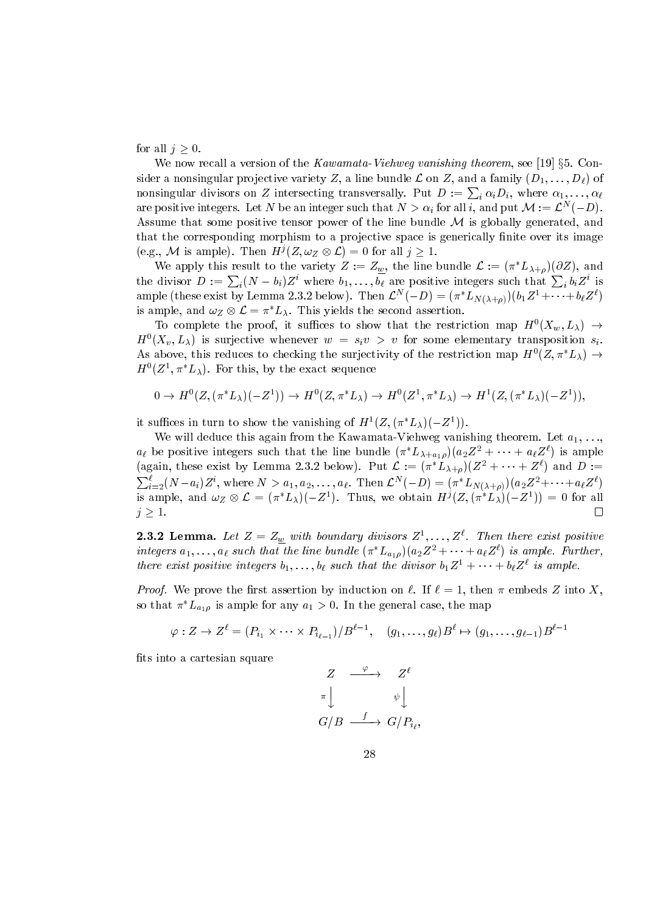for all  $j \geq 0$ .

We now recall a version of the Kawamata-Viehweg vanishing theorem, see [19]  $\S5$ . Consider a nonsingular projective variety Z, a line bundle  $\mathcal L$  on Z, and a family  $(D_1, \ldots, D_\ell)$  of nonsingular divisors on Z intersecting transversally. Put  $D := \sum_i \alpha_i D_i$ , where  $\alpha_1, \ldots, \alpha_\ell$ are positive integers. Let N be an integer such that  $N > \alpha_i$  for all i, and put  $\mathcal{M} := \mathcal{L}^N(-D).$ Assume that some positive tensor power of the line bundle  $\mathcal M$  is globally generated, and that the corresponding morphism to a projective space is generically finite over its image (e.g., M is ample). Then  $H^j(Z, \omega_Z \otimes \mathcal{L}) = 0$  for all  $j \geq 1$ .

We apply this result to the variety  $Z := Z_{\underline{w}}$ , the line bundle  $\mathcal{L} := (\pi^* L_{\lambda+\rho})(\partial Z)$ , and the divisor  $D := \sum_i (N - b_i)Z^i$  where  $b_1, \ldots, b_\ell$  are positive integers such that  $\sum_i b_i Z^i$  is ample (these exist by Lemma 2.3.2 below). Then  $\mathcal{L}^N(-D) = (\pi^* L_{N(\lambda+\rho)})(b_1 Z^1 + \cdots + b_\ell Z^\ell)$ is ample, and  $\omega_Z \otimes \mathcal{L} = \pi^* L_\lambda$ . This yields the second assertion.

To complete the proof, it suffices to show that the restriction map  $H^0(X_w, L_\lambda) \to$  $H^0(X_v, L_\lambda)$  is surjective whenever  $w = s_i v > v$  for some elementary transposition  $s_i$ . As above, this reduces to checking the surjectivity of the restriction map  $H^0(Z, \pi^* L_\lambda) \to$  $H^0(Z^1, \pi^* L_\lambda)$ . For this, by the exact sequence

$$
0 \to H^0(Z, (\pi^* L_\lambda)(-Z^1)) \to H^0(Z, \pi^* L_\lambda) \to H^0(Z^1, \pi^* L_\lambda) \to H^1(Z, (\pi^* L_\lambda)(-Z^1)),
$$

it suffices in turn to show the vanishing of  $H^1(Z, (\pi^*L_\lambda)(-Z^1))$ .

We will deduce this again from the Kawamata-Viehweg vanishing theorem. Let  $a_1, \ldots, a_k$  $a_\ell$  be positive integers such that the line bundle  $(\pi^* L_{\lambda+a_1\rho})(a_2 Z^2 + \cdots + a_\ell Z^\ell)$  is ample (again, these exist by Lemma 2.3.2 below). Put  $\mathcal{L} := (\pi^* L_{\lambda+\rho})(Z^2 + \cdots + Z^{\ell})$  and  $D :=$  $\sum_{i=2}^{\ell}(N-a_i)Z^i$ , where  $N > a_1, a_2, \ldots, a_{\ell}$ . Then  $\mathcal{L}^N(-D) = (\pi^*L_{N(\lambda+\rho)})(a_2 Z^2 + \cdots + a_{\ell} Z^{\ell})$ is ample, and  $\omega_Z \otimes \mathcal{L} = (\pi^* L_\lambda)(-Z^1)$ . Thus, we obtain  $H^j(Z, (\pi^* L_\lambda)(-Z^1)) = 0$  for all  $\Box$  $j \geq 1$ .

**2.3.2 Lemma.** Let  $Z = Z_w$  with boundary divisors  $Z^1, \ldots, Z^{\ell}$ . Then there exist positive integers  $a_1, \ldots, a_\ell$  such that the line bundle  $(\pi^* L_{a_1 \rho})(a_2 Z^2 + \cdots + a_\ell Z^\ell)$  is ample. Further, there exist positive integers  $b_1, \ldots, b_\ell$  such that the divisor  $b_1 Z^1 + \cdots + b_\ell Z^\ell$  is ample.

*Proof.* We prove the first assertion by induction on  $\ell$ . If  $\ell = 1$ , then  $\pi$  embeds Z into X, so that  $\pi^* L_{a_1 \rho}$  is ample for any  $a_1 > 0$ . In the general case, the map

$$
\varphi: Z \to Z^{\ell} = (P_{i_1} \times \cdots \times P_{i_{\ell-1}})/B^{\ell-1}, \quad (g_1, \ldots, g_{\ell})B^{\ell} \mapsto (g_1, \ldots, g_{\ell-1})B^{\ell-1}
$$

fits into a cartesian square

$$
\begin{array}{ccc}\nZ & \xrightarrow{\varphi} & Z^{\ell} \\
\pi & & \psi \downarrow \\
G/B & \xrightarrow{f} & G/P_{i_{\ell}},\n\end{array}
$$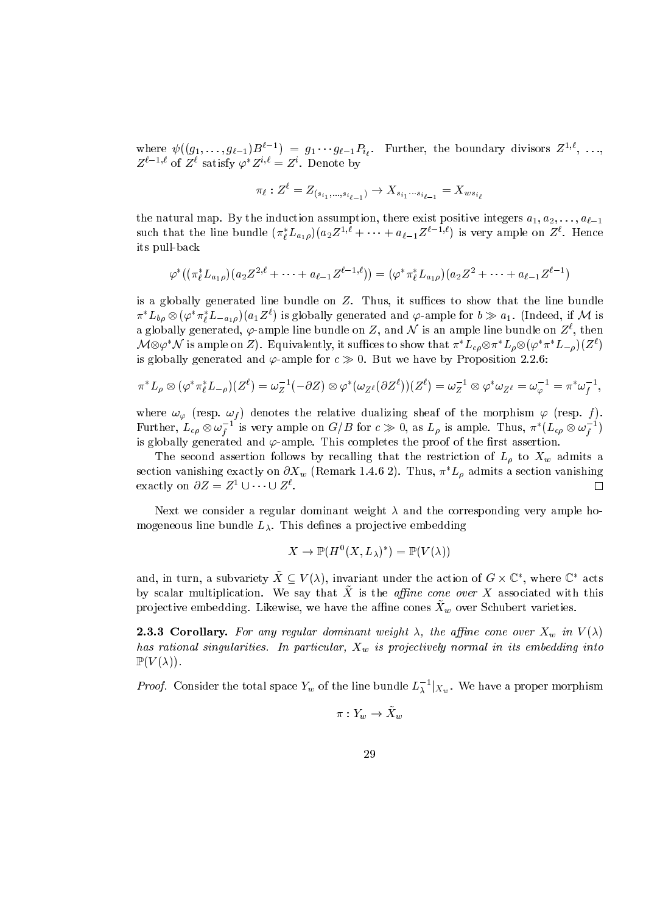where  $\psi((g_1, \ldots, g_{\ell-1})B^{\ell-1}) = g_1 \cdots g_{\ell-1}P_{i_{\ell}}$ . Further, the boundary divisors  $Z^{1,\ell}, \ldots, Z^{1,\ell}$  $Z^{\ell-1,\ell}$  of  $Z^{\ell}$  satisfy  $\varphi^* Z^{i,\ell} = Z^i$ . Denote by

$$
\pi_{\ell}: Z^{\ell} = Z_{(s_{i_1},...,s_{i_{\ell-1}})} \to X_{s_{i_1}\cdots s_{i_{\ell-1}}} = X_{ws_{i_{\ell}}}
$$

the natural map. By the induction assumption, there exist positive integers  $a_1, a_2, \ldots, a_{\ell-1}$ such that the line bundle  $(\pi_{\ell}^* L_{a_1 \rho})(a_2 Z^{1,\ell} + \cdots + a_{\ell-1} Z^{\ell-1,\ell})$  is very ample on  $Z^{\ell}$ . Hence its pull-back

$$
\varphi^*((\pi_\ell^*L_{a_1\rho})(a_2Z^{2,\ell}+\cdots+a_{\ell-1}Z^{\ell-1,\ell}))=(\varphi^*\pi_\ell^*L_{a_1\rho})(a_2Z^2+\cdots+a_{\ell-1}Z^{\ell-1})
$$

is a globally generated line bundle on  $Z$ . Thus, it suffices to show that the line bundle  $\pi^* L_{b\rho} \otimes (\varphi^* \pi_\ell^* L_{-a_1 \rho})(a_1 Z^\ell)$  is globally generated and  $\varphi$ -ample for  $b \gg a_1$ . (Indeed, if M is a globally generated,  $\varphi$ -ample line bundle on Z, and  $\mathcal N$  is an ample line bundle on  $Z^\ell$ , then  $M \otimes \varphi^* \mathcal{N}$  is ample on Z). Equivalently, it suffices to show that  $\pi^* L_{c\rho} \otimes \pi^* L_{\rho} \otimes (\varphi^* \pi^* L_{-\rho})(Z^{\ell})$ is globally generated and  $\varphi$ -ample for  $c \gg 0$ . But we have by Proposition 2.2.6:

$$
\pi^* L_\rho \otimes (\varphi^* \pi_\ell^* L_{-\rho})(Z^\ell) = \omega_Z^{-1}(-\partial Z) \otimes \varphi^* (\omega_{Z^\ell}(\partial Z^\ell))(Z^\ell) = \omega_Z^{-1} \otimes \varphi^* \omega_{Z^\ell} = \omega_\varphi^{-1} = \pi^* \omega_f^{-1},
$$

where  $\omega_{\varphi}$  (resp.  $\omega_{f}$ ) denotes the relative dualizing sheaf of the morphism  $\varphi$  (resp. f). Further,  $L_{c\rho}\otimes \omega_f^{-1}$  is very ample on  $G/B$  for  $c\gg 0$ , as  $L_\rho$  is ample. Thus,  $\pi^*(L_{c\rho}\otimes \omega_f^{-1})$ is globally generated and  $\varphi$ -ample. This completes the proof of the first assertion.

The second assertion follows by recalling that the restriction of  $L_{\rho}$  to  $X_w$  admits a section vanishing exactly on  $\partial X_w$  (Remark 1.4.6 2). Thus,  $\pi^*L_\rho$  admits a section vanishing exactly on  $\partial Z = Z^1 \cup \cdots \cup Z^{\ell}$ .  $\Box$ 

Next we consider a regular dominant weight  $\lambda$  and the corresponding very ample homogeneous line bundle  $L_{\lambda}$ . This defines a projective embedding

$$
X \to \mathbb{P}(H^0(X, L_\lambda)^*) = \mathbb{P}(V(\lambda))
$$

and, in turn, a subvariety  $\tilde{X} \subseteq V(\lambda)$ , invariant under the action of  $G \times \mathbb{C}^*$ , where  $\mathbb{C}^*$  acts by scalar multiplication. We say that  $\tilde{X}$  is the *affine cone over* X associated with this projective embedding. Likewise, we have the affine cones  $\tilde{X}_w$  over Schubert varieties.

**2.3.3 Corollary.** For any regular dominant weight  $\lambda$ , the affine cone over  $X_w$  in  $V(\lambda)$ has rational singularities. In particular,  $X_w$  is projectively normal in its embedding into  $\mathbb{P}(V(\lambda)).$ 

*Proof.* Consider the total space  $Y_w$  of the line bundle  $L_{\lambda}^{-1}|_{X_w}$ . We have a proper morphism

$$
\pi: Y_w \to \tilde{X}_w
$$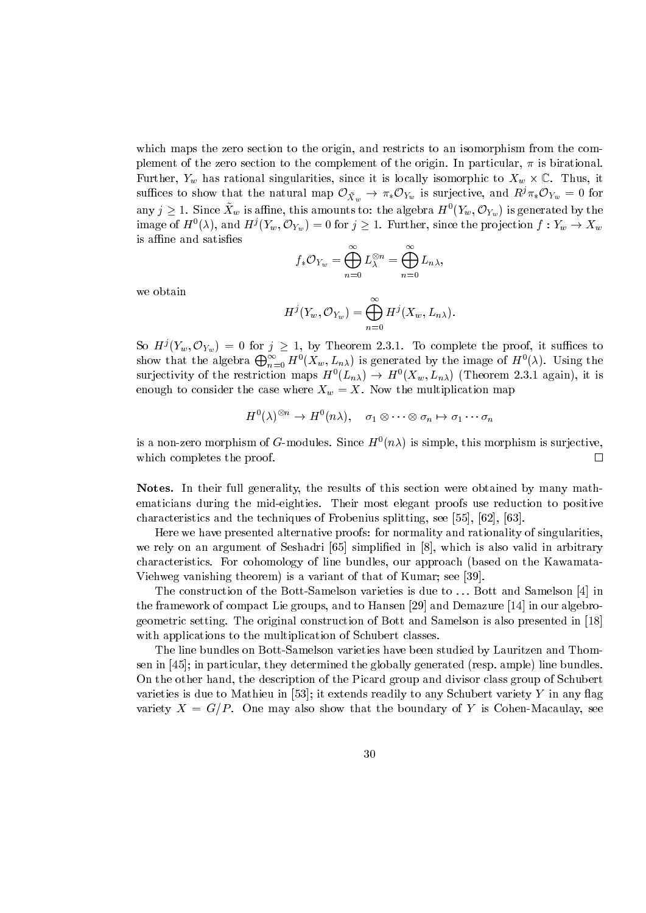which maps the zero section to the origin, and restricts to an isomorphism from the complement of the zero section to the complement of the origin. In particular,  $\pi$  is birational. Further,  $Y_w$  has rational singularities, since it is locally isomorphic to  $X_w \times \mathbb{C}$ . Thus, it suffices to show that the natural map  $\mathcal{O}_{\tilde{X}_w} \to \pi_* \mathcal{O}_{Y_w}$  is surjective, and  $R^j \pi_* \mathcal{O}_{Y_w} = 0$  for any  $j \geq 1$ . Since  $\tilde{X}_w$  is affine, this amounts to: the algebra  $H^0(Y_w, \mathcal{O}_{Y_w})$  is generated by the image of  $H^0(\lambda)$ , and  $H^j(Y_w, \mathcal{O}_{Y_w}) = 0$  for  $j \ge 1$ . Further, since the projection  $f: Y_w \to X_w$ is affine and satisfies

$$
f_*\mathcal{O}_{Y_w}=\bigoplus_{n=0}^\infty L_\lambda^{\otimes n}=\bigoplus_{n=0}^\infty L_{n\lambda},
$$

we obtain

$$
H^j(Y_w, \mathcal{O}_{Y_w}) = \bigoplus_{n=0}^{\infty} H^j(X_w, L_{n\lambda}).
$$

So  $H^{j}(Y_{w}, \mathcal{O}_{Y_{w}}) = 0$  for  $j \geq 1$ , by Theorem 2.3.1. To complete the proof, it suffices to show that the algebra  $\bigoplus_{n=0}^{\infty} H^0(X_w, L_{n\lambda})$  is generated by the image of  $H^0(\lambda)$ . Using the surjectivity of the restriction maps  $H^0(L_{n\lambda}) \to H^0(X_w, L_{n\lambda})$  (Theorem 2.3.1 again), it is enough to consider the case where  $X_w = X$ . Now the multiplication map

$$
H^0(\lambda)^{\otimes n} \to H^0(n\lambda), \quad \sigma_1 \otimes \cdots \otimes \sigma_n \mapsto \sigma_1 \cdots \sigma_n
$$

is a non-zero morphism of G-modules. Since  $H^0(n\lambda)$  is simple, this morphism is surjective, which completes the proof.  $\Box$ 

Notes. In their full generality, the results of this section were obtained by many mathematicians during the mid-eighties. Their most elegant proofs use reduction to positive characteristics and the techniques of Frobenius splitting, see [55], [62], [63].

Here we have presented alternative proofs: for normality and rationality of singularities, we rely on an argument of Seshadri [65] simplied in [8], which is also valid in arbitrary characteristics. For cohomology of line bundles, our approach (based on the Kawamata-Viehweg vanishing theorem) is a variant of that of Kumar; see [39].

The construction of the Bott-Samelson varieties is due to ... Bott and Samelson [4] in the framework of compact Lie groups, and to Hansen [29] and Demazure [14] in our algebrogeometric setting. The original construction of Bott and Samelson is also presented in [18] with applications to the multiplication of Schubert classes.

The line bundles on Bott-Samelson varieties have been studied by Lauritzen and Thomsen in [45]; in particular, they determined the globally generated (resp. ample) line bundles. On the other hand, the description of the Picard group and divisor class group of Schubert varieties is due to Mathieu in  $[53]$ ; it extends readily to any Schubert variety Y in any flag variety  $X = G/P$ . One may also show that the boundary of Y is Cohen-Macaulay, see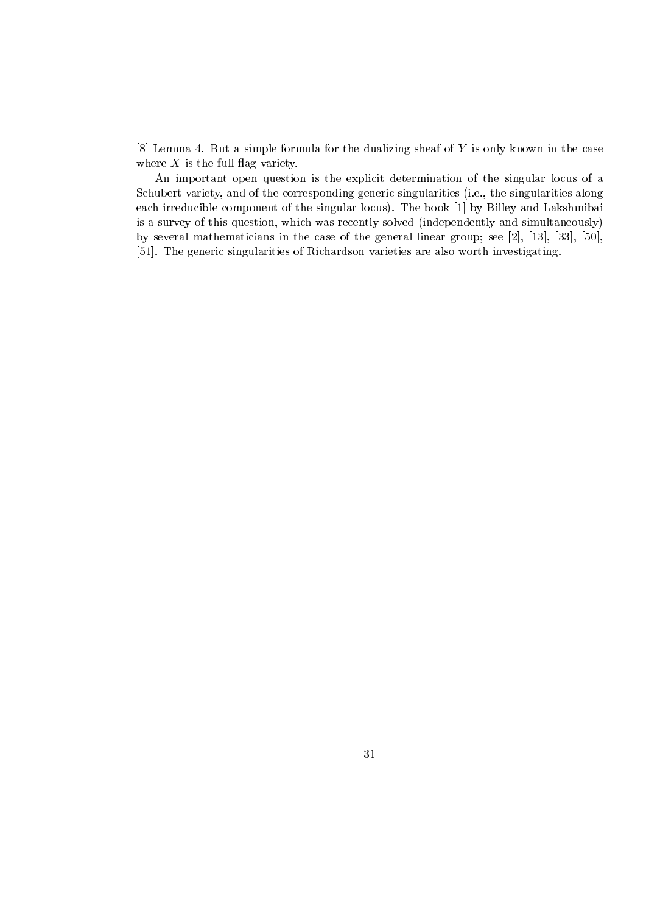[8] Lemma 4. But a simple formula for the dualizing sheaf of Y is only known in the case where  $X$  is the full flag variety.

An important open question is the explicit determination of the singular locus of a Schubert variety, and of the corresponding generic singularities (i.e., the singularities along each irreducible component of the singular locus). The book [1] by Billey and Lakshmibai is a survey of this question, which was recently solved (independently and simultaneously) by several mathematicians in the case of the general linear group; see [2], [13], [33], [50], [51]. The generic singularities of Richardson varieties are also worth investigating.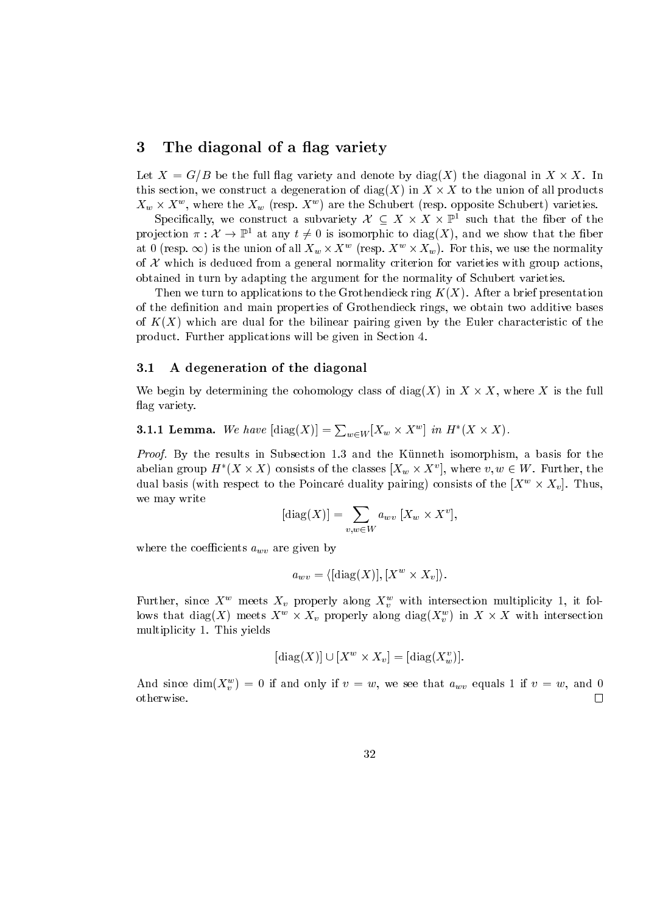# 3 The diagonal of a flag variety

Let  $X = G/B$  be the full flag variety and denote by  $\text{diag}(X)$  the diagonal in  $X \times X$ . In this section, we construct a degeneration of  $diag(X)$  in  $X \times X$  to the union of all products  $X_w \times X^w$ , where the  $X_w$  (resp.  $X^w$ ) are the Schubert (resp. opposite Schubert) varieties.

Specifically, we construct a subvariety  $\mathcal{X} \subseteq X \times X \times \mathbb{P}^1$  such that the fiber of the ا<br>د خ projection  $\pi : \mathcal{X} \to \mathbb{P}^1$  at any  $t \neq 0$  is isomorphic to diag(X), and we show that the fiber at 0 (resp.  $\infty$ ) is the union of all  $X_w \times X^w$  (resp.  $X^w \times X_w$ ). For this, we use the normality of  $X$  which is deduced from a general normality criterion for varieties with group actions, obtained in turn by adapting the argument for the normality of Schubert varieties.

Then we turn to applications to the Grothendieck ring  $K(X)$ . After a brief presentation of the definition and main properties of Grothendieck rings, we obtain two additive bases of  $K(X)$  which are dual for the bilinear pairing given by the Euler characteristic of the product. Further applications will be given in Section 4.

### 3.1 A degeneration of the diagonal

We begin by determining the cohomology class of  $diag(X)$  in  $X \times X$ , where X is the full flag variety.

**3.1.1 Lemma.** We have  $[\text{diag}(X)] = \sum_{w \in W} [X_w \times X^w]$  in  $H^*(X \times X)$ .

Proof. By the results in Subsection 1.3 and the Künneth isomorphism, a basis for the abelian group  $H^*(X \times X)$  consists of the classes  $[X_w \times X^v]$ , where  $v, w \in W$ . Further, the dual basis (with respect to the Poincaré duality pairing) consists of the  $[X^w \times X_v]$ . Thus, we may write

$$
[\operatorname{diag}(X)] = \sum_{v,w \in W} a_{wv} [X_w \times X^v],
$$

where the coefficients  $a_{wv}$  are given by

$$
a_{wv} = \langle [\text{diag}(X)], [X^w \times X_v] \rangle.
$$

Further, since  $X^w$  meets  $X_v$  properly along  $X_v^w$  with intersection multiplicity 1, it follows that  $\text{diag}(X)$  meets  $X^w \times X_v$  properly along  $\text{diag}(X_v^w)$  in  $X \times X$  with intersection multiplicity 1. This yields

$$
[\operatorname{diag}(X)] \cup [X^w \times X_v] = [\operatorname{diag}(X_w^v)].
$$

And since  $\dim(X_v^w) = 0$  if and only if  $v = w$ , we see that  $a_{wv}$  equals 1 if  $v = w$ , and 0 otherwise.  $\Box$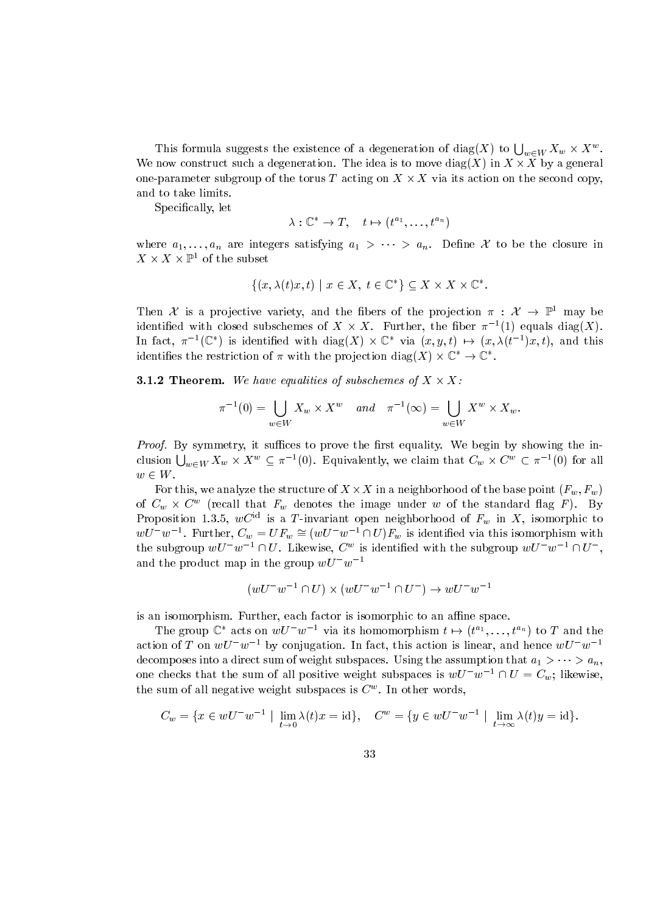This formula suggests the existence of a degeneration of diag(X) to  $\bigcup_{w \in W} X_w \times X^w$ . We now construct such a degeneration. The idea is to move  $diag(X)$  in  $X \times X$  by a general one-parameter subgroup of the torus T acting on  $X \times X$  via its action on the second copy, and to take limits.

Specically, let

$$
\lambda: \mathbb{C}^* \to T, \quad t \mapsto (t^{a_1}, \dots, t^{a_n})
$$

where  $a_1, \ldots, a_n$  are integers satisfying  $a_1 > \cdots > a_n$ . Define X to be the closure in  $X \times X \times \mathbb{P}^1$  of the subset

$$
\{(x,\lambda(t)x,t) \mid x \in X, \ t \in \mathbb{C}^*\} \subseteq X \times X \times \mathbb{C}^*.
$$

Then  $\mathcal{X}$  is a projective variety, and the fibers of the projection  $\pi : \mathcal{X} \to \mathbb{P}^1$  may be identified with closed subschemes of  $X \times X$ . Further, the fiber  $\pi^{-1}(1)$  equals diag(X). In fact,  $\pi^{-1}(\mathbb{C}^*)$  is identified with diag(X)  $\times \mathbb{C}^*$  via  $(x, y, t) \mapsto (x, \lambda(t^{-1})x, t)$ , and this  $\downarrow$ identifies the restriction of  $\pi$  with the projection  $\text{diag}(X) \times \mathbb{C}^* \to \mathbb{C}^*$ .

**3.1.2 Theorem.** We have equalities of subschemes of  $X \times X$ :

$$
\pi^{-1}(0) = \bigcup_{w \in W} X_w \times X^w \quad and \quad \pi^{-1}(\infty) = \bigcup_{w \in W} X^w \times X_w.
$$

*Proof.* By symmetry, it suffices to prove the first equality. We begin by showing the inclusion  $\bigcup_{w \in W} X_w \times X^w \subseteq \pi^{-1}(0)$ . Equivalently, we claim that  $C_w \times C^w \subset \pi^{-1}(0)$  for all  $w \in W$ .

For this, we analyze the structure of  $X \times X$  in a neighborhood of the base point  $(F_w, F_w)$ of  $C_w \times C^w$  (recall that  $F_w$  denotes the image under w of the standard flag F). By Proposition 1.3.5,  $wC^{id}$  is a T-invariant open neighborhood of  $F_w$  in X, isomorphic to  $wU^-w^{-1}$ . Further,  $C_w = UF_w \cong (wU^-w^{-1} \cap U)F_w$  is identified via this isomorphism with the subgroup  $wU^-w^{-1} \cap U$ . Likewise,  $C^w$  is identified with the subgroup  $wU^-w^{-1} \cap U^-$ , and the product map in the group  $wU^-w^{-1}$ 

$$
(wU^-w^{-1} \cap U) \times (wU^-w^{-1} \cap U^-) \to wU^-w^{-1}
$$

is an isomorphism. Further, each factor is isomorphic to an affine space.

The group  $\mathbb{C}^*$  acts on  $wU^-w^{-1}$  via its homomorphism  $t \mapsto (t^{a_1}, \ldots, t^{a_n})$  to T and the action of T on  $wU^-w^{-1}$  by conjugation. In fact, this action is linear, and hence  $wU^-w^{-1}$ decomposes into a direct sum of weight subspaces. Using the assumption that  $a_1 > \cdots > a_n$ , one checks that the sum of all positive weight subspaces is  $wU^{-}w^{-1} \cap U = C_w$ ; likewise, the sum of all negative weight subspaces is  $C^w$ . In other words,

$$
C_w = \{ x \in wU^-w^{-1} \mid \lim_{t \to 0} \lambda(t)x = \text{id} \}, \quad C^w = \{ y \in wU^-w^{-1} \mid \lim_{t \to \infty} \lambda(t)y = \text{id} \}.
$$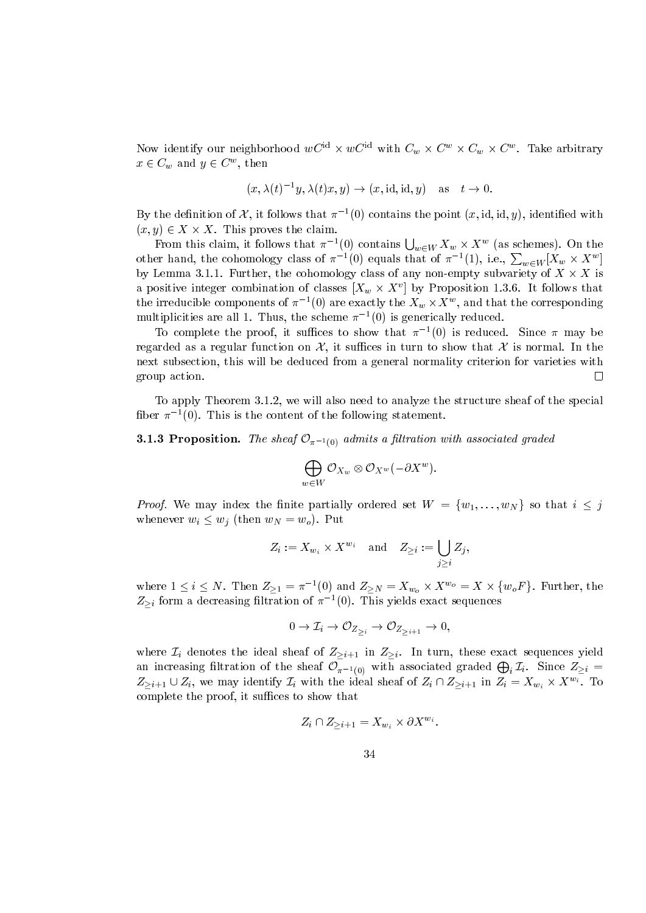Now identify our neighborhood  $wC^{id} \times wC^{id}$  with  $C_w \times C^w \times C_w \times C^w$ . Take arbitrary  $x \in C_w$  and  $y \in C^w$ , then

$$
(x, \lambda(t)^{-1}y, \lambda(t)x, y) \rightarrow (x, id, id, y)
$$
 as  $t \rightarrow 0$ .

By the definition of X, it follows that  $\pi^{-1}(0)$  contains the point  $(x, id, id, y)$ , identified with  $(x, y) \in X \times X$ . This proves the claim.

From this claim, it follows that  $\pi^{-1}(0)$  contains  $\bigcup_{w \in W} X_w \times X^w$  (as schemes). On the other hand, the cohomology class of  $\pi^{-1}(0)$  equals that of  $\pi^{-1}(1)$ , i.e.,  $\sum_{w \in W} [X_w \times X^w]$ by Lemma 3.1.1. Further, the cohomology class of any non-empty subvariety of  $X \times X$  is a positive integer combination of classes  $[X_w \times X^v]$  by Proposition 1.3.6. It follows that the irreducible components of  $\pi^{-1}(0)$  are exactly the  $X_w\times X^w,$  and that the corresponding multiplicities are all 1. Thus, the scheme  $\pi^{-1}(0)$  is generically reduced.

To complete the proof, it suffices to show that  $\pi^{-1}(0)$  is reduced. Since  $\pi$  may be regarded as a regular function on  $\mathcal{X}$ , it suffices in turn to show that  $\mathcal{X}$  is normal. In the next subsection, this will be deduced from a general normality criterion for varieties with group action.  $\Box$ 

To apply Theorem 3.1.2, we will also need to analyze the structure sheaf of the special fiber  $\pi^{-1}(0)$ . This is the content of the following statement.

### **3.1.3 Proposition.** The sheaf  $\mathcal{O}_{\pi^{-1}(0)}$  admits a filtration with associated graded

$$
\bigoplus_{w\in W}\mathcal{O}_{X_w}\otimes\mathcal{O}_{X^w}(-\partial X^w).
$$

*Proof.* We may index the finite partially ordered set  $W = \{w_1, \ldots, w_N\}$  so that  $i \leq j$ whenever  $w_i \leq w_j$  (then  $w_N = w_o$ ). Put

$$
Z_i := X_{w_i} \times X^{w_i} \quad \text{and} \quad Z_{\geq i} := \bigcup_{j \geq i} Z_j,
$$

where  $1 \leq i \leq N$ . Then  $Z_{\geq 1} = \pi^{-1}(0)$  and  $Z_{\geq N} = X_{w_o} \times X^{w_o} = X \times \{w_o F\}$ . Further, the  $Z_{\geq i}$  form a decreasing filtration of  $\pi^{-1}(0)$ . This yields exact sequences

$$
0 \to \mathcal{I}_i \to \mathcal{O}_{Z_{\geq i}} \to \mathcal{O}_{Z_{\geq i+1}} \to 0,
$$

where  $\mathcal{I}_i$  denotes the ideal sheaf of  $Z_{\geq i+1}$  in  $Z_{\geq i}$ . In turn, these exact sequences yield an increasing filtration of the sheaf  $\mathcal{O}_{\pi^{-1}(0)}$  with associated graded  $\bigoplus_i \mathcal{I}_i$ . Since  $Z_{\geq i} =$  $Z_{\geq i+1} \cup Z_i$ , we may identify  $\mathcal{I}_i$  with the ideal sheaf of  $Z_i \cap Z_{\geq i+1}$  in  $Z_i = X_{w_i} \times X^{w_i}$ . To complete the proof, it suffices to show that

$$
Z_i \cap Z_{\geq i+1} = X_{w_i} \times \partial X^{w_i}.
$$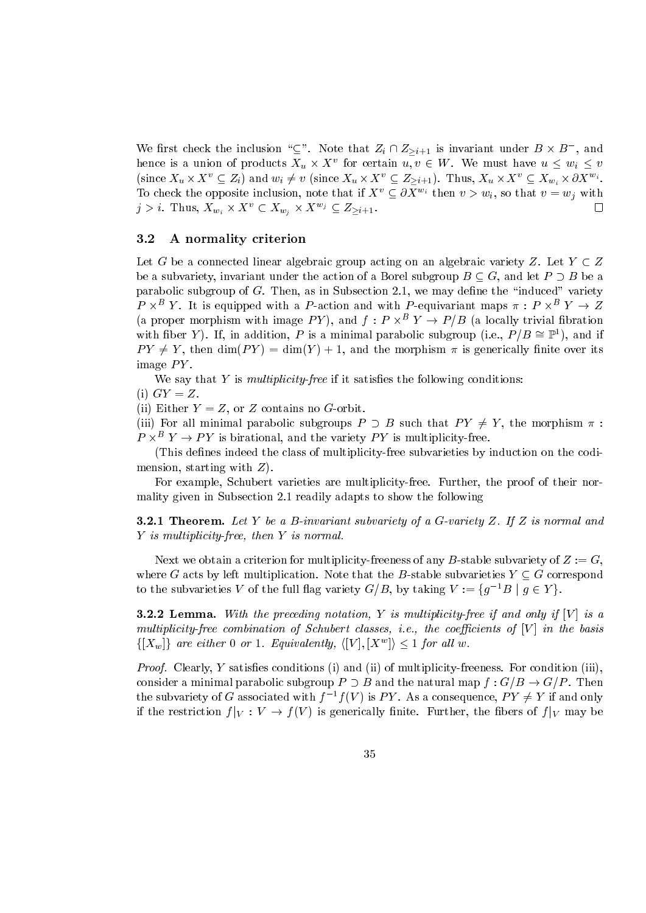We first check the inclusion " $\subseteq$ ". Note that  $Z_i \cap Z_{\geq i+1}$  is invariant under  $B \times B^-$ , and hence is a union of products  $X_u \times X_v$  for certain  $u, v \in W$ . We must have  $u \leq w_i \leq v$ (since  $X_u \times X^v \subseteq Z_i$ ) and  $w_i \neq v$  (since  $X_u \times X^v \subseteq Z_{\geq i+1}$ ). Thus,  $X_u \times X^v \subseteq X_{w_i} \times \partial X^{w_i}$ . To check the opposite inclusion, note that if  $X^v \subseteq \partial \bar{X}^{w_i}$  then  $v > w_i$ , so that  $v = w_j$  with  $j > i$ . Thus,  $X_{w_i} \times X^v \subset X_{w_j} \times X^{w_j} \subseteq Z_{\geq i+1}$ .  $\Box$ 

### 3.2 A normality criterion

Let G be a connected linear algebraic group acting on an algebraic variety Z. Let  $Y \subset Z$ be a subvariety, invariant under the action of a Borel subgroup  $B \subseteq G$ , and let  $P \supset B$  be a parabolic subgroup of  $G$ . Then, as in Subsection 2.1, we may define the "induced" variety  $P \times^B Y$ . It is equipped with a P-action and with P-equivariant maps  $\pi : P \times^B Y \to Z$ (a proper morphism with image PY), and  $f: P \times^B Y \to P/B$  (a locally trivial fibration with fiber Y). If, in addition, P is a minimal parabolic subgroup (i.e.,  $P/B \cong \mathbb{P}^1$ ), and if  $PY \neq Y$ , then  $\dim(PY) = \dim(Y) + 1$ , and the morphism  $\pi$  is generically finite over its image  $PY$ .

We say that  $Y$  is *multiplicity-free* if it satisfies the following conditions:

(i)  $GY = Z$ .

(ii) Either  $Y = Z$ , or Z contains no G-orbit.

(iii) For all minimal parabolic subgroups  $P \supset B$  such that  $PY \neq Y$ , the morphism  $\pi$ :  $P \times^B Y \to PY$  is birational, and the variety PY is multiplicity-free.

(This defines indeed the class of multiplicity-free subvarieties by induction on the codimension, starting with  $Z$ ).

For example, Schubert varieties are multiplicity-free. Further, the proof of their normality given in Subsection 2.1 readily adapts to show the following

**3.2.1 Theorem.** Let Y be a B-invariant subvariety of a G-variety Z. If Z is normal and Y is multiplicity-free, then Y is normal.

Next we obtain a criterion for multiplicity-freeness of any B-stable subvariety of  $Z := G$ , where G acts by left multiplication. Note that the B-stable subvarieties  $Y \subseteq G$  correspond to the subvarieties V of the full flag variety  $G/B$ , by taking  $V := \{g^{-1}B \mid g \in Y\}.$ 

**3.2.2 Lemma.** With the preceding notation, Y is multiplicity-free if and only if  $[V]$  is a multiplicity-free combination of Schubert classes, i.e., the coefficients of  $[V]$  in the basis  $\{[X_w]\}\$ are either 0 or 1. Equivalently,  $\langle [V], [X^w] \rangle \leq 1$  for all w.

*Proof.* Clearly, Y satisfies conditions (i) and (ii) of multiplicity-freeness. For condition (iii), consider a minimal parabolic subgroup  $P \supset B$  and the natural map  $f : G/B \to G/P$ . Then the subvariety of G associated with  $f^{-1}f(V)$  is PY. As a consequence,  $PY \neq Y$  if and only if the restriction  $f|_V: V \to f(V)$  is generically finite. Further, the fibers of  $f|_V$  may be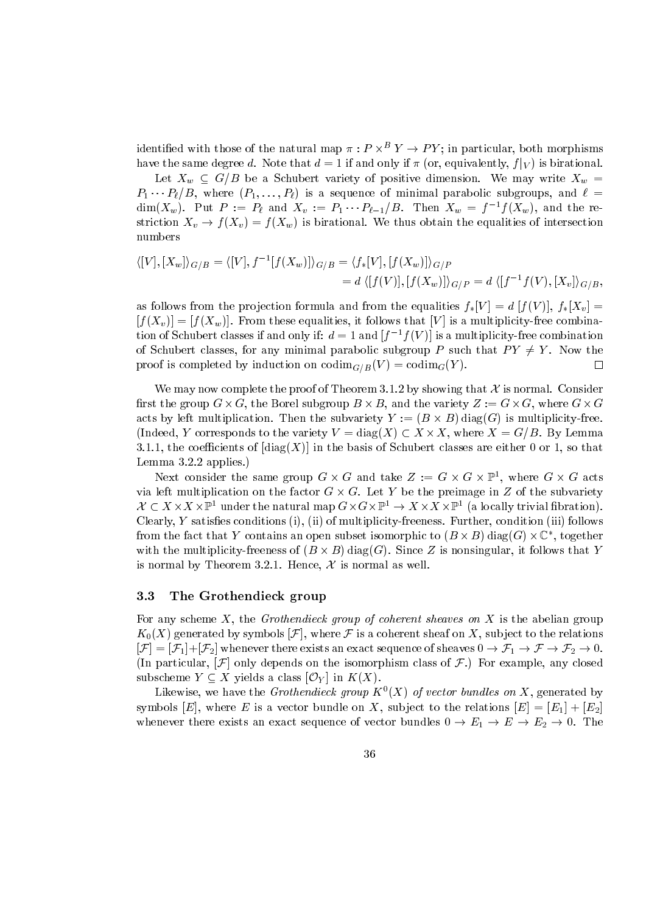identified with those of the natural map  $\pi : P \times^B Y \to P Y$ ; in particular, both morphisms have the same degree d. Note that  $d = 1$  if and only if  $\pi$  (or, equivalently,  $f|_V$ ) is birational.

Let  $X_w \subseteq G/B$  be a Schubert variety of positive dimension. We may write  $X_w =$  $P_1 \cdots P_\ell/B$ , where  $(P_1, \ldots, P_\ell)$  is a sequence of minimal parabolic subgroups, and  $\ell =$ dim(Xw). Put  $P := P_\ell$  and  $X_v := P_1 \cdots P_{\ell-1}/B$ . Then  $X_w = f^{-1}f(X_w)$ , and the restriction  $X_v \to f(X_v) = f(X_w)$  is birational. We thus obtain the equalities of intersection numbers

$$
\langle [V], [X_w] \rangle_{G/B} = \langle [V], f^{-1}[f(X_w)] \rangle_{G/B} = \langle f_*[V], [f(X_w)] \rangle_{G/P} = d \langle [f(V)], [f(X_w)] \rangle_{G/P} = d \langle [f^{-1}f(V), [X_v] \rangle_{G/B},
$$

as follows from the projection formula and from the equalities  $f_*[V] = d[f(V)]$ ,  $f_*[X_v] =$  $[f(X_v)]= [f(X_w)]$ . From these equalities, it follows that [V] is a multiplicity-free combination of Schubert classes if and only if:  $d = 1$  and  $[f^{-1}f(V)]$  is a multiplicity-free combination of Schubert classes, for any minimal parabolic subgroup P such that  $PY \neq Y$ . Now the proof is completed by induction on  $\text{codim}_{G/B}(V) = \text{codim}_G(Y)$ .  $\Box$ 

We may now complete the proof of Theorem 3.1.2 by showing that  $\mathcal X$  is normal. Consider first the group  $G\times G,$  the Borel subgroup  $B\times B,$  and the variety  $Z:=G\times G,$  where  $G\times G$ acts by left multiplication. Then the subvariety  $Y := (B \times B) \text{ diag}(G)$  is multiplicity-free. (Indeed, Y corresponds to the variety  $V = diag(X) \subset X \times X$ , where  $X = G/B$ . By Lemma 3.1.1, the coefficients of  $\text{diag}(X)$  in the basis of Schubert classes are either 0 or 1, so that Lemma 3.2.2 applies.)

Next consider the same group  $G \times G$  and take  $Z := G \times G \times \mathbb{P}^1$ , where  $G \times G$  acts via left multiplication on the factor  $G \times G$ . Let Y be the preimage in Z of the subvariety  $\mathcal{X} \subset X \times X \times \mathbb{P}^1$  under the natural map  $G \times G \times \mathbb{P}^1 \to X \times X \times \mathbb{P}^1$  (a locally trivial fibration). Clearly,  $Y$  satisfies conditions (i), (ii) of multiplicity-freeness. Further, condition (iii) follows from the fact that Y contains an open subset isomorphic to  $(B \times B)$  diag $(G) \times \mathbb{C}^*$ , together with the multiplicity-freeness of  $(B \times B)$  diag(G). Since Z is nonsingular, it follows that Y is normal by Theorem 3.2.1. Hence,  $\mathcal X$  is normal as well.

### 3.3 The Grothendieck group

For any scheme X, the Grothendieck group of coherent sheaves on X is the abelian group  $K_0(X)$  generated by symbols  $[\mathcal{F}],$  where  $\mathcal F$  is a coherent sheaf on X, subject to the relations  $[\mathcal{F}] = [\mathcal{F}_1] + [\mathcal{F}_2]$  whenever there exists an exact sequence of sheaves  $0 \to \mathcal{F}_1 \to \mathcal{F} \to \mathcal{F}_2 \to 0$ . (In particular,  $\mathcal{F}$ ) only depends on the isomorphism class of  $\mathcal{F}$ .) For example, any closed subscheme  $Y \subseteq X$  yields a class  $[\mathcal{O}_Y]$  in  $K(X)$ .

Likewise, we have the *Grothendieck group*  $K^0(X)$  *of vector bundles on* X, generated by symbols  $[E]$ , where E is a vector bundle on X, subject to the relations  $[E] = [E_1] + [E_2]$ whenever there exists an exact sequence of vector bundles  $0 \to E_1 \to E \to E_2 \to 0$ . The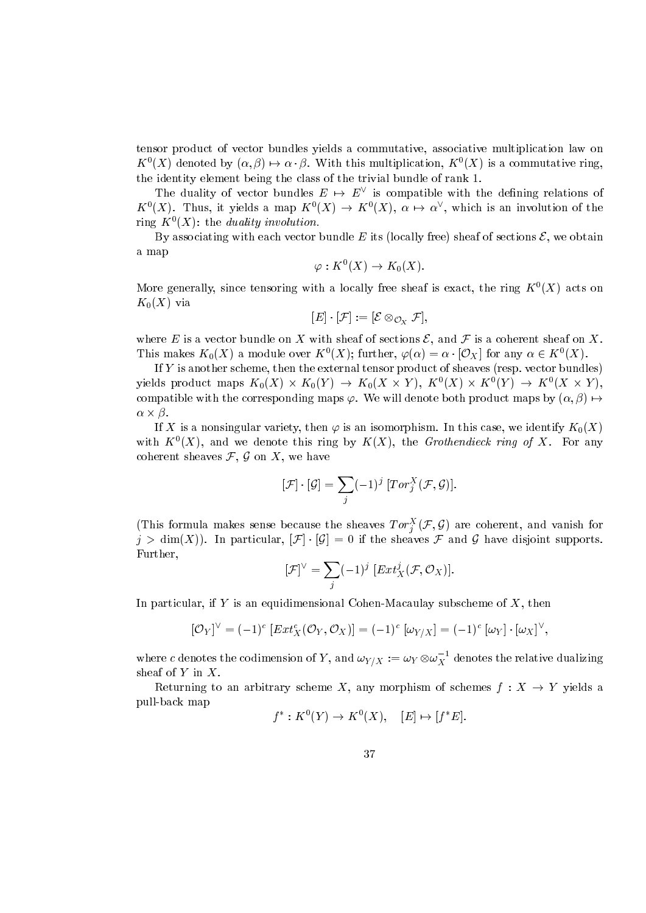tensor product of vector bundles yields a commutative, associative multiplication law on  $K^0(X)$  denoted by  $(\alpha, \beta) \mapsto \alpha \cdot \beta$ . With this multiplication,  $K^0(X)$  is a commutative ring, the identity element being the class of the trivial bundle of rank 1.

The duality of vector bundles  $E \mapsto E^{\vee}$  is compatible with the defining relations of  $K^0(X)$ . Thus, it yields a map  $K^0(X) \to K^0(X)$ ,  $\alpha \mapsto \alpha^{\vee}$ , which is an involution of the ring  $K^0(X)$ : the *duality involution*.

By associating with each vector bundle E its (locally free) sheaf of sections  $\mathcal{E}$ , we obtain a map

$$
\varphi: K^0(X) \to K_0(X).
$$

More generally, since tensoring with a locally free sheaf is exact, the ring  $K^0(X)$  acts on  $K_0(X)$  via

$$
[E] \cdot [\mathcal{F}] := [\mathcal{E} \otimes_{\mathcal{O}_X} \mathcal{F}],
$$

where E is a vector bundle on X with sheaf of sections  $\mathcal E$ , and  $\mathcal F$  is a coherent sheaf on X. This makes  $K_0(X)$  a module over  $K^0(X)$ ; further,  $\varphi(\alpha) = \alpha \cdot [\mathcal{O}_X]$  for any  $\alpha \in K^0(X)$ .

If  $Y$  is another scheme, then the external tensor product of sheaves (resp. vector bundles) yields product maps  $K_0(X) \times K_0(Y) \to K_0(X \times Y)$ ,  $K^0(X) \times K^0(Y) \to K^0(X \times Y)$ , compatible with the corresponding maps  $\varphi$ . We will denote both product maps by  $(\alpha, \beta) \mapsto$  $\alpha \times \beta$ .

If X is a nonsingular variety, then  $\varphi$  is an isomorphism. In this case, we identify  $K_0(X)$ with  $K^0(X)$ , and we denote this ring by  $K(X)$ , the Grothendieck ring of X. For any coherent sheaves  $\mathcal{F}, \mathcal{G}$  on X, we have

$$
[\mathcal{F}] \cdot [\mathcal{G}] = \sum_j (-1)^j [Tor_j^X(\mathcal{F}, \mathcal{G})].
$$

(This formula makes sense because the sheaves  $Tor_j^X(\mathcal{F}, \mathcal{G})$  are coherent, and vanish for  $j > \dim(X)$ ). In particular,  $|\mathcal{F}| \cdot |\mathcal{G}| = 0$  if the sheaves  $\mathcal F$  and  $\mathcal G$  have disjoint supports. Further,

$$
[\mathcal{F}]^{\vee} = \sum_{j} (-1)^{j} [Ext_{X}^{j}(\mathcal{F}, \mathcal{O}_{X})].
$$

In particular, if  $Y$  is an equidimensional Cohen-Macaulay subscheme of  $X$ , then

$$
[\mathcal{O}_Y]^\vee = (-1)^c \left[ Ext_X^c(\mathcal{O}_Y, \mathcal{O}_X) \right] = (-1)^c \left[ \omega_{Y/X} \right] = (-1)^c \left[ \omega_Y \right] \cdot \left[ \omega_X \right]^\vee,
$$

where c denotes the codimension of Y, and  $\omega_{Y/X} := \omega_Y \otimes \omega_X^{-1}$  denotes the relative dualizing sheaf of  $Y$  in  $X$ .

Returning to an arbitrary scheme X, any morphism of schemes  $f: X \rightarrow Y$  yields a pull-back map

$$
f^*: K^0(Y) \to K^0(X), [E] \mapsto [f^*E].
$$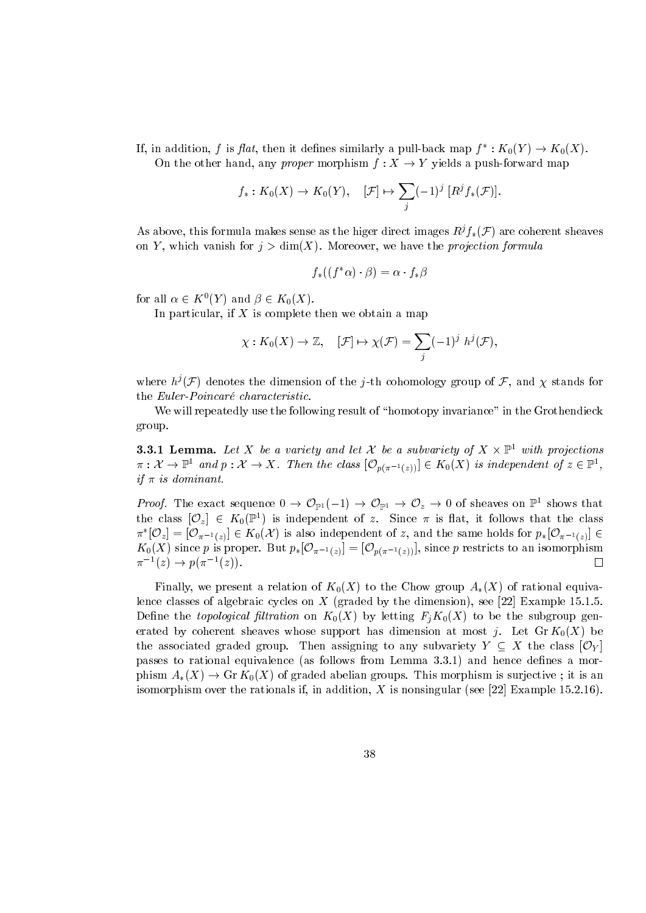If, in addition, f is flat, then it defines similarly a pull-back map  $f^*: K_0(Y) \to K_0(X)$ .

On the other hand, any *proper* morphism  $f: X \rightarrow Y$  yields a push-forward map

$$
f_*: K_0(X) \to K_0(Y), \quad [\mathcal{F}] \mapsto \sum_j (-1)^j [R^j f_*(\mathcal{F})].
$$

As above, this formula makes sense as the higer direct images  $R^jf_*(\mathcal{F})$  are coherent sheaves on Y, which vanish for  $j > dim(X)$ . Moreover, we have the projection formula

$$
f_*((f^*\alpha)\cdot\beta)=\alpha\cdot f_*\beta
$$

for all  $\alpha \in K^0(Y)$  and  $\beta \in K_0(X)$ .

In particular, if  $X$  is complete then we obtain a map

$$
\chi: K_0(X) \to \mathbb{Z}, \quad [\mathcal{F}] \mapsto \chi(\mathcal{F}) = \sum_j (-1)^j h^j(\mathcal{F}),
$$

where  $h^{j}(\mathcal{F})$  denotes the dimension of the j-th cohomology group of  $\mathcal{F}$ , and  $\chi$  stands for the Euler-Poincaré characteristic.

We will repeatedly use the following result of "homotopy invariance" in the Grothendieck group.

**3.3.1 Lemma.** Let X be a variety and let X be a subvariety of  $X \times \mathbb{P}^1$  with projections  $\frac{1}{\tau}$  $\pi: \mathcal{X} \to \mathbb{P}^1$  and  $p: \mathcal{X} \to X$ . Then the class  $[\mathcal{O}_{p(\pi^{-1}(z))}] \in K_0(X)$  is independent of  $z \in \mathbb{P}^1$ , if  $\pi$  is dominant.

*Proof.* The exact sequence  $0 \to \mathcal{O}_{\mathbb{P}^1}(-1) \to \mathcal{O}_{\mathbb{P}^1} \to \mathcal{O}_z \to 0$  of sheaves on  $\mathbb{P}^1$  shows that the class  $[\mathcal{O}_z] \in K_0(\mathbb{P}^1)$  is independent of z. Since  $\pi$  is flat, it follows that the class  $\pi^*[{\mathcal O}_z] = [{\mathcal O}_{\pi^{-1}(z)}] \in K_0({\mathcal X})$  is also independent of z, and the same holds for  $p_*[{\mathcal O}_{\pi^{-1}(z)}] \in$  $K_0(X)$  since p is proper. But  $p_*[O_{\pi^{-1}(z)}] = [O_{p(\pi^{-1}(z))}]$ , since p restricts to an isomorphism  $\pi^{-1}(z) \to p(\pi^{-1}(z)).$  $\Box$ 

Finally, we present a relation of  $K_0(X)$  to the Chow group  $A_*(X)$  of rational equivalence classes of algebraic cycles on  $X$  (graded by the dimension), see [22] Example 15.1.5. Define the *topological filtration* on  $K_0(X)$  by letting  $F_i K_0(X)$  to be the subgroup generated by coherent sheaves whose support has dimension at most j. Let  $Gr K_0(X)$  be the associated graded group. Then assigning to any subvariety  $Y \subseteq X$  the class  $[O_Y]$ passes to rational equivalence (as follows from Lemma 3.3.1) and hence denes a morphism  $A_*(X) \to \text{Gr } K_0(X)$  of graded abelian groups. This morphism is surjective; it is an isomorphism over the rationals if, in addition, X is nonsingular (see [22] Example 15.2.16).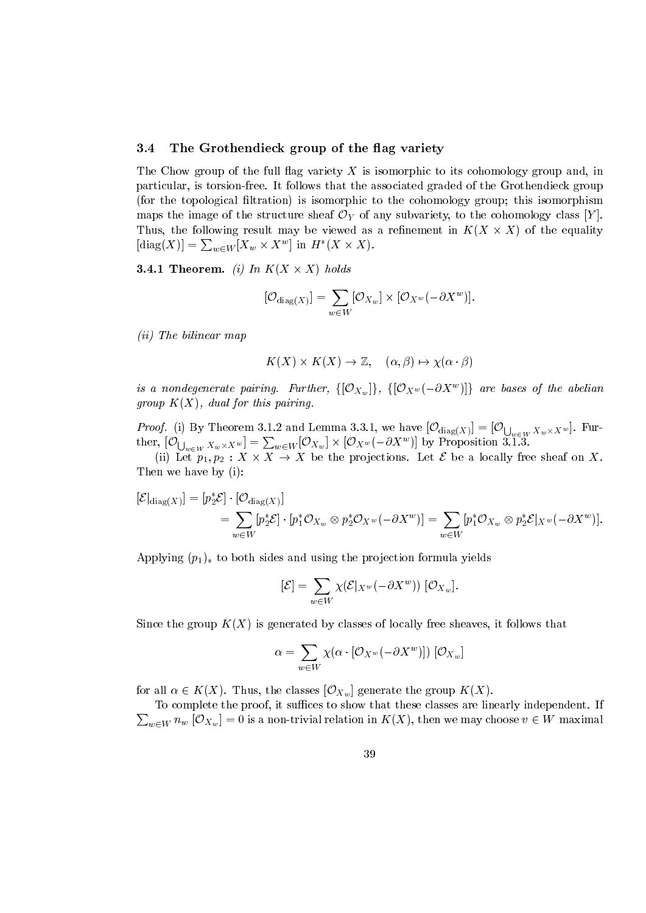### 3.4 The Grothendieck group of the flag variety

The Chow group of the full flag variety  $X$  is isomorphic to its cohomology group and, in particular, is torsion-free. It follows that the associated graded of the Grothendieck group (for the topological ltration) is isomorphic to the cohomology group; this isomorphism maps the image of the structure sheaf  $\mathcal{O}_Y$  of any subvariety, to the cohomology class [Y]. Thus, the following result may be viewed as a refinement in  $K(X \times X)$  of the equality  $[\text{diag}(X)] = \sum_{w \in W} [X_w \times X^w]$  in  $H^*(X \times X)$ .

**3.4.1 Theorem.** (i) In  $K(X \times X)$  holds

$$
[\mathcal{O}_{\text{diag}(X)}] = \sum_{w \in W} [\mathcal{O}_{Xw}] \times [\mathcal{O}_{X^w}(-\partial X^w)].
$$

(ii) The bilinear map

$$
K(X) \times K(X) \to \mathbb{Z}, \quad (\alpha, \beta) \mapsto \chi(\alpha \cdot \beta)
$$

is a nondegenerate pairing. Further,  $\{[O_{X_w}]\}, \{[O_{X^w}(-\partial X^w)]\}$  are bases of the abelian group  $K(X)$ , dual for this pairing.

*Proof.* (i) By Theorem 3.1.2 and Lemma 3.3.1, we have  $[O_{diag(X)}] = [O_{\bigcup_{w \in W} X_w \times X_w}]$ . Further,  $[\mathcal{O}_{\bigcup_{w\in W}X_w\times X_w}]=\sum_{w\in W}[\mathcal{O}_{X_w}]\times[\mathcal{O}_{X^w}(-\partial X^w)]$  by Proposition 3.1.3.

(ii) Let  $p_1, p_2 : X \times X \to X$  be the projections. Let  $\mathcal E$  be a locally free sheaf on X. Then we have by (i):

$$
\begin{aligned} [\mathcal{E}]_{\text{diag}(X)}] &= [p_2^* \mathcal{E}] \cdot [\mathcal{O}_{\text{diag}(X)}] \\ &= \sum_{w \in W} [p_2^* \mathcal{E}] \cdot [p_1^* \mathcal{O}_{X_w} \otimes p_2^* \mathcal{O}_{X^w}(-\partial X^w)] = \sum_{w \in W} [p_1^* \mathcal{O}_{X_w} \otimes p_2^* \mathcal{E}]_{X^w}(-\partial X^w)]. \end{aligned}
$$

Applying  $(p_1)_*$  to both sides and using the projection formula yields

$$
[\mathcal{E}] = \sum_{w \in W} \chi(\mathcal{E}|_{X^w}(-\partial X^w)) \; [\mathcal{O}_{X_w}].
$$

Since the group  $K(X)$  is generated by classes of locally free sheaves, it follows that

$$
\alpha = \sum_{w \in W} \chi(\alpha \cdot [\mathcal{O}_{X^w}(-\partial X^w)]) [\mathcal{O}_{X_w}]
$$

for all  $\alpha \in K(X)$ . Thus, the classes  $[\mathcal{O}_{X_w}]$  generate the group  $K(X)$ .

 $\sum_{w \in W} n_w [\mathcal{O}_{X_w}] = 0$  is a non-trivial relation in  $K(X)$ , then we may choose  $v \in W$  maximal To complete the proof, it suffices to show that these classes are linearly independent. If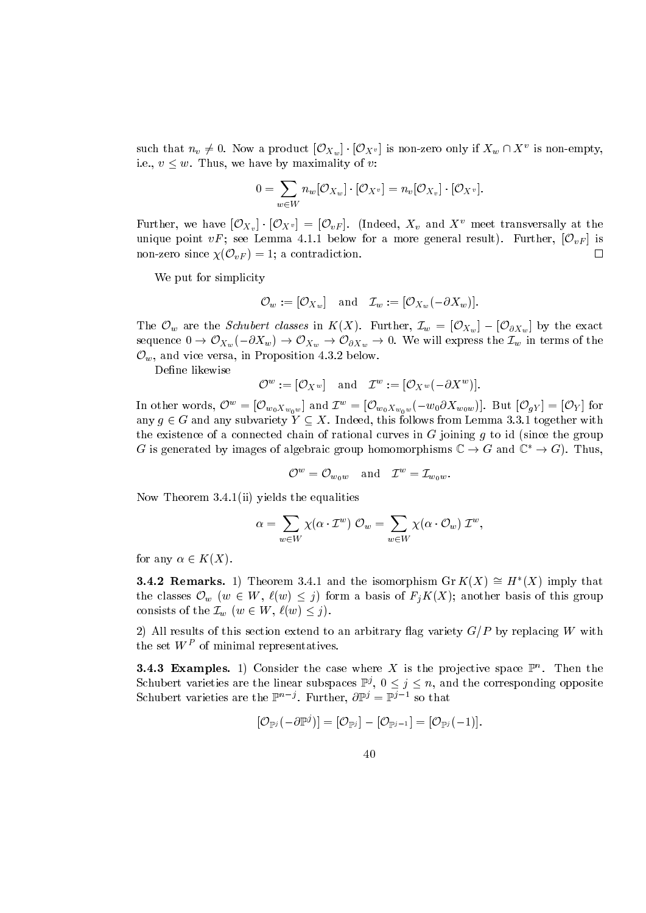such that  $n_v \neq 0$ . Now a product  $[O_{X_w}] \cdot [O_{X_v}]$  is non-zero only if  $X_w \cap X_v$  is non-empty, i.e.,  $v \leq w$ . Thus, we have by maximality of v:

$$
0 = \sum_{w \in W} n_w [\mathcal{O}_{X_w}] \cdot [\mathcal{O}_{X^v}] = n_v [\mathcal{O}_{X_v}] \cdot [\mathcal{O}_{X^v}].
$$

Further, we have  $[\mathcal{O}_{X_v}]\cdot[\mathcal{O}_{X_v}]=[\mathcal{O}_{vF}]$ . (Indeed,  $X_v$  and  $X^v$  meet transversally at the unique point vF; see Lemma 4.1.1 below for a more general result). Further,  $[O_{vF}]$  is non-zero since  $\chi(\mathcal{O}_{vF}) = 1$ ; a contradiction.  $\Box$ 

We put for simplicity

$$
\mathcal{O}_w := [\mathcal{O}_{X_w}]
$$
 and  $\mathcal{I}_w := [\mathcal{O}_{X_w}(-\partial X_w)].$ 

The  $\mathcal{O}_w$  are the *Schubert classes* in  $K(X)$ . Further,  $\mathcal{I}_w = [\mathcal{O}_{X_w}] - [\mathcal{O}_{\partial X_w}]$  by the exact sequence  $0 \to \mathcal{O}_{X_w}(-\partial X_w) \to \mathcal{O}_{X_w} \to \mathcal{O}_{\partial X_w} \to 0$ . We will express the  $\mathcal{I}_w$  in terms of the  $\mathcal{O}_w$ , and vice versa, in Proposition 4.3.2 below.

Define likewise

$$
\mathcal{O}^w:=[\mathcal{O}_{X^w}]\quad\text{and}\quad\mathcal{I}^w:=[\mathcal{O}_{X^w}(-\partial X^w)].
$$

In other words,  $\mathcal{O}^w = [\mathcal{O}_{w_0 X_{w_0 w}}]$  and  $\mathcal{I}^w = [\mathcal{O}_{w_0 X_{w_0 w}}(-w_0 \partial X_{w_0 w})]$ . But  $[\mathcal{O}_{gY}] = [\mathcal{O}_Y]$  for any  $g \in G$  and any subvariety  $Y \subseteq X$ . Indeed, this follows from Lemma 3.3.1 together with the existence of a connected chain of rational curves in  $G$  joining  $q$  to id (since the group G is generated by images of algebraic group homomorphisms  $\mathbb{C} \to G$  and  $\mathbb{C}^* \to G$ ). Thus,

$$
\mathcal{O}^w = \mathcal{O}_{w_0 w} \quad \text{and} \quad \mathcal{I}^w = \mathcal{I}_{w_0 w}.
$$

Now Theorem 3.4.1(ii) yields the equalities

$$
\alpha = \sum_{w \in W} \chi(\alpha \cdot \mathcal{I}^w) \mathcal{O}_w = \sum_{w \in W} \chi(\alpha \cdot \mathcal{O}_w) \mathcal{I}^w,
$$

for any  $\alpha \in K(X)$ .

**3.4.2 Remarks.** 1) Theorem 3.4.1 and the isomorphism  $\text{Gr } K(X) \cong H^*(X)$  imply that the classes  $\mathcal{O}_w$  ( $w \in W$ ,  $\ell(w) \leq j$ ) form a basis of  $F_iK(X)$ ; another basis of this group consists of the  $\mathcal{I}_w$   $(w \in W, \ell(w) \leq j)$ .

2) All results of this section extend to an arbitrary flag variety  $G/P$  by replacing W with the set  $W^P$  of minimal representatives.

**3.4.3 Examples.** 1) Consider the case where X is the projective space  $\mathbb{P}^n$ . Then the Schubert varieties are the linear subspaces  $\mathbb{P}^j$ ,  $0 \leq j \leq n$ , and the corresponding opposite Schubert varieties are the  $\mathbb{P}^{n-j}$ . Further,  $\partial \mathbb{P}^j = \mathbb{P}^{j-1}$  so that

$$
[\mathcal{O}_{\mathbb{P}^j}(-\partial \mathbb{P}^j)] = [\mathcal{O}_{\mathbb{P}^j}] - [\mathcal{O}_{\mathbb{P}^{j-1}}] = [\mathcal{O}_{\mathbb{P}^j}(-1)].
$$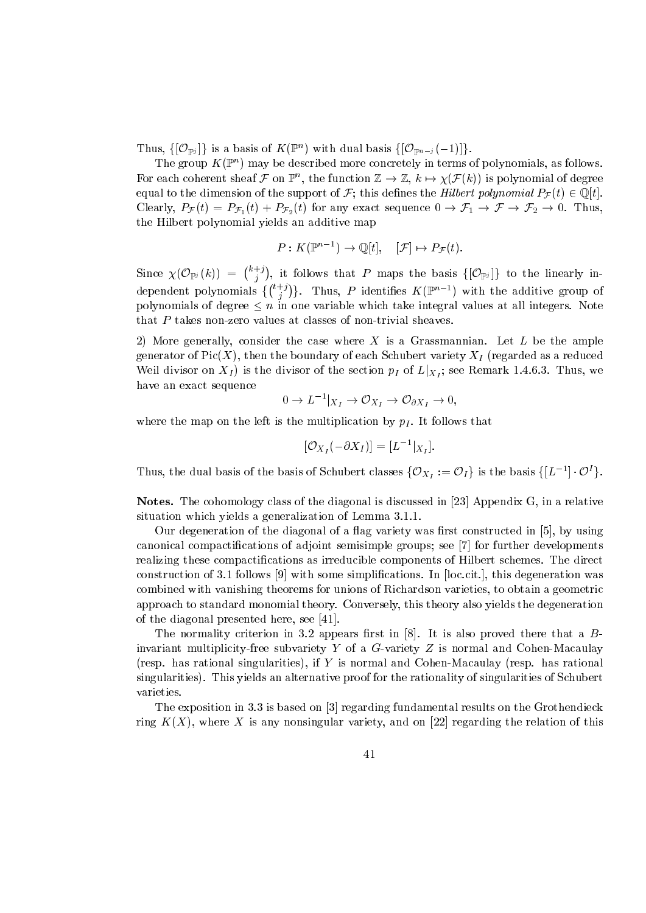Thus,  $\{[\mathcal{O}_{\mathbb{P}^j}]\}$  is a basis of  $K(\mathbb{P}^n)$  with dual basis  $\{[\mathcal{O}_{\mathbb{P}^{n-j}}(-1)]\}$ .

The group  $K(\mathbb{P}^n)$  may be described more concretely in terms of polynomials, as follows. For each coherent sheaf  $\mathcal F$  on  $\mathbb P^n$ , the function  $\mathbb Z \to \mathbb Z$ ,  $k \mapsto \chi(\mathcal F(k))$  is polynomial of degree equal to the dimension of the support of F; this defines the Hilbert polynomial  $P_{\mathcal{F}}(t) \in \mathbb{Q}[t]$ . Clearly,  $P_{\mathcal{F}}(t) = P_{\mathcal{F}_1}(t) + P_{\mathcal{F}_2}(t)$  for any exact sequence  $0 \to \mathcal{F}_1 \to \mathcal{F} \to \mathcal{F}_2 \to 0$ . Thus, the Hilbert polynomial yields an additive map

$$
P: K(\mathbb{P}^{n-1}) \to \mathbb{Q}[t], \quad [\mathcal{F}] \mapsto P_{\mathcal{F}}(t).
$$

Since  $\chi(\mathcal{O}_{\mathbb{P}^j}(k)) = \binom{k+j}{j}$  $_j^{(+)},$  it follows that P maps the basis  $\{[O_{\mathbb{P}^j}]\}$  to the linearly independent polynomials  $\{ \binom{t+j}{i} \}$  ${j \choose j}$ . Thus, P identifies  $K(\mathbb{P}^{n-1})$  with the additive group of polynomials of degree  $\leq n$  in one variable which take integral values at all integers. Note that  $P$  takes non-zero values at classes of non-trivial sheaves.

2) More generally, consider the case where X is a Grassmannian. Let  $L$  be the ample generator of  $Pic(X)$ , then the boundary of each Schubert variety  $X_I$  (regarded as a reduced Weil divisor on  $X_I$ ) is the divisor of the section  $p_I$  of  $L|_{X_I}$ ; see Remark 1.4.6.3. Thus, we have an exact sequence

$$
0 \to L^{-1}|_{X_I} \to \mathcal{O}_{X_I} \to \mathcal{O}_{\partial X_I} \to 0,
$$

where the map on the left is the multiplication by  $p_I$ . It follows that

$$
[\mathcal{O}_{X_I}(-\partial X_I)] = [L^{-1}|_{X_I}].
$$

Thus, the dual basis of the basis of Schubert classes  $\{\mathcal{O}_{X_I} := \mathcal{O}_I\}$  is the basis  $\{[L^{-1}] \cdot \mathcal{O}^I\}$ .

Notes. The cohomology class of the diagonal is discussed in [23] Appendix G, in a relative situation which yields a generalization of Lemma 3.1.1.

Our degeneration of the diagonal of a flag variety was first constructed in  $[5]$ , by using canonical compactications of adjoint semisimple groups; see [7] for further developments realizing these compactications as irreducible components of Hilbert schemes. The direct construction of 3.1 follows [9] with some simplifications. In  $[loc. cit.]$ , this degeneration was combined with vanishing theorems for unions of Richardson varieties, to obtain a geometric approach to standard monomial theory. Conversely, this theory also yields the degeneration of the diagonal presented here, see [41].

The normality criterion in 3.2 appears first in  $[8]$ . It is also proved there that a Binvariant multiplicity-free subvariety  $Y$  of a  $G$ -variety  $Z$  is normal and Cohen-Macaulay (resp. has rational singularities), if Y is normal and Cohen-Macaulay (resp. has rational singularities). This yields an alternative proof for the rationality of singularities of Schubert varieties.

The exposition in 3.3 is based on [3] regarding fundamental results on the Grothendieck ring  $K(X)$ , where X is any nonsingular variety, and on [22] regarding the relation of this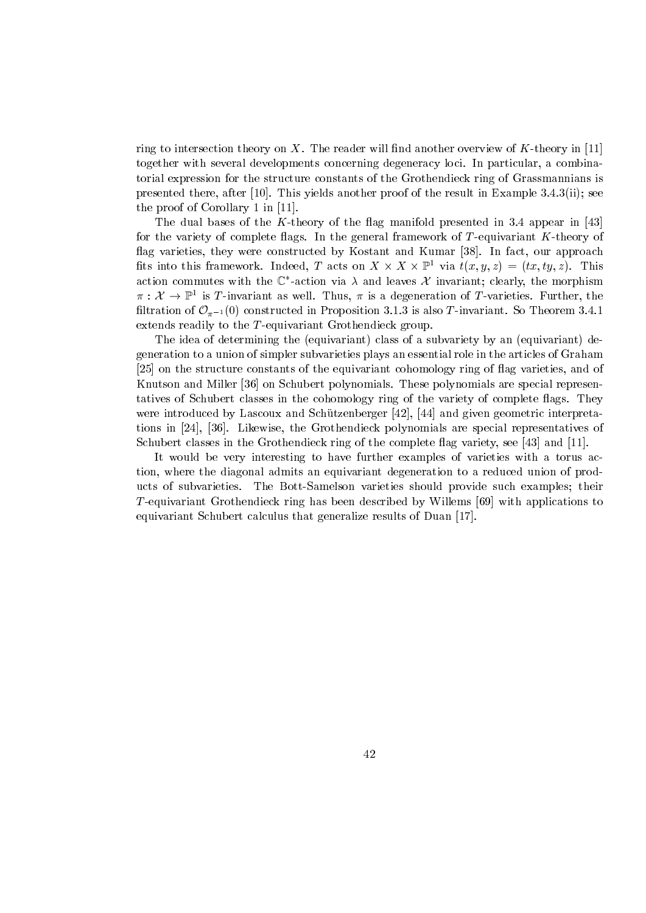ring to intersection theory on X. The reader will find another overview of K-theory in [11] together with several developments concerning degeneracy loci. In particular, a combinatorial expression for the structure constants of the Grothendieck ring of Grassmannians is presented there, after [10]. This yields another proof of the result in Example 3.4.3(ii); see the proof of Corollary 1 in [11].

The dual bases of the K-theory of the flag manifold presented in 3.4 appear in [43] for the variety of complete flags. In the general framework of  $T$ -equivariant  $K$ -theory of ag varieties, they were constructed by Kostant and Kumar [38]. In fact, our approach fits into this framework. Indeed, T acts on  $X \times X \times \mathbb{P}^1$  via  $t(x, y, z) = (tx, ty, z)$ . This  $\frac{1}{2}$ action commutes with the  $\mathbb{C}^*$ -action via  $\lambda$  and leaves  $\mathcal X$  invariant; clearly, the morphism  $\pi: \mathcal{X} \to \mathbb{P}^1$  is T-invariant as well. Thus,  $\pi$  is a degeneration of T-varieties. Further, the filtration of  $\mathcal{O}_{\pi^{-1}}(0)$  constructed in Proposition 3.1.3 is also T-invariant. So Theorem 3.4.1 extends readily to the T-equivariant Grothendieck group.

The idea of determining the (equivariant) class of a subvariety by an (equivariant) degeneration to a union of simpler subvarieties plays an essential role in the articles of Graham [25] on the structure constants of the equivariant cohomology ring of flag varieties, and of Knutson and Miller [36] on Schubert polynomials. These polynomials are special representatives of Schubert classes in the cohomology ring of the variety of complete flags. They were introduced by Lascoux and Schützenberger [42], [44] and given geometric interpretations in [24], [36]. Likewise, the Grothendieck polynomials are special representatives of Schubert classes in the Grothendieck ring of the complete flag variety, see [43] and [11].

It would be very interesting to have further examples of varieties with a torus action, where the diagonal admits an equivariant degeneration to a reduced union of products of subvarieties. The Bott-Samelson varieties should provide such examples; their T-equivariant Grothendieck ring has been described by Willems [69] with applications to equivariant Schubert calculus that generalize results of Duan [17].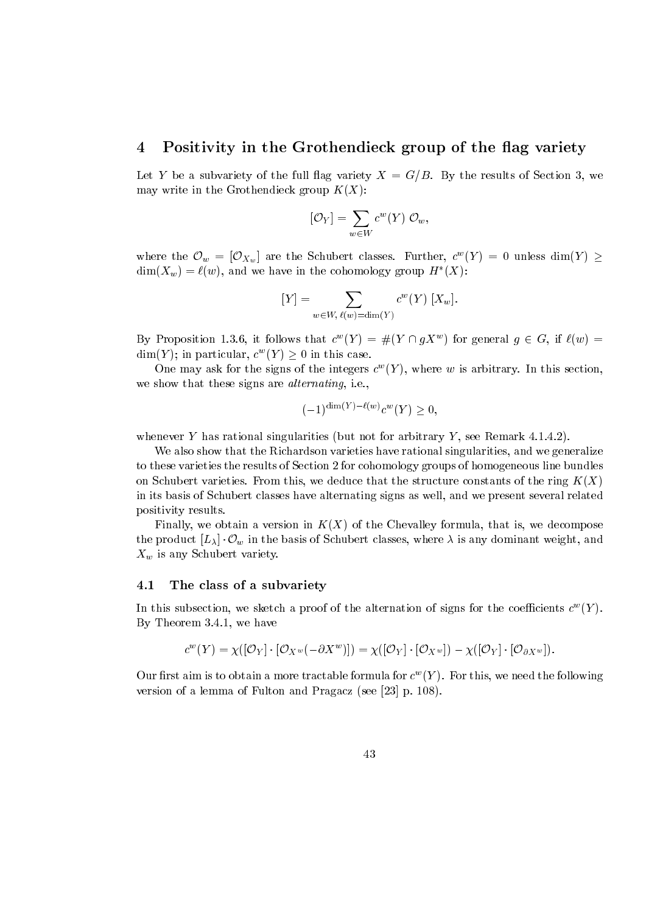### 4 Positivity in the Grothendieck group of the 
ag variety

Let Y be a subvariety of the full flag variety  $X = G/B$ . By the results of Section 3, we may write in the Grothendieck group  $K(X)$ :

$$
[\mathcal{O}_Y] = \sum_{w \in W} c^w(Y) \mathcal{O}_w,
$$

where the  $\mathcal{O}_w = [\mathcal{O}_{X_w}]$  are the Schubert classes. Further,  $c^w(Y) = 0$  unless  $\dim(Y) \ge$  $\dim(X_w) = \ell(w)$ , and we have in the cohomology group  $H^*(X)$ :

$$
[Y] = \sum_{w \in W, \ \ell(w) = \dim(Y)} c^w(Y) [X_w].
$$

By Proposition 1.3.6, it follows that  $c^w(Y) = #(Y \cap gX^w)$  for general  $g \in G$ , if  $\ell(w) =$ dim(Y); in particular,  $c^w(Y) \geq 0$  in this case.

One may ask for the signs of the integers  $c^w(Y)$ , where w is arbitrary. In this section, we show that these signs are alternating, i.e.,

$$
(-1)^{\dim(Y) - \ell(w)} c^w(Y) \ge 0,
$$

whenever Y has rational singularities (but not for arbitrary Y, see Remark 4.1.4.2).

We also show that the Richardson varieties have rational singularities, and we generalize to these varieties the results of Section 2 for cohomology groups of homogeneous line bundles on Schubert varieties. From this, we deduce that the structure constants of the ring  $K(X)$ in its basis of Schubert classes have alternating signs as well, and we present several related positivity results.

Finally, we obtain a version in  $K(X)$  of the Chevalley formula, that is, we decompose the product  $[L_{\lambda}] \cdot \mathcal{O}_w$  in the basis of Schubert classes, where  $\lambda$  is any dominant weight, and  $X_w$  is any Schubert variety.

### 4.1 The class of a subvariety

In this subsection, we sketch a proof of the alternation of signs for the coefficients  $c^w(Y)$ . By Theorem 3.4.1, we have

$$
c^{w}(Y) = \chi([\mathcal{O}_{Y}] \cdot [\mathcal{O}_{X^{w}}(-\partial X^{w})]) = \chi([\mathcal{O}_{Y}] \cdot [\mathcal{O}_{X^{w}}]) - \chi([\mathcal{O}_{Y}] \cdot [\mathcal{O}_{\partial X^{w}}]).
$$

Our first aim is to obtain a more tractable formula for  $c^w(Y)$ . For this, we need the following version of a lemma of Fulton and Pragacz (see [23] p. 108).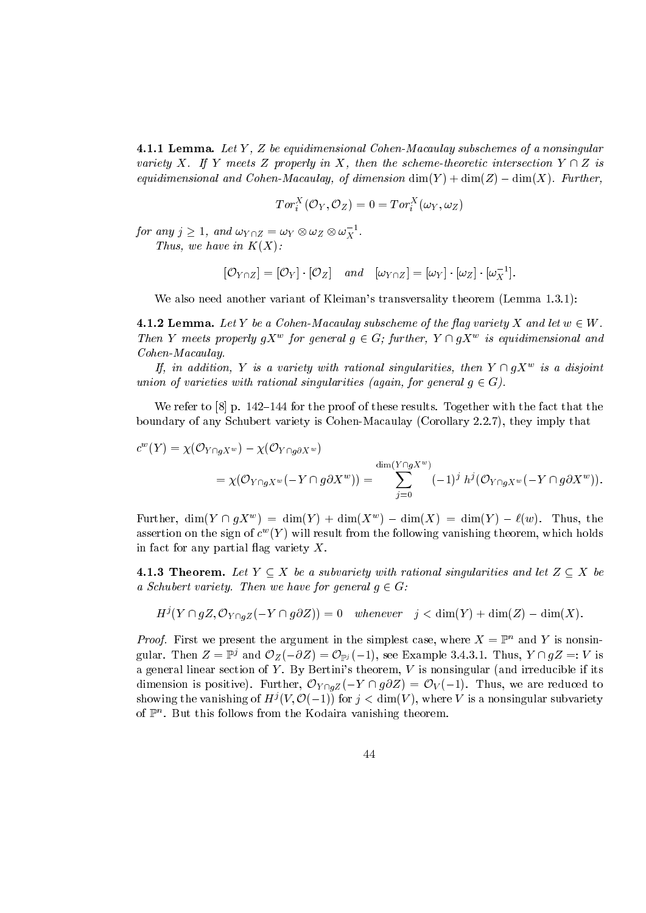4.1.1 Lemma. Let Y, Z be equidimensional Cohen-Macaulay subschemes of a nonsingular variety X. If Y meets Z properly in X, then the scheme-theoretic intersection  $Y \cap Z$  is equidimensional and Cohen-Macaulay, of dimension  $\dim(Y) + \dim(Z) - \dim(X)$ . Further,

$$
Tor_i^X(\mathcal{O}_Y,\mathcal{O}_Z)=0=Tor_i^X(\omega_Y,\omega_Z)
$$

for any  $j \geq 1$ , and  $\omega_{Y \cap Z} = \omega_Y \otimes \omega_Z \otimes \omega_X^{-1}$ . Thus, we have in  $K(X)$ :

$$
[\mathcal{O}_{Y\cap Z}] = [\mathcal{O}_Y] \cdot [\mathcal{O}_Z] \quad and \quad [\omega_{Y\cap Z}] = [\omega_Y] \cdot [\omega_Z] \cdot [\omega_X^{-1}].
$$

We also need another variant of Kleiman's transversality theorem (Lemma 1.3.1):

**4.1.2 Lemma.** Let Y be a Cohen-Macaulay subscheme of the flag variety X and let  $w \in W$ . Then Y meets properly  $gX^w$  for general  $g \in G$ ; further,  $Y \cap gX^w$  is equidimensional and Cohen-Macaulay.

If, in addition, Y is a variety with rational singularities, then  $Y \cap gX^w$  is a disjoint union of varieties with rational singularities (again, for general  $g \in G$ ).

We refer to  $[8]$  p. 142–144 for the proof of these results. Together with the fact that the boundary of any Schubert variety is Cohen-Macaulay (Corollary 2.2.7), they imply that

$$
c^{w}(Y) = \chi(\mathcal{O}_{Y \cap gX^{w}}) - \chi(\mathcal{O}_{Y \cap g\partial X^{w}})
$$
  
=  $\chi(\mathcal{O}_{Y \cap gX^{w}}(-Y \cap g\partial X^{w})) = \sum_{j=0}^{\dim(Y \cap gX^{w})} (-1)^{j} h^{j}(\mathcal{O}_{Y \cap gX^{w}}(-Y \cap g\partial X^{w})).$ 

Further,  $\dim(Y \cap qX^w) = \dim(Y) + \dim(X^w) - \dim(X) = \dim(Y) - \ell(w)$ . Thus, the assertion on the sign of  $c^w(Y)$  will result from the following vanishing theorem, which holds in fact for any partial flag variety  $X$ .

**4.1.3 Theorem.** Let  $Y \subseteq X$  be a subvariety with rational singularities and let  $Z \subseteq X$  be a Schubert variety. Then we have for general  $g \in G$ :

$$
H^j(Y \cap gZ, \mathcal{O}_{Y \cap gZ}(-Y \cap g\partial Z)) = 0 \quad \text{whenever} \quad j < \dim(Y) + \dim(Z) - \dim(X).
$$

*Proof.* First we present the argument in the simplest case, where  $X = \mathbb{P}^n$  and Y is nonsingular. Then  $Z = \mathbb{P}^j$  and  $\mathcal{O}_Z(-\partial Z) = \mathcal{O}_{\mathbb{P}^j}(-1)$ , see Example 3.4.3.1. Thus,  $Y \cap gZ =: V$  is a general linear section of  $Y$ . By Bertini's theorem,  $V$  is nonsingular (and irreducible if its dimension is positive). Further,  $\mathcal{O}_{Y \cap qZ}(-Y \cap q\partial Z) = \mathcal{O}_V(-1)$ . Thus, we are reduced to showing the vanishing of  $H^j(V, \mathcal O(-1))$  for  $j < \dim(V),$  where  $V$  is a nonsingular subvariety of  $\mathbb{P}^n$ . But this follows from the Kodaira vanishing theorem.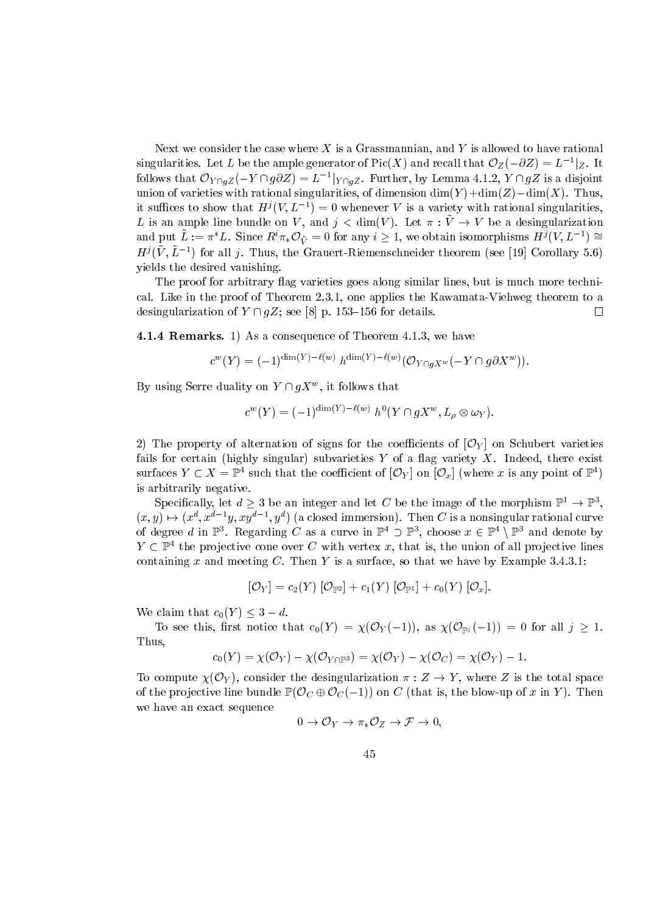Next we consider the case where  $X$  is a Grassmannian, and  $Y$  is allowed to have rational singularities. Let L be the ample generator of Pic(X) and recall that  $\mathcal{O}_Z(-\partial Z) = L^{-1}|_Z$ . It follows that  $\mathcal{O}_{Y \cap gZ}(-Y \cap g\partial Z) = L^{-1}|_{Y \cap gZ}$ . Further, by Lemma 4.1.2,  $Y \cap gZ$  is a disjoint union of varieties with rational singularities, of dimension  $\dim(Y) + \dim(Z) - \dim(X)$ . Thus, it suffices to show that  $H^{j}(V, L^{-1}) = 0$  whenever V is a variety with rational singularities, L is an ample line bundle on V, and  $j < dim(V)$ . Let  $\pi : \tilde{V} \to V$  be a desingularization and put  $\tilde{L} := \pi^* L$ . Since  $R^i \pi_* \mathcal{O}_{\tilde{V}} = 0$  for any  $i \geq 1$ , we obtain isomorphisms  $H^j(V, L^{-1}) \cong$  $H^{j}(\tilde{V}, \tilde{L}^{-1})$  for all j. Thus, the Grauert-Riemenschneider theorem (see [19] Corollary 5.6) yields the desired vanishing.

The proof for arbitrary flag varieties goes along similar lines, but is much more technical. Like in the proof of Theorem 2.3.1, one applies the Kawamata-Viehweg theorem to a desingularization of  $Y \cap gZ$ ; see [8] p. 153-156 for details.  $\Box$ 

4.1.4 Remarks. 1) As a consequence of Theorem 4.1.3, we have

$$
c^{w}(Y) = (-1)^{\dim(Y) - \ell(w)} h^{\dim(Y) - \ell(w)} (\mathcal{O}_{Y \cap gX^{w}}(-Y \cap g\partial X^{w})).
$$

By using Serre duality on  $Y \cap gX^w$ , it follows that

$$
c^{w}(Y) = (-1)^{\dim(Y) - \ell(w)} h^{0}(Y \cap gX^{w}, L_{\rho} \otimes \omega_{Y}).
$$

2) The property of alternation of signs for the coefficients of  $[O_Y]$  on Schubert varieties fails for certain (highly singular) subvarieties Y of a flag variety X. Indeed, there exist surfaces  $Y \subset X = \mathbb{P}^4$  such that the coefficient of  $[\mathcal{O}_Y]$  on  $[\mathcal{O}_x]$  (where x is any point of  $\mathbb{P}^4$ ) is arbitrarily negative.

Specifically, let  $d \geq 3$  be an integer and let C be the image of the morphism  $\mathbb{P}^1 \to \mathbb{P}^3$ ,  $(x, y) \mapsto (x^d, x^{d-1}y, xy^{d-1}, y^d)$  (a closed immersion). Then C is a nonsingular rational curve of degree d in  $\mathbb{P}^3$ . Regarding C as a curve in  $\mathbb{P}^4 \supset \mathbb{P}^3$ , choose  $x \in \mathbb{P}^4 \setminus \mathbb{P}^3$  and denote by  $Y \subset \mathbb{P}^4$  the projective cone over C with vertex x, that is, the union of all projective lines containing x and meeting C. Then Y is a surface, so that we have by Example 3.4.3.1:

$$
[\mathcal{O}_Y]=c_2(Y) [\mathcal{O}_{\mathbb{P}^2}]+c_1(Y) [\mathcal{O}_{\mathbb{P}^1}]+c_0(Y) [\mathcal{O}_x].
$$

We claim that  $c_0(Y) \leq 3 - d$ .

To see this, first notice that  $c_0(Y) = \chi(\mathcal{O}_Y(-1))$ , as  $\chi(\mathcal{O}_{\mathbb{P}^j}(-1)) = 0$  for all  $j \geq 1$ . Thus,

$$
c_0(Y) = \chi(\mathcal{O}_Y) - \chi(\mathcal{O}_{Y \cap \mathbb{P}^3}) = \chi(\mathcal{O}_Y) - \chi(\mathcal{O}_C) = \chi(\mathcal{O}_Y) - 1.
$$

To compute  $\chi(\mathcal{O}_Y)$ , consider the desingularization  $\pi : Z \to Y$ , where Z is the total space of the projective line bundle  $\mathbb{P}(\mathcal{O}_C \oplus \mathcal{O}_C(-1))$  on C (that is, the blow-up of x in Y). Then we have an exact sequence

$$
0 \to \mathcal{O}_Y \to \pi_* \mathcal{O}_Z \to \mathcal{F} \to 0,
$$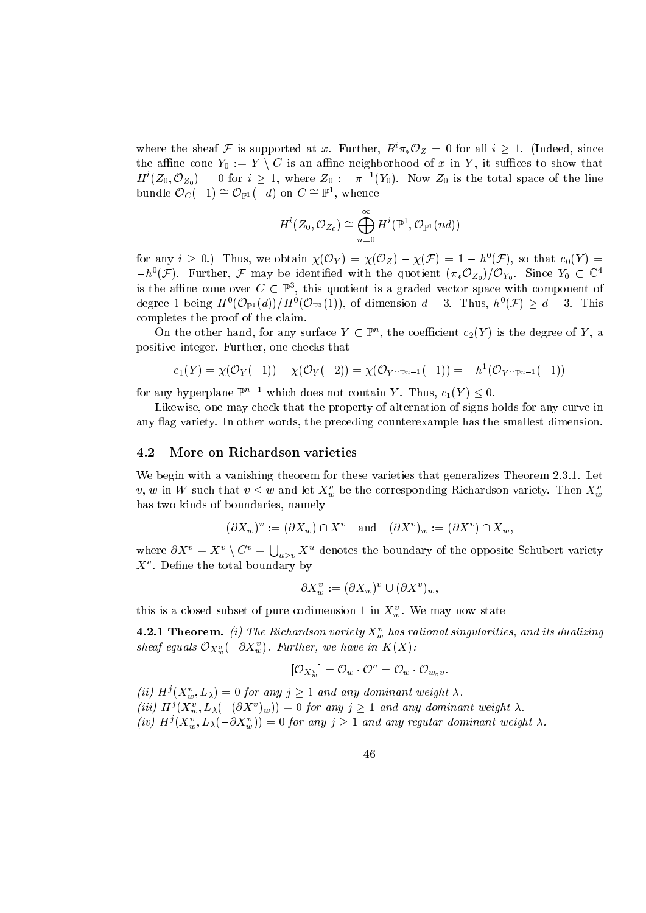where the sheaf F is supported at x. Further,  $R^i \pi_* \mathcal{O}_Z = 0$  for all  $i \geq 1$ . (Indeed, since the affine cone  $Y_0 := Y \setminus C$  is an affine neighborhood of x in Y, it suffices to show that  $H^{i}(Z_0, \mathcal{O}_{Z_0}) = 0$  for  $i \geq 1$ , where  $Z_0 := \pi^{-1}(Y_0)$ . Now  $Z_0$  is the total space of the line bundle  $\mathcal{O}_C(-1) \cong \mathcal{O}_{\mathbb{P}^1}(-d)$  on  $C \cong \mathbb{P}^1$ , whence

$$
H^i(Z_0, \mathcal{O}_{Z_0}) \cong \bigoplus_{n=0}^{\infty} H^i(\mathbb{P}^1, \mathcal{O}_{\mathbb{P}^1}(nd))
$$

for any  $i \geq 0$ .) Thus, we obtain  $\chi(\mathcal{O}_Y) = \chi(\mathcal{O}_Z) - \chi(\mathcal{F}) = 1 - h^0(\mathcal{F})$ , so that  $c_0(Y) =$  $-h^0(\mathcal{F})$ . Further,  $\mathcal{F}$  may be identified with the quotient  $(\pi_* \mathcal{O}_{Z_0})/\mathcal{O}_{Y_0}$ . Since  $Y_0 \subset \mathbb{C}^4$ is the affine cone over  $C \n\subset \mathbb{P}^3$ , this quotient is a graded vector space with component of degree 1 being  $H^0(\mathcal{O}_{\mathbb{P}^1}(d))/H^0(\mathcal{O}_{\mathbb{P}^3}(1)),$  of dimension  $d-3$ . Thus,  $h^0(\mathcal{F}) \geq d-3$ . This completes the proof of the claim.

On the other hand, for any surface  $Y \subset \mathbb{P}^n$ , the coefficient  $c_2(Y)$  is the degree of Y, a positive integer. Further, one checks that

$$
c_1(Y) = \chi(\mathcal{O}_Y(-1)) - \chi(\mathcal{O}_Y(-2)) = \chi(\mathcal{O}_{Y \cap \mathbb{P}^{n-1}}(-1)) = -h^1(\mathcal{O}_{Y \cap \mathbb{P}^{n-1}}(-1))
$$

for any hyperplane  $\mathbb{P}^{n-1}$  which does not contain Y. Thus,  $c_1(Y) \leq 0$ .

Likewise, one may check that the property of alternation of signs holds for any curve in any flag variety. In other words, the preceding counterexample has the smallest dimension.

#### 4.2 More on Richardson varieties

We begin with a vanishing theorem for these varieties that generalizes Theorem 2.3.1. Let v, w in W such that  $v \leq w$  and let  $X_w^v$  be the corresponding Richardson variety. Then  $X_w^v$ has two kinds of boundaries, namely

$$
(\partial X_w)^v := (\partial X_w) \cap X^v \quad \text{and} \quad (\partial X^v)_w := (\partial X^v) \cap X_w,
$$

where  $\partial X^v = X^v \setminus C^v = \bigcup_{u>v} X^u$  denotes the boundary of the opposite Schubert variety  $X^v$ . Define the total boundary by

$$
\partial X_w^v := (\partial X_w)^v \cup (\partial X^v)_w,
$$

this is a closed subset of pure codimension 1 in  $X_w^v$ . We may now state

**4.2.1 Theorem.** (i) The Richardson variety  $X_w^v$  has rational singularities, and its dualizing sheaf equals  $\mathcal{O}_{X_w^v}(-\partial X_w^v)$ . Further, we have in  $K(X)$ :

$$
[\mathcal{O}_{X_w^v}]=\mathcal{O}_w\cdot \mathcal{O}^v=\mathcal{O}_w\cdot \mathcal{O}_{w_ov}.
$$

(ii)  $H^j(X_w^v, L_\lambda) = 0$  for any  $j \ge 1$  and any dominant weight  $\lambda$ . (iii)  $H^j(X_w^v, L_\lambda(-( \partial X^v)_w)) = 0$  for any  $j \geq 1$  and any dominant weight  $\lambda$ . (iv)  $H^{j}(X_{w}^{v}, L_{\lambda}(-\partial X_{w}^{v})) = 0$  for any  $j \geq 1$  and any regular dominant weight  $\lambda$ .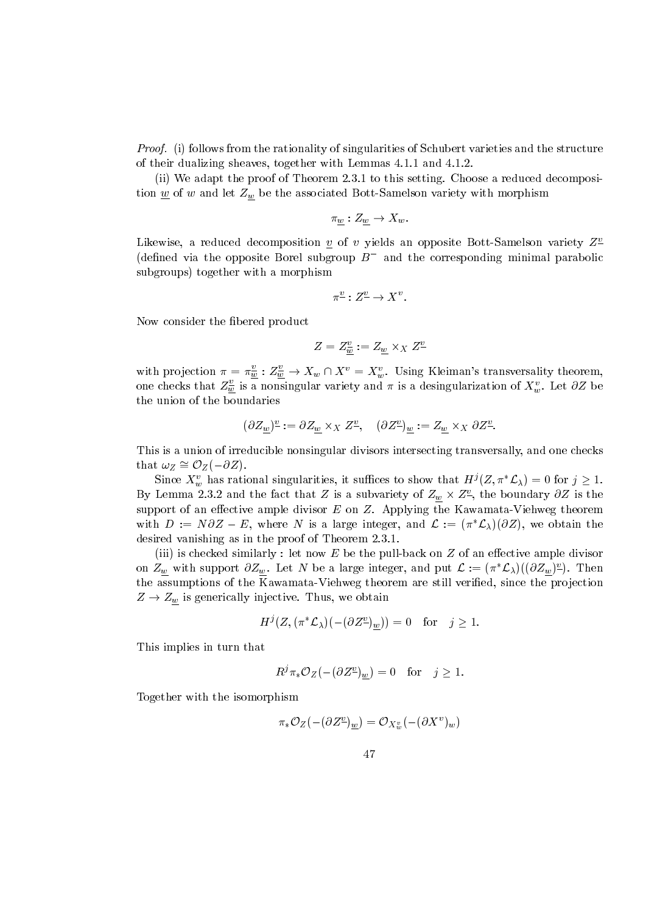Proof. (i) follows from the rationality of singularities of Schubert varieties and the structure of their dualizing sheaves, together with Lemmas 4.1.1 and 4.1.2.

(ii) We adapt the proof of Theorem 2.3.1 to this setting. Choose a reduced decomposition  $\underline{w}$  of w and let  $Z_w$  be the associated Bott-Samelson variety with morphism

$$
\pi_{\underline{w}}: Z_{\underline{w}} \to X_w.
$$

Likewise, a reduced decomposition  $\underline{v}$  of  $v$  yields an opposite Bott-Samelson variety  $Z^{\underline{v}}$ (defined via the opposite Borel subgroup  $B^-$  and the corresponding minimal parabolic subgroups) together with a morphism

$$
\pi^{\underline{v}}: Z^{\underline{v}} \to X^v.
$$

Now consider the fibered product

$$
Z = Z^{\underline{v}}_{\underline{w}} := Z_{\underline{w}} \times_X Z^{\underline{v}}
$$

with projection  $\pi = \pi \frac{v}{w}$ :  $Z_{\underline{w}}^{\underline{v}} \to X_{\underline{w}} \cap X^{\underline{v}} = X_{\underline{w}}^{\underline{v}}$ . Using Kleiman's transversality theorem, one checks that  $Z_{\underline{w}}^{\underline{v}}$  is a nonsingular variety and  $\pi$  is a desingularization of  $X_{w}^{v}$ . Let  $\partial Z$  be the union of the boundaries

$$
(\partial Z_{\underline{w}})^{\underline{v}} := \partial Z_{\underline{w}} \times_X Z_{\underline{v}}, \quad (\partial Z_{\underline{v}})^{\underline{w}} := Z_{\underline{w}} \times_X \partial Z_{\underline{v}}^{\underline{v}}.
$$

This is a union of irreducible nonsingular divisors intersecting transversally, and one checks that  $\omega_Z \cong \mathcal{O}_Z(-\partial Z)$ .

Since  $X_w^v$  has rational singularities, it suffices to show that  $H^j(Z, \pi^*\mathcal{L}_\lambda) = 0$  for  $j \geq 1$ . By Lemma 2.3.2 and the fact that Z is a subvariety of  $Z_w \times Z^{\underline{v}}$ , the boundary  $\partial Z$  is the support of an effective ample divisor  $E$  on  $Z$ . Applying the Kawamata-Viehweg theorem with  $D := N \partial Z - E$ , where N is a large integer, and  $\mathcal{L} := (\pi^* \mathcal{L}_\lambda)(\partial Z)$ , we obtain the desired vanishing as in the proof of Theorem 2.3.1.

(iii) is checked similarly : let now  $E$  be the pull-back on  $Z$  of an effective ample divisor on  $Z_w$  with support  $\partial Z_w$ . Let N be a large integer, and put  $\mathcal{L} := (\pi^* \mathcal{L}_\lambda)((\partial Z_w)^w)$ . Then the assumptions of the Kawamata-Viehweg theorem are still verified, since the projection  $Z \rightarrow Z_w$  is generically injective. Thus, we obtain

$$
H^{j}(Z, (\pi^* \mathcal{L}_{\lambda}) (-(\partial Z^{\underline{v}})_w)) = 0 \text{ for } j \ge 1.
$$

This implies in turn that

$$
R^j \pi_* \mathcal{O}_Z(-(\partial Z^{\underline{v}})_{\underline{w}}) = 0 \quad \text{for} \quad j \ge 1.
$$

Together with the isomorphism

$$
\pi_*\mathcal{O}_Z(-(\partial Z^{\underline{v}})_{\underline{w}})=\mathcal{O}_{X^v_w}(-(\partial X^v)_w)
$$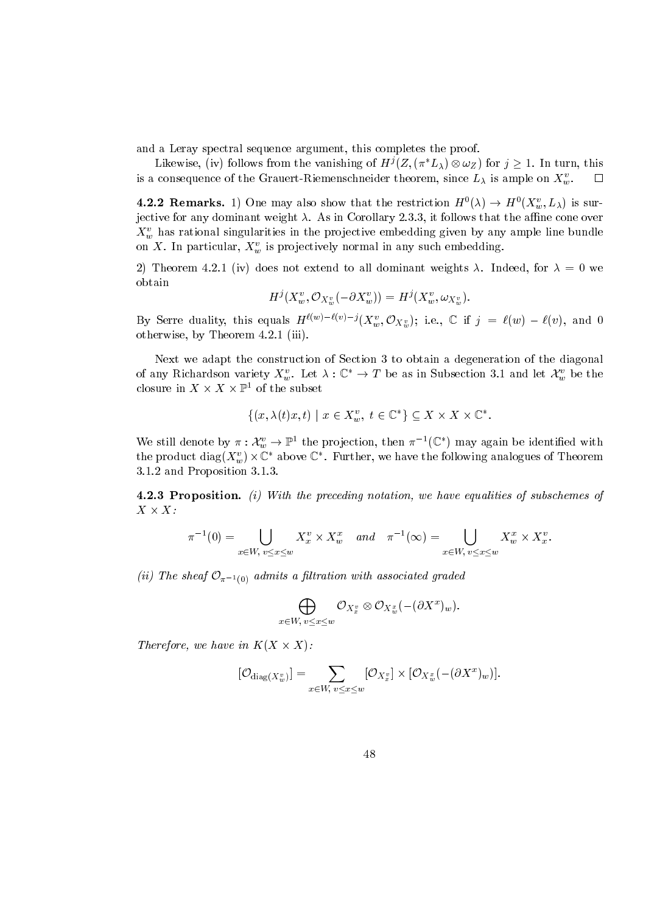and a Leray spectral sequence argument, this completes the proof.

Likewise, (iv) follows from the vanishing of  $H^j(Z, (\pi^*L_\lambda) \otimes \omega_Z)$  for  $j \geq 1$ . In turn, this is a consequence of the Grauert-Riemenschneider theorem, since  $L_{\lambda}$  is ample on  $X_w^v$ .  $\Box$ 

**4.2.2 Remarks.** 1) One may also show that the restriction  $H^0(\lambda) \to H^0(X_w^v, L_\lambda)$  is surjective for any dominant weight  $\lambda$ . As in Corollary 2.3.3, it follows that the affine cone over  $X_w^v$  has rational singularities in the projective embedding given by any ample line bundle on X. In particular,  $X_w^v$  is projectively normal in any such embedding.

2) Theorem 4.2.1 (iv) does not extend to all dominant weights  $\lambda$ . Indeed, for  $\lambda = 0$  we obtain

$$
H^j(X_w^v, \mathcal{O}_{X_w^v}(-\partial X_w^v)) = H^j(X_w^v, \omega_{X_w^v}).
$$

By Serre duality, this equals  $H^{\ell(w)-\ell(v)-j}(X_w^v, \mathcal{O}_{X_w^v})$ ; i.e.,  $\mathbb C$  if  $j = \ell(w) - \ell(v)$ , and 0 otherwise, by Theorem 4.2.1 (iii).

Next we adapt the construction of Section 3 to obtain a degeneration of the diagonal of any Richardson variety  $X_w^v$ . Let  $\lambda : \mathbb{C}^* \to T$  be as in Subsection 3.1 and let  $\mathcal{X}_w^v$  be the closure in  $X \times X \times \mathbb{P}^1$  of the subset

$$
\{(x,\lambda(t)x,t) \mid x \in X_w^v, t \in \mathbb{C}^*\} \subseteq X \times X \times \mathbb{C}^*.
$$

We still denote by  $\pi : \mathcal{X}_w^v \to \mathbb{P}^1$  the projection, then  $\pi^{-1}(\mathbb{C}^*)$  may again be identified with the product  $diag(X_w^v) \times \mathbb{C}^*$  above  $\mathbb{C}^*$ . Further, we have the following analogues of Theorem 3.1.2 and Proposition 3.1.3.

4.2.3 Proposition. (i) With the preceding notation, we have equalities of subschemes of  $X \times X$ :

$$
\pi^{-1}(0) = \bigcup_{x \in W, v \leq x \leq w} X_x^v \times X_w^x \quad and \quad \pi^{-1}(\infty) = \bigcup_{x \in W, v \leq x \leq w} X_w^x \times X_x^v.
$$

(ii) The sheaf  $\mathcal{O}_{\pi^{-1}(0)}$  admits a filtration with associated graded

$$
\bigoplus_{x\in W,\ v\leq x\leq w}\mathcal{O}_{X_x^v}\otimes\mathcal{O}_{X_w^x}(-(\partial X^x)_w).
$$

Therefore, we have in  $K(X \times X)$ :

$$
[\mathcal{O}_{\mathrm{diag}(X_w^v)}] = \sum_{x \in W, \ v \leq x \leq w} [\mathcal{O}_{X_x^v}] \times [\mathcal{O}_{X_w^x}(-(\partial X^x)_w)].
$$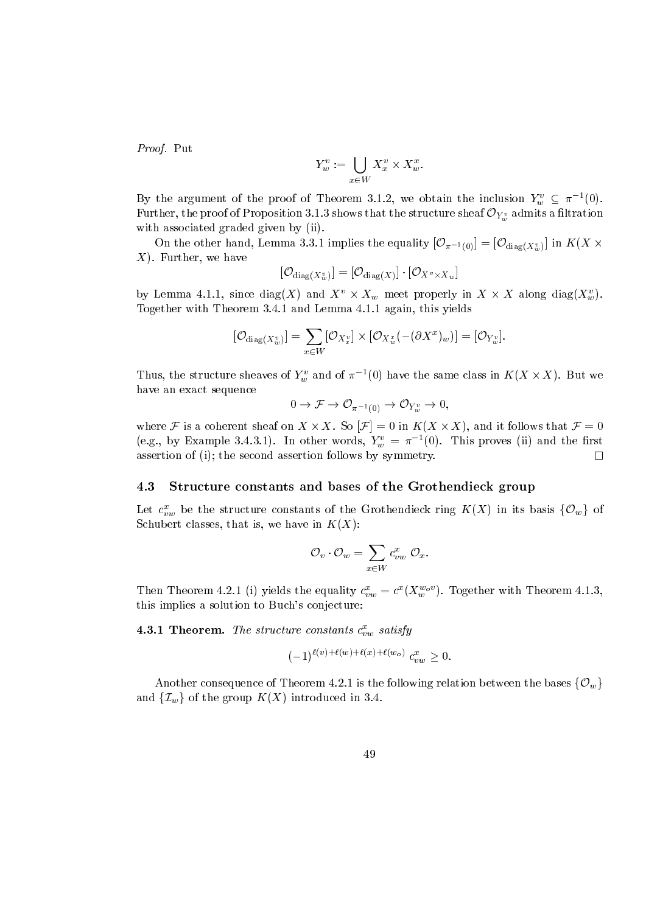Proof. Put

$$
Y_w^v := \bigcup_{x \in W} X_x^v \times X_w^x.
$$

By the argument of the proof of Theorem 3.1.2, we obtain the inclusion  $Y_w^v \subseteq \pi^{-1}(0)$ . Further, the proof of Proposition 3.1.3 shows that the structure sheaf  $\mathcal{O}_{Y_w^v}$  admits a filtration with associated graded given by (ii).

On the other hand, Lemma 3.3.1 implies the equality  $[O_{\pi^{-1}(0)}] = [O_{diag(X_w^v)}]$  in  $K(X \times$ X). Further, we have

$$
[\mathcal{O}_{\text{diag}(X_w^v)}] = [\mathcal{O}_{\text{diag}(X)}] \cdot [\mathcal{O}_{X^v \times X_w}]
$$

by Lemma 4.1.1, since  $diag(X)$  and  $X^v \times X_w$  meet properly in  $X \times X$  along  $diag(X_w^v)$ . Together with Theorem 3.4.1 and Lemma 4.1.1 again, this yields

$$
[\mathcal{O}_{\mathrm{diag}(X_w^v)}] = \sum_{x \in W} [\mathcal{O}_{X_x^v}] \times [\mathcal{O}_{X_w^x}(-(\partial X^x)_w)] = [\mathcal{O}_{Y_w^v}].
$$

Thus, the structure sheaves of  $Y_w^v$  and of  $\pi^{-1}(0)$  have the same class in  $K(X \times X)$ . But we have an exact sequence

$$
0 \to \mathcal{F} \to \mathcal{O}_{\pi^{-1}(0)} \to \mathcal{O}_{Y_w^v} \to 0,
$$

where F is a coherent sheaf on  $X \times X$ . So  $[\mathcal{F}] = 0$  in  $K(X \times X)$ , and it follows that  $\mathcal{F} = 0$ (e.g., by Example 3.4.3.1). In other words,  $Y_w^v = \pi^{-1}(0)$ . This proves (ii) and the first assertion of (i); the second assertion follows by symmetry.  $\Box$ 

### 4.3 Structure constants and bases of the Grothendieck group

Let  $c_{vw}^x$  be the structure constants of the Grothendieck ring  $K(X)$  in its basis  $\{\mathcal{O}_w\}$  of Schubert classes, that is, we have in  $K(X)$ :

$$
\mathcal{O}_v \cdot \mathcal{O}_w = \sum_{x \in W} c_{vw}^x \mathcal{O}_x.
$$

Then Theorem 4.2.1 (i) yields the equality  $c_{vw}^x = c^x(X_w^{w \circ v})$ . Together with Theorem 4.1.3, this implies a solution to Buch's conjecture:

**4.3.1 Theorem.** The structure constants  $c_{vw}^x$  satisfy

$$
(-1)^{\ell(v)+\ell(w)+\ell(x)+\ell(w_o)} c_{vw}^x \geq 0.
$$

Another consequence of Theorem 4.2.1 is the following relation between the bases  $\{\mathcal{O}_w\}$ and  $\{\mathcal{I}_w\}$  of the group  $K(X)$  introduced in 3.4.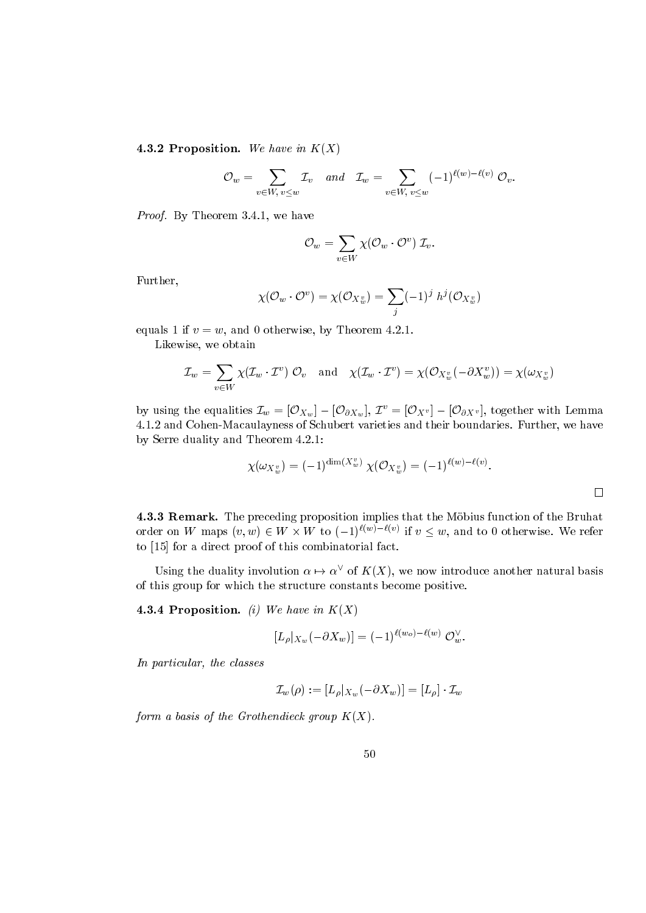**4.3.2 Proposition.** We have in  $K(X)$ 

$$
\mathcal{O}_w = \sum_{v \in W, v \le w} \mathcal{I}_v \quad and \quad \mathcal{I}_w = \sum_{v \in W, v \le w} (-1)^{\ell(w) - \ell(v)} \mathcal{O}_v.
$$

Proof. By Theorem 3.4.1, we have

$$
\mathcal{O}_w = \sum_{v \in W} \chi(\mathcal{O}_w \cdot \mathcal{O}^v) \mathcal{I}_v.
$$

Further,

$$
\chi(\mathcal{O}_w \cdot \mathcal{O}^v) = \chi(\mathcal{O}_{X_w^v}) = \sum_j (-1)^j h^j(\mathcal{O}_{X_w^v})
$$

equals 1 if  $v = w$ , and 0 otherwise, by Theorem 4.2.1.

Likewise, we obtain

$$
\mathcal{I}_w = \sum_{v \in W} \chi(\mathcal{I}_w \cdot \mathcal{I}^v) \mathcal{O}_v \quad \text{and} \quad \chi(\mathcal{I}_w \cdot \mathcal{I}^v) = \chi(\mathcal{O}_{X_w^v}(-\partial X_w^v)) = \chi(\omega_{X_w^v})
$$

by using the equalities  $\mathcal{I}_w = [\mathcal{O}_{X_w}] - [\mathcal{O}_{\partial X_w}], \mathcal{I}^v = [\mathcal{O}_{X^v}] - [\mathcal{O}_{\partial X^v}],$  together with Lemma 4.1.2 and Cohen-Macaulayness of Schubert varieties and their boundaries. Further, we have by Serre duality and Theorem 4.2.1:

$$
\chi(\omega_{X_w^v}) = (-1)^{\dim(X_w^v)} \; \chi(\mathcal{O}_{X_w^v}) = (-1)^{\ell(w)-\ell(v)}.
$$

 $\Box$ 

4.3.3 Remark. The preceding proposition implies that the Möbius function of the Bruhat order on W maps  $(v, w) \in W \times W$  to  $(-1)^{\ell(w)-\ell(v)}$  if  $v \leq w$ , and to 0 otherwise. We refer to [15] for a direct proof of this combinatorial fact.

Using the duality involution  $\alpha \mapsto \alpha^{\vee}$  of  $K(X)$ , we now introduce another natural basis of this group for which the structure constants become positive.

**4.3.4 Proposition.** (i) We have in  $K(X)$ 

$$
[L_{\rho}|_{X_w}(-\partial X_w)] = (-1)^{\ell(w_o)-\ell(w)} \mathcal{O}_w^{\vee}.
$$

In particular, the classes

$$
\mathcal{I}_w(\rho) := [L_{\rho}|_{X_w}(-\partial X_w)] = [L_{\rho}] \cdot \mathcal{I}_w
$$

form a basis of the Grothendieck group  $K(X)$ .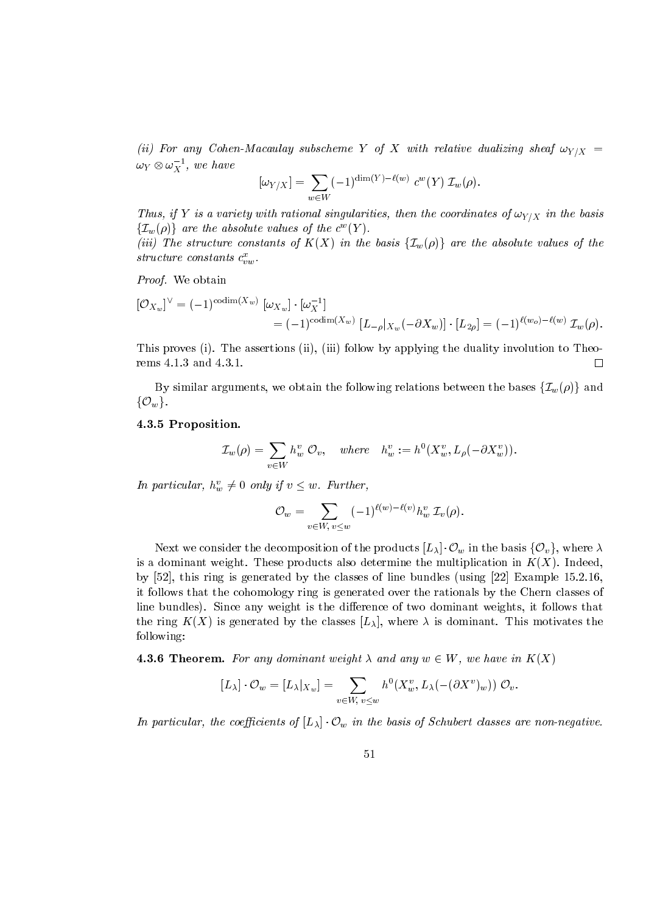(ii) For any Cohen-Macaulay subscheme Y of X with relative dualizing sheaf  $\omega_{Y/X}$  =  $\omega_Y \otimes \omega_X^{-1}$ , we have

$$
[\omega_{Y/X}] = \sum_{w \in W} (-1)^{\dim(Y) - \ell(w)} c^w(Y) \mathcal{I}_w(\rho).
$$

Thus, if Y is a variety with rational singularities, then the coordinates of  $\omega_{Y/X}$  in the basis  $\{\mathcal{I}_w(\rho)\}\$  are the absolute values of the  $c^w(Y)$ . (iii) The structure constants of  $K(X)$  in the basis  $\{\mathcal{I}_w(\rho)\}\$  are the absolute values of the structure constants  $c_{vw}^x$ .

Proof. We obtain

$$
\begin{aligned} [\mathcal{O}_{X_w}]^{\vee} &= (-1)^{\operatorname{codim}(X_w)} \left[ \omega_{X_w} \right] \cdot [\omega_X^{-1}] \\ &= (-1)^{\operatorname{codim}(X_w)} \left[ L_{-\rho} |_{X_w} (-\partial X_w) \right] \cdot [L_{2\rho}] = (-1)^{\ell(w_\rho) - \ell(w)} \mathcal{I}_w(\rho). \end{aligned}
$$

This proves (i). The assertions (ii), (iii) follow by applying the duality involution to Theorems 4.1.3 and 4.3.1.  $\Box$ 

By similar arguments, we obtain the following relations between the bases  $\{\mathcal{I}_w(\rho)\}\$  and  $\{\mathcal{O}_w\}.$ 

### 4.3.5 Proposition.

$$
\mathcal{I}_w(\rho) = \sum_{v \in W} h_w^v \mathcal{O}_v, \quad \text{where} \quad h_w^v := h^0(X_w^v, L_\rho(-\partial X_w^v)).
$$

In particular,  $h_w^v \neq 0$  only if  $v \leq w$ . Further,

$$
\mathcal{O}_w = \sum_{v \in W, v \leq w} (-1)^{\ell(w) - \ell(v)} h_w^v \mathcal{I}_v(\rho).
$$

Next we consider the decomposition of the products  $[L_{\lambda}]\cdot\mathcal{O}_w$  in the basis  $\{\mathcal{O}_v\}$ , where  $\lambda$ is a dominant weight. These products also determine the multiplication in  $K(X)$ . Indeed, by [52], this ring is generated by the classes of line bundles (using [22] Example 15.2.16, it follows that the cohomology ring is generated over the rationals by the Chern classes of line bundles). Since any weight is the difference of two dominant weights, it follows that the ring  $K(X)$  is generated by the classes  $[L_{\lambda}]$ , where  $\lambda$  is dominant. This motivates the following:

**4.3.6 Theorem.** For any dominant weight  $\lambda$  and any  $w \in W$ , we have in  $K(X)$ 

$$
[L_{\lambda}] \cdot \mathcal{O}_w = [L_{\lambda}|_{X_w}] = \sum_{v \in W, v \leq w} h^0(X_w^v, L_{\lambda}(-(\partial X^v)_w)) \mathcal{O}_v.
$$

In particular, the coefficients of  $[L_{\lambda}] \cdot \mathcal{O}_w$  in the basis of Schubert classes are non-negative.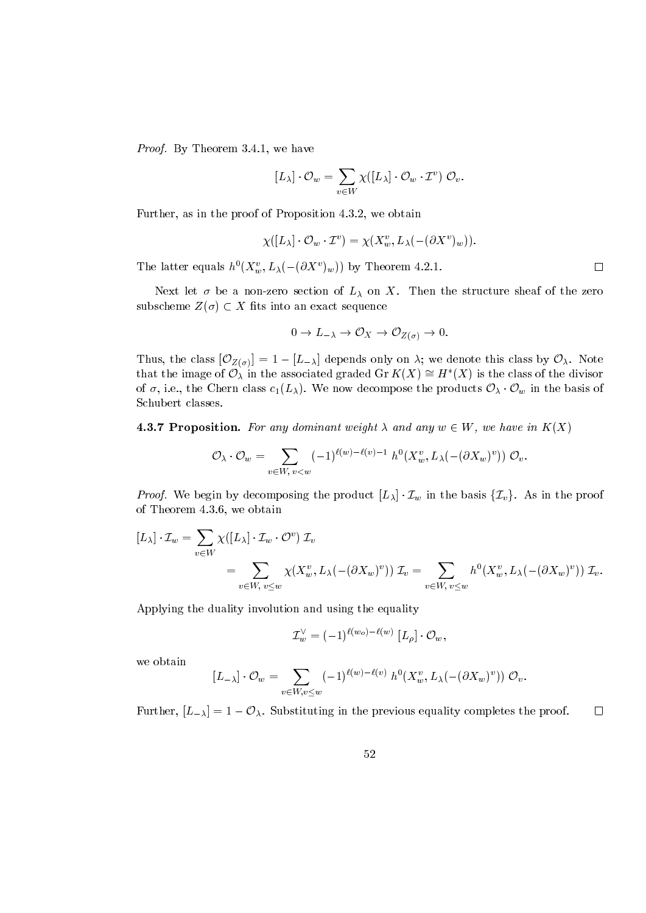Proof. By Theorem 3.4.1, we have

$$
[L_{\lambda}] \cdot \mathcal{O}_{w} = \sum_{v \in W} \chi([L_{\lambda}] \cdot \mathcal{O}_{w} \cdot \mathcal{I}^{v}) \mathcal{O}_{v}.
$$

Further, as in the proof of Proposition 4.3.2, we obtain

$$
\chi([L_{\lambda}]\cdot \mathcal{O}_{w}\cdot \mathcal{I}^{v})=\chi(X_{w}^{v},L_{\lambda}(-(\partial X^{v})_{w})).
$$

The latter equals  $h^0(X_w^v, L_\lambda(-(\partial X^v)_w))$  by Theorem 4.2.1.

Next let  $\sigma$  be a non-zero section of  $L_{\lambda}$  on X. Then the structure sheaf of the zero subscheme  $Z(\sigma) \subset X$  fits into an exact sequence

$$
0 \to L_{-\lambda} \to \mathcal{O}_X \to \mathcal{O}_{Z(\sigma)} \to 0.
$$

Thus, the class  $[O_{Z(\sigma)}] = 1 - [L_{-\lambda}]$  depends only on  $\lambda$ ; we denote this class by  $O_{\lambda}$ . Note that the image of  $\mathcal{O}_\lambda$  in the associated graded Gr  $K(X) \cong H^*(X)$  is the class of the divisor of  $\sigma$ , i.e., the Chern class  $c_1(L_\lambda)$ . We now decompose the products  $\mathcal{O}_\lambda \cdot \mathcal{O}_w$  in the basis of Schubert classes.

**4.3.7 Proposition.** For any dominant weight  $\lambda$  and any  $w \in W$ , we have in  $K(X)$ 

$$
\mathcal{O}_{\lambda} \cdot \mathcal{O}_{w} = \sum_{v \in W, v < w} (-1)^{\ell(w) - \ell(v) - 1} h^{0}(X_{w}^{v}, L_{\lambda}(-(\partial X_{w})^{v})) \mathcal{O}_{v}.
$$

*Proof.* We begin by decomposing the product  $[L_{\lambda}] \cdot \mathcal{I}_{w}$  in the basis  $\{\mathcal{I}_{v}\}\)$ . As in the proof of Theorem 4.3.6, we obtain

$$
[L_{\lambda}] \cdot \mathcal{I}_{w} = \sum_{v \in W} \chi([L_{\lambda}] \cdot \mathcal{I}_{w} \cdot \mathcal{O}^{v}) \mathcal{I}_{v}
$$
  
= 
$$
\sum_{v \in W, v \leq w} \chi(X_{w}^{v}, L_{\lambda}(-(\partial X_{w})^{v})) \mathcal{I}_{v} = \sum_{v \in W, v \leq w} h^{0}(X_{w}^{v}, L_{\lambda}(-(\partial X_{w})^{v})) \mathcal{I}_{v}.
$$

Applying the duality involution and using the equality

$$
\mathcal{I}_w^{\vee} = (-1)^{\ell(w_o) - \ell(w)} [L_\rho] \cdot \mathcal{O}_w,
$$

we obtain

$$
[L_{-\lambda}] \cdot \mathcal{O}_w = \sum_{v \in W, v \leq w} (-1)^{\ell(w) - \ell(v)} h^0(X_w^v, L_{\lambda}(-(\partial X_w)^v)) \mathcal{O}_v.
$$

Further,  $[L_{-\lambda}] = 1 - \mathcal{O}_{\lambda}$ . Substituting in the previous equality completes the proof.  $\Box$ 

 $\Box$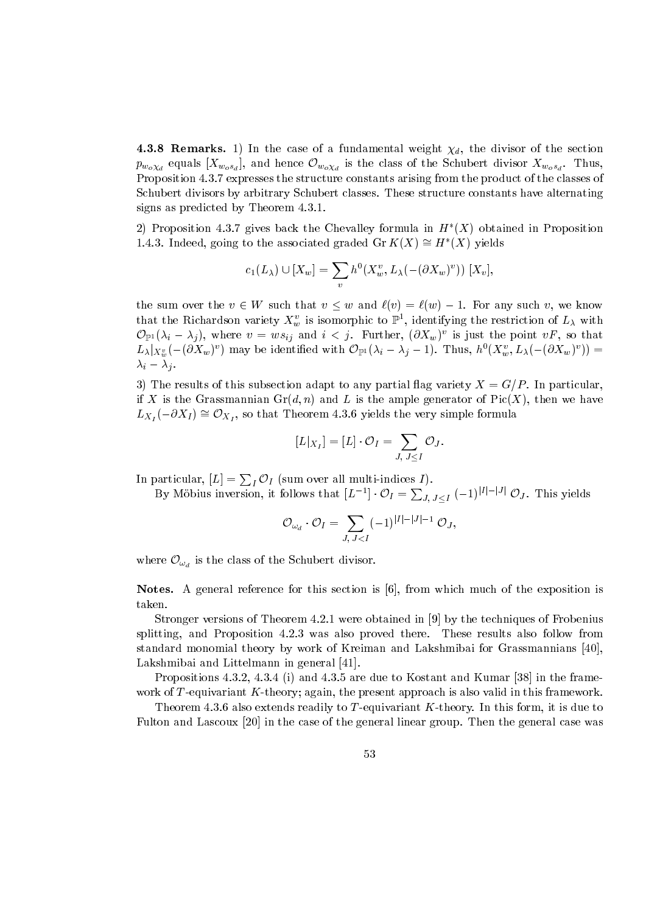4.3.8 Remarks. 1) In the case of a fundamental weight  $\chi_d$ , the divisor of the section  $p_{w_o\chi_d}$  equals  $[X_{w_o s_d}]$ , and hence  $\mathcal{O}_{w_o \chi_d}$  is the class of the Schubert divisor  $X_{w_o s_d}$ . Thus, Proposition 4.3.7 expresses the structure constants arising from the product of the classes of Schubert divisors by arbitrary Schubert classes. These structure constants have alternating signs as predicted by Theorem 4.3.1.

2) Proposition 4.3.7 gives back the Chevalley formula in  $H^*(X)$  obtained in Proposition 1.4.3. Indeed, going to the associated graded  $\operatorname{Gr} K(X) \cong H^*(X)$  yields

$$
c_1(L_\lambda) \cup [X_w] = \sum_v h^0(X_w^v, L_\lambda(-(\partial X_w)^v)) [X_v],
$$

the sum over the  $v \in W$  such that  $v \leq w$  and  $\ell(v) = \ell(w) - 1$ . For any such v, we know that the Richardson variety  $X_w^v$  is isomorphic to  $\mathbb{P}^1$ , identifying the restriction of  $L_\lambda$  with  $\mathcal{O}_{\mathbb{P}^1}(\lambda_i - \lambda_j)$ , where  $v = ws_{ij}$  and  $i < j$ . Further,  $(\partial X_w)^v$  is just the point  $vF$ , so that  $L_{\lambda}|_{X_w^v}(-(\partial X_w)^v)$  may be identified with  $\mathcal{O}_{\mathbb{P}^1}(\lambda_i-\lambda_j-1)$ . Thus,  $h^0(X_w^v, L_{\lambda}(-(\partial X_w)^v))=$  $\lambda_i - \lambda_j$ .

3) The results of this subsection adapt to any partial flag variety  $X = G/P$ . In particular, if X is the Grassmannian  $\mathrm{Gr}(d, n)$  and L is the ample generator of  $\mathrm{Pic}(X)$ , then we have  $L_{X_I}(-\partial X_I) \cong \mathcal{O}_{X_I}$ , so that Theorem 4.3.6 yields the very simple formula

$$
[L|_{X_I}] = [L] \cdot \mathcal{O}_I = \sum_{J, J \leq I} \mathcal{O}_J.
$$

In particular,  $[L] = \sum_{I} \mathcal{O}_{I}$  (sum over all multi-indices  $I$ ).

By Möbius inversion, it follows that  $[L^{-1}] \cdot \mathcal{O}_I = \sum_{J, J \leq I} (-1)^{|I| - |J|} \mathcal{O}_J$ . This yields

$$
\mathcal{O}_{\omega_d} \cdot \mathcal{O}_I = \sum_{J, J < I} (-1)^{|I| - |J| - 1} \mathcal{O}_J,
$$

where  $\mathcal{O}_{\omega_d}$  is the class of the Schubert divisor.

Notes. A general reference for this section is [6], from which much of the exposition is taken.

Stronger versions of Theorem 4.2.1 were obtained in [9] by the techniques of Frobenius splitting, and Proposition 4.2.3 was also proved there. These results also follow from standard monomial theory by work of Kreiman and Lakshmibai for Grassmannians [40], Lakshmibai and Littelmann in general [41].

Propositions 4.3.2, 4.3.4 (i) and 4.3.5 are due to Kostant and Kumar [38] in the framework of  $T$ -equivariant  $K$ -theory; again, the present approach is also valid in this framework.

Theorem 4.3.6 also extends readily to  $T$ -equivariant  $K$ -theory. In this form, it is due to Fulton and Lascoux [20] in the case of the general linear group. Then the general case was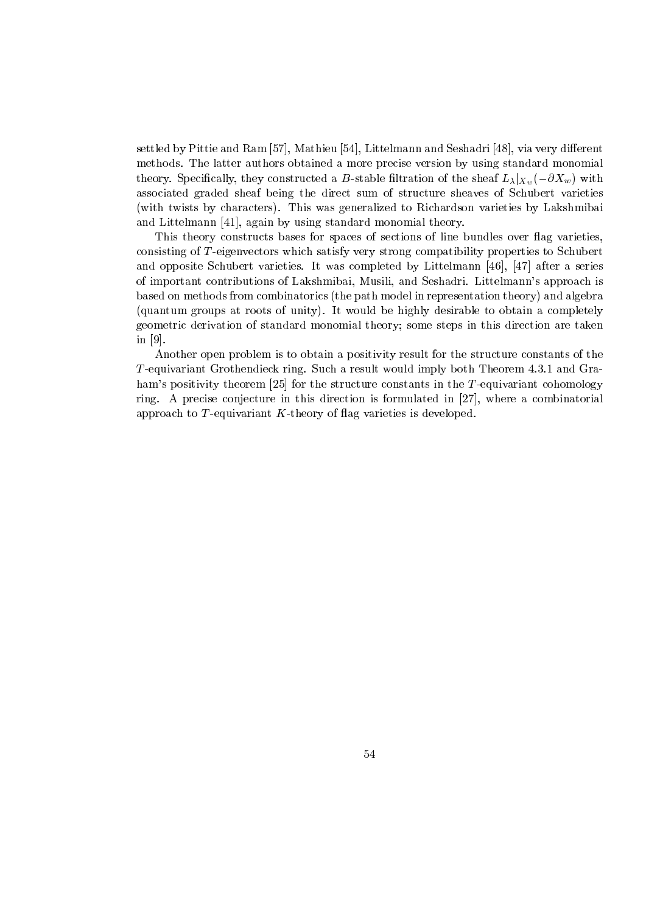settled by Pittie and Ram  $[57]$ , Mathieu  $[54]$ , Littelmann and Seshadri  $[48]$ , via very different methods. The latter authors obtained a more precise version by using standard monomial theory. Specifically, they constructed a B-stable filtration of the sheaf  $L_{\lambda}|_{X_w}(-\partial X_w)$  with associated graded sheaf being the direct sum of structure sheaves of Schubert varieties (with twists by characters). This was generalized to Richardson varieties by Lakshmibai and Littelmann [41], again by using standard monomial theory.

This theory constructs bases for spaces of sections of line bundles over flag varieties, consisting of T-eigenvectors which satisfy very strong compatibility properties to Schubert and opposite Schubert varieties. It was completed by Littelmann [46], [47] after a series of important contributions of Lakshmibai, Musili, and Seshadri. Littelmann's approach is based on methods from combinatorics (the path model in representation theory) and algebra (quantum groups at roots of unity). It would be highly desirable to obtain a completely geometric derivation of standard monomial theory; some steps in this direction are taken in [9].

Another open problem is to obtain a positivity result for the structure constants of the T-equivariant Grothendieck ring. Such a result would imply both Theorem 4.3.1 and Graham's positivity theorem  $[25]$  for the structure constants in the T-equivariant cohomology ring. A precise conjecture in this direction is formulated in [27], where a combinatorial approach to T-equivariant K-theory of 
ag varieties is developed.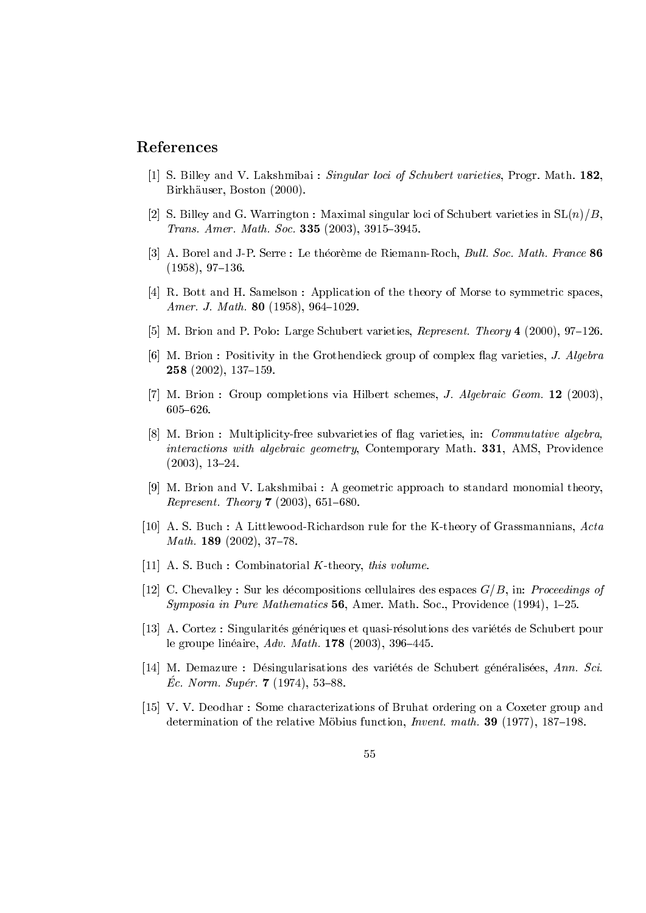# References

- [1] S. Billey and V. Lakshmibai : Singular loci of Schubert varieties, Progr. Math. 182, Birkhauser, Boston (2000).
- [2] S. Billey and G. Warrington : Maximal singular loci of Schubert varieties in  $SL(n)/B$ , Trans. Amer. Math. Soc. 335  $(2003)$ , 3915-3945.
- [3] A. Borel and J-P. Serre : Le théorème de Riemann-Roch, *Bull. Soc. Math. France* 86  $(1958), 97-136.$
- [4] R. Bott and H. Samelson : Application of the theory of Morse to symmetric spaces, Amer. J. Math. 80  $(1958)$ , 964-1029.
- [5] M. Brion and P. Polo: Large Schubert varieties,  $Represent.$  Theory 4 (2000), 97-126.
- [6] M. Brion : Positivity in the Grothendieck group of complex flag varieties, *J. Algebra* **258** (2002),  $137-159$ .
- [7] M. Brion : Group completions via Hilbert schemes, J. Algebraic Geom. <sup>12</sup> (2003), 605-626.
- [8] M. Brion : Multiplicity-free subvarieties of flag varieties, in: *Commutative algebra*, interactions with algebraic geometry, Contemporary Math. 331, AMS, Providence  $(2003), 13-24.$
- [9] M. Brion and V. Lakshmibai : A geometric approach to standard monomial theory, Represent. Theory  $7$  (2003), 651-680.
- [10] A. S. Buch : A Littlewood-Richardson rule for the K-theory of Grassmannians, Acta *Math.* 189 (2002), 37-78.
- [11] A. S. Buch : Combinatorial K-theory, this volume.
- [12] C. Chevalley : Sur les décompositions cellulaires des espaces  $G/B$ , in: *Proceedings of* Symposia in Pure Mathematics 56, Amer. Math. Soc., Providence  $(1994)$ , 1-25.
- [13] A. Cortez : Singularités génériques et quasi-résolutions des variétés de Schubert pour le groupe linéaire,  $Adv. Math. 178 (2003), 396-445.$
- [14] M. Demazure : Désingularisations des variétés de Schubert généralisées, Ann. Sci.  $\dot{E}c.$  Norm. Supér. **7** (1974), 53-88.
- [15] V. V. Deodhar : Some characterizations of Bruhat ordering on a Coxeter group and determination of the relative Möbius function, Invent. math. **39** (1977), 187-198.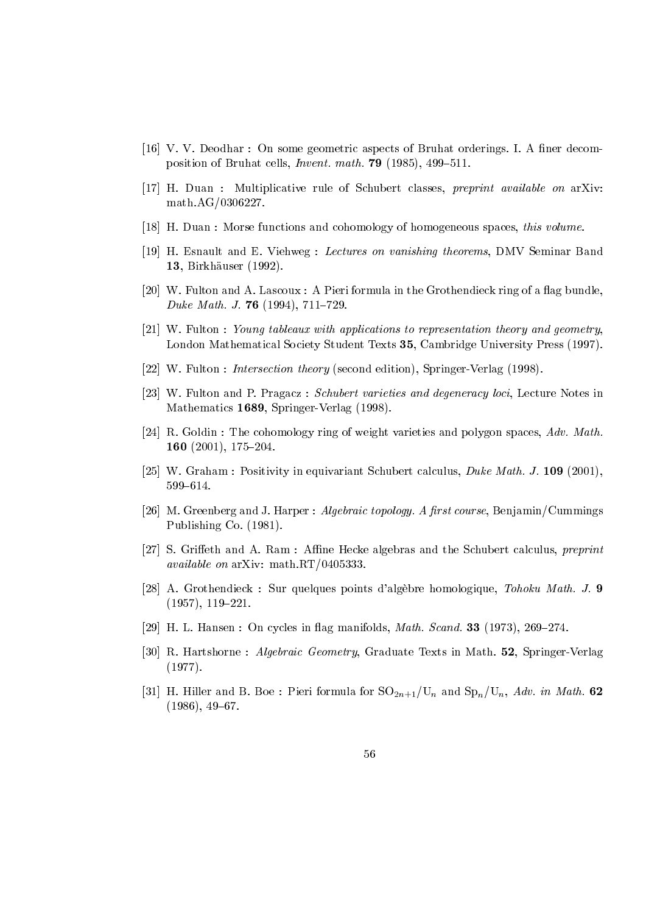- [16] V. V. Deodhar : On some geometric aspects of Bruhat orderings. I. A finer decomposition of Bruhat cells, *Invent. math.* **79** (1985), 499-511.
- [17] H. Duan : Multiplicative rule of Schubert classes, preprint available on arXiv: math.AG/0306227.
- [18] H. Duan : Morse functions and cohomology of homogeneous spaces, this volume.
- [19] H. Esnault and E. Viehweg : Lectures on vanishing theorems, DMV Seminar Band 13, Birkhauser (1992).
- [20] W. Fulton and A. Lascoux : A Pieri formula in the Grothendieck ring of a flag bundle, Duke Math. J.  $76$  (1994),  $711-729$ .
- [21] W. Fulton : Young tableaux with applications to representation theory and geometry, London Mathematical Society Student Texts 35, Cambridge University Press (1997).
- [22] W. Fulton : Intersection theory (second edition), Springer-Verlag (1998).
- [23] W. Fulton and P. Pragacz : Schubert varieties and degeneracy loci, Lecture Notes in Mathematics <sup>1689</sup>, Springer-Verlag (1998).
- [24] R. Goldin : The cohomology ring of weight varieties and polygon spaces, Adv. Math. 160  $(2001)$ , 175-204.
- [25] W. Graham : Positivity in equivariant Schubert calculus, Duke Math. J. <sup>109</sup> (2001), 599-614.
- [26] M. Greenberg and J. Harper: *Algebraic topology. A first course*, Benjamin/Cummings Publishing Co. (1981).
- [27] S. Griffeth and A. Ram : Affine Hecke algebras and the Schubert calculus, preprint available on arXiv: math.RT/0405333.
- [28] A. Grothendieck : Sur quelques points d'algebre homologique, Tohoku Math. J. <sup>9</sup>  $(1957), 119-221.$
- [29] H. L. Hansen: On cycles in flag manifolds, *Math. Scand.* **33** (1973), 269-274.
- [30] R. Hartshorne : Algebraic Geometry, Graduate Texts in Math. 52, Springer-Verlag (1977).
- [31] H. Hiller and B. Boe : Pieri formula for  $SO_{2n+1}/U_n$  and  $Sp_n/U_n$ , Adv. in Math. 62  $(1986), 49{-67}.$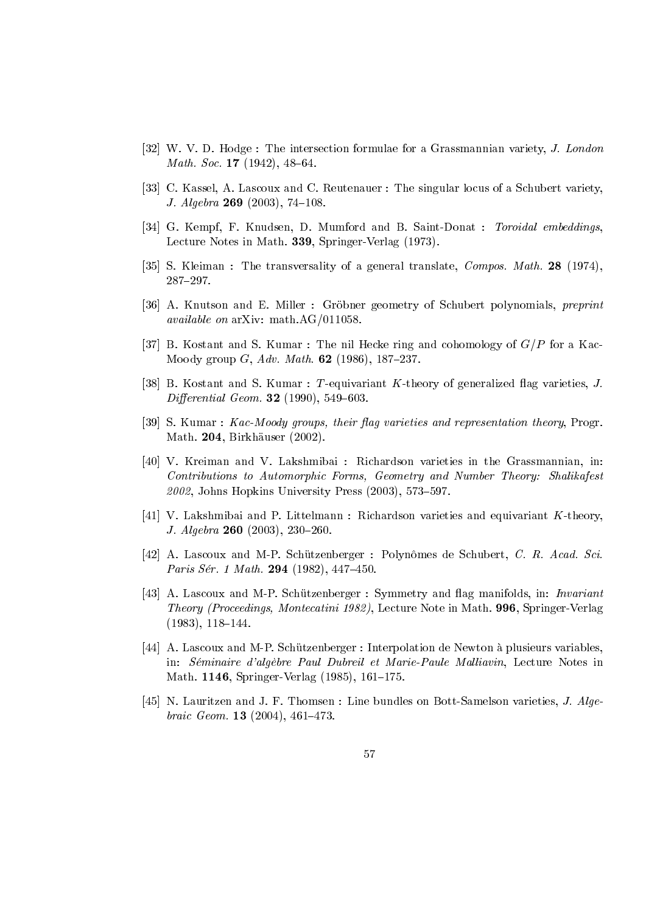- [32] W. V. D. Hodge : The intersection formulae for a Grassmannian variety, J. London *Math. Soc.* 17 (1942),  $48{-}64$ .
- [33] C. Kassel, A. Lascoux and C. Reutenauer : The singular locus of a Schubert variety, J. Algebra 269 (2003), 74-108.
- [34] G. Kempf, F. Knudsen, D. Mumford and B. Saint-Donat : Toroidal embeddings, Lecture Notes in Math. 339, Springer-Verlag (1973).
- [35] S. Kleiman : The transversality of a general translate, *Compos. Math.* 28 (1974), 287-297.
- [36] A. Knutson and E. Miller : Gröbner geometry of Schubert polynomials, *preprint* available on arXiv: math.AG/011058.
- [37] B. Kostant and S. Kumar : The nil Hecke ring and cohomology of  $G/P$  for a Kac-Moody group G, Adv. Math.  $62$  (1986), 187-237.
- [38] B. Kostant and S. Kumar : T-equivariant K-theory of generalized flag varieties, J.  $Differential Geom.$  **32** (1990), 549-603.
- [39] S. Kumar: Kac-Moody groups, their flag varieties and representation theory, Progr. Math. **204**, Birkhäuser (2002).
- [40] V. Kreiman and V. Lakshmibai : Richardson varieties in the Grassmannian, in: Contributions to Automorphic Forms, Geometry and Number Theory: Shalikafest  $2002$ , Johns Hopkins University Press  $(2003)$ , 573-597.
- [41] V. Lakshmibai and P. Littelmann : Richardson varieties and equivariant K-theory, J. Algebra 260  $(2003)$ , 230-260.
- [42] A. Lascoux and M-P. Schützenberger : Polynômes de Schubert, C. R. Acad. Sci. Paris Sér. 1 Math. 294 (1982), 447-450.
- [43] A. Lascoux and M-P. Schützenberger : Symmetry and flag manifolds, in: *Invariant* Theory (Proceedings, Montecatini 1982), Lecture Note in Math. 996, Springer-Verlag  $(1983), 118-144.$
- [44] A. Lascoux and M-P. Schutzenberger : Interpolation de Newton a plusieurs variables, in: Seminaire d'algebre Paul Dubreil et Marie-Paule Malliavin, Lecture Notes in Math. 1146, Springer-Verlag  $(1985)$ , 161-175.
- [45] N. Lauritzen and J. F. Thomsen : Line bundles on Bott-Samelson varieties, J. Alge*braic Geom.* **13** (2004), 461-473.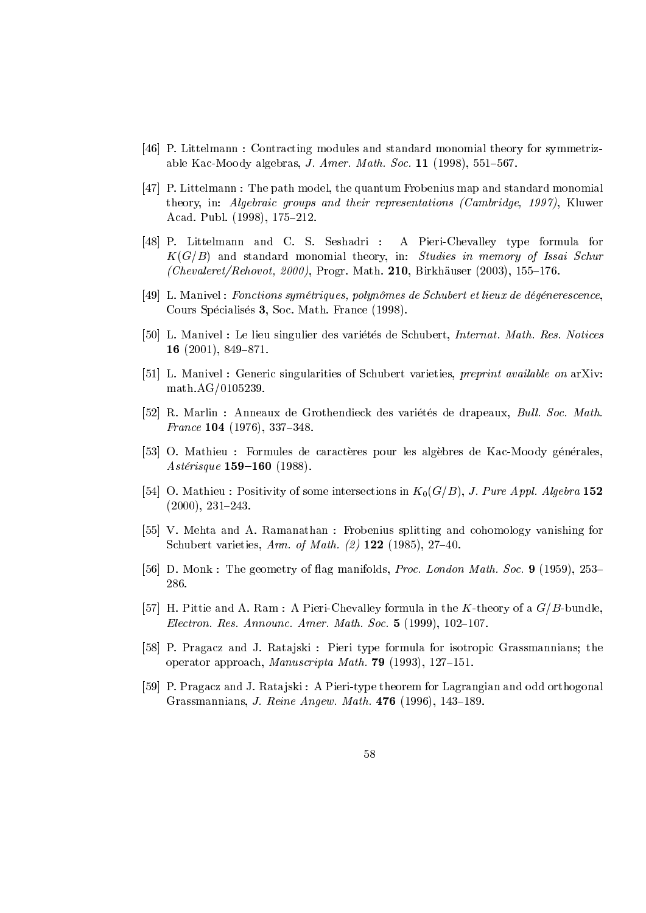- [46] P. Littelmann : Contracting modules and standard monomial theory for symmetrizable Kac-Moody algebras, J. Amer. Math. Soc. 11 (1998), 551–567.
- [47] P. Littelmann : The path model, the quantum Frobenius map and standard monomial theory, in: Algebraic groups and their representations (Cambridge, 1997), Kluwer Acad. Publ. (1998), 175-212.
- [48] P. Littelmann and C. S. Seshadri : A Pieri-Chevalley type formula for  $K(G/B)$  and standard monomial theory, in: Studies in memory of Issai Schur (Chevaleret/Rehovot, 2000), Progr. Math. 210, Birkhäuser (2003), 155-176.
- $[49]$  L. Manivel : Fonctions symétriques, polynômes de Schubert et lieux de dégénerescence, Cours Spécialisés 3, Soc. Math. France (1998).
- [50] L. Manivel : Le lieu singulier des variétés de Schubert, *Internat. Math. Res. Notices* 16 (2001), 849-871.
- [51] L. Manivel : Generic singularities of Schubert varieties, preprint available on arXiv: math.AG/0105239.
- [52] R. Marlin : Anneaux de Grothendieck des variétés de drapeaux, *Bull. Soc. Math.* France 104 (1976), 337-348.
- [53] O. Mathieu : Formules de caractères pour les algèbres de Kac-Moody générales,  $A \, st\acute{e} \, 1$  august  $159{-}160$  (1988).
- [54] O. Mathieu : Positivity of some intersections in  $K_0(G/B)$ , J. Pure Appl. Algebra 152  $(2000), 231-243.$
- [55] V. Mehta and A. Ramanathan : Frobenius splitting and cohomology vanishing for Schubert varieties, Ann. of Math.  $(2)$  122 (1985), 27-40.
- [56] D. Monk: The geometry of flag manifolds, *Proc. London Math. Soc.* 9 (1959), 253– 286.
- [57] H. Pittie and A. Ram : A Pieri-Chevalley formula in the K-theory of a  $G/B$ -bundle, Electron. Res. Announc. Amer. Math. Soc.  $5$  (1999), 102-107.
- [58] P. Pragacz and J. Ratajski : Pieri type formula for isotropic Grassmannians; the operator approach, Manuscripta Math. 79 (1993), 127-151.
- [59] P. Pragacz and J. Ratajski : A Pieri-type theorem for Lagrangian and odd orthogonal Grassmannians, J. Reine Angew. Math.  $476$  (1996), 143-189.